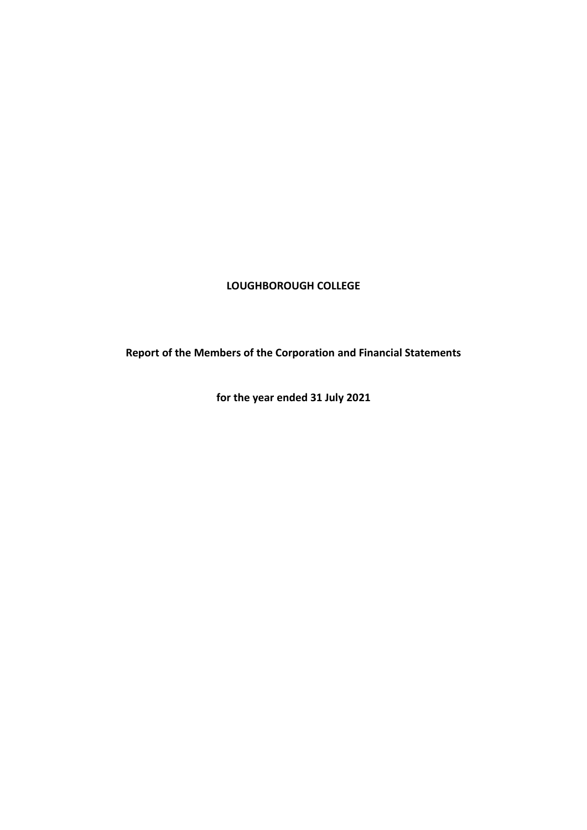## **LOUGHBOROUGH COLLEGE**

**Report of the Members of the Corporation and Financial Statements**

**for the year ended 31 July 2021**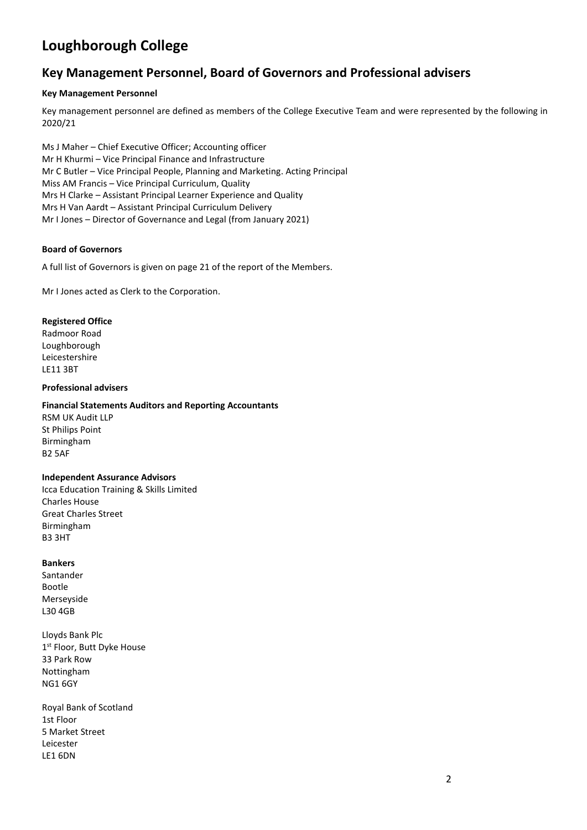## **Key Management Personnel, Board of Governors and Professional advisers**

#### **Key Management Personnel**

Key management personnel are defined as members of the College Executive Team and were represented by the following in 2020/21

Ms J Maher – Chief Executive Officer; Accounting officer Mr H Khurmi – Vice Principal Finance and Infrastructure Mr C Butler – Vice Principal People, Planning and Marketing. Acting Principal Miss AM Francis – Vice Principal Curriculum, Quality Mrs H Clarke – Assistant Principal Learner Experience and Quality Mrs H Van Aardt – Assistant Principal Curriculum Delivery Mr I Jones – Director of Governance and Legal (from January 2021)

#### **Board of Governors**

A full list of Governors is given on page 21 of the report of the Members.

Mr I Jones acted as Clerk to the Corporation.

#### **Registered Office**

Radmoor Road Loughborough Leicestershire LE11 3BT

#### **Professional advisers**

#### **Financial Statements Auditors and Reporting Accountants**

RSM UK Audit LLP St Philips Point Birmingham B2 5AF

#### **Independent Assurance Advisors**

Icca Education Training & Skills Limited Charles House Great Charles Street Birmingham B3 3HT

#### **Bankers**

Santander Bootle Merseyside L30 4GB

Lloyds Bank Plc 1st Floor, Butt Dyke House 33 Park Row Nottingham NG1 6GY

Royal Bank of Scotland 1st Floor 5 Market Street Leicester LE1 6DN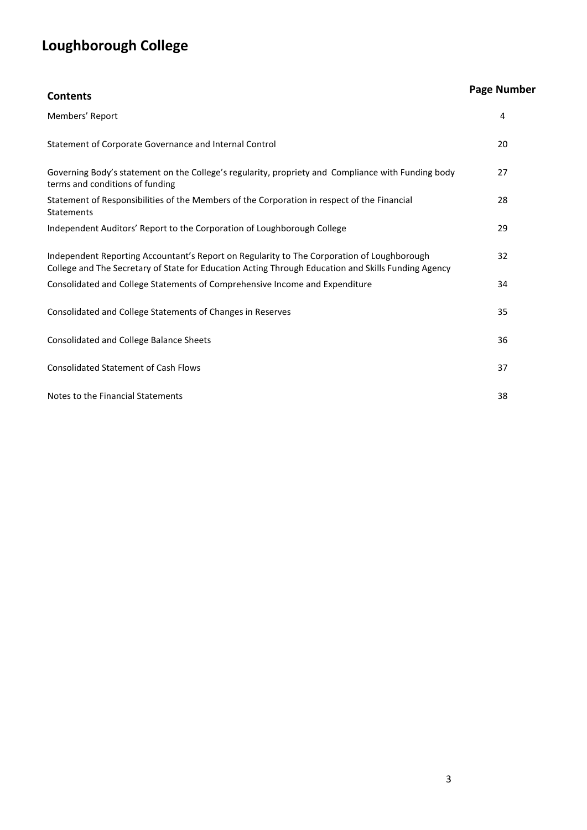| <b>Contents</b>                                                                                                                                                                                   | <b>Page Number</b> |
|---------------------------------------------------------------------------------------------------------------------------------------------------------------------------------------------------|--------------------|
| Members' Report                                                                                                                                                                                   | 4                  |
| Statement of Corporate Governance and Internal Control                                                                                                                                            | 20                 |
| Governing Body's statement on the College's regularity, propriety and Compliance with Funding body<br>terms and conditions of funding                                                             | 27                 |
| Statement of Responsibilities of the Members of the Corporation in respect of the Financial<br><b>Statements</b>                                                                                  | 28                 |
| Independent Auditors' Report to the Corporation of Loughborough College                                                                                                                           | 29                 |
| Independent Reporting Accountant's Report on Regularity to The Corporation of Loughborough<br>College and The Secretary of State for Education Acting Through Education and Skills Funding Agency | 32                 |
| Consolidated and College Statements of Comprehensive Income and Expenditure                                                                                                                       | 34                 |
| Consolidated and College Statements of Changes in Reserves                                                                                                                                        | 35                 |
| Consolidated and College Balance Sheets                                                                                                                                                           | 36                 |
| <b>Consolidated Statement of Cash Flows</b>                                                                                                                                                       | 37                 |
| Notes to the Financial Statements                                                                                                                                                                 | 38                 |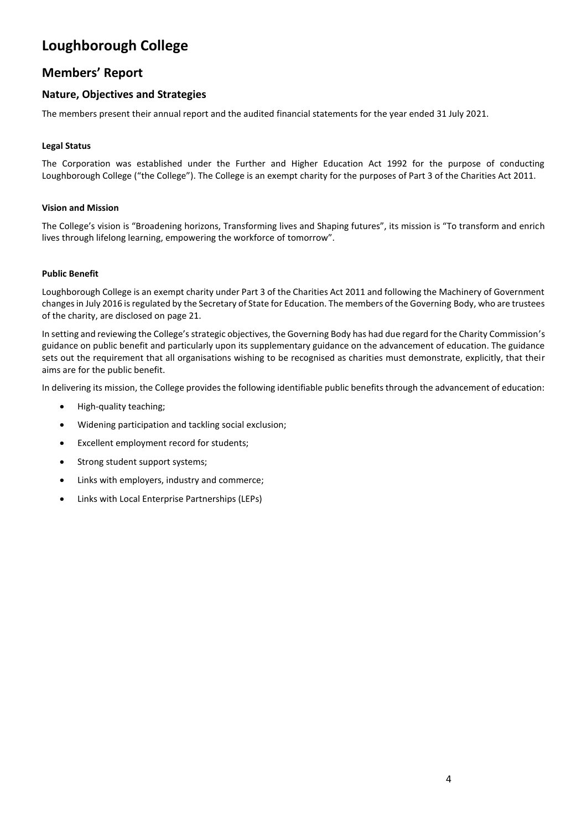## **Members' Report**

## **Nature, Objectives and Strategies**

The members present their annual report and the audited financial statements for the year ended 31 July 2021.

### **Legal Status**

The Corporation was established under the Further and Higher Education Act 1992 for the purpose of conducting Loughborough College ("the College"). The College is an exempt charity for the purposes of Part 3 of the Charities Act 2011.

#### **Vision and Mission**

The College's vision is "Broadening horizons, Transforming lives and Shaping futures", its mission is "To transform and enrich lives through lifelong learning, empowering the workforce of tomorrow".

#### **Public Benefit**

Loughborough College is an exempt charity under Part 3 of the Charities Act 2011 and following the Machinery of Government changes in July 2016 is regulated by the Secretary of State for Education. The members of the Governing Body, who are trustees of the charity, are disclosed on page 21.

In setting and reviewing the College's strategic objectives, the Governing Body has had due regard for the Charity Commission's guidance on public benefit and particularly upon its supplementary guidance on the advancement of education. The guidance sets out the requirement that all organisations wishing to be recognised as charities must demonstrate, explicitly, that their aims are for the public benefit.

In delivering its mission, the College provides the following identifiable public benefits through the advancement of education:

- High-quality teaching;
- Widening participation and tackling social exclusion;
- Excellent employment record for students;
- Strong student support systems;
- Links with employers, industry and commerce;
- Links with Local Enterprise Partnerships (LEPs)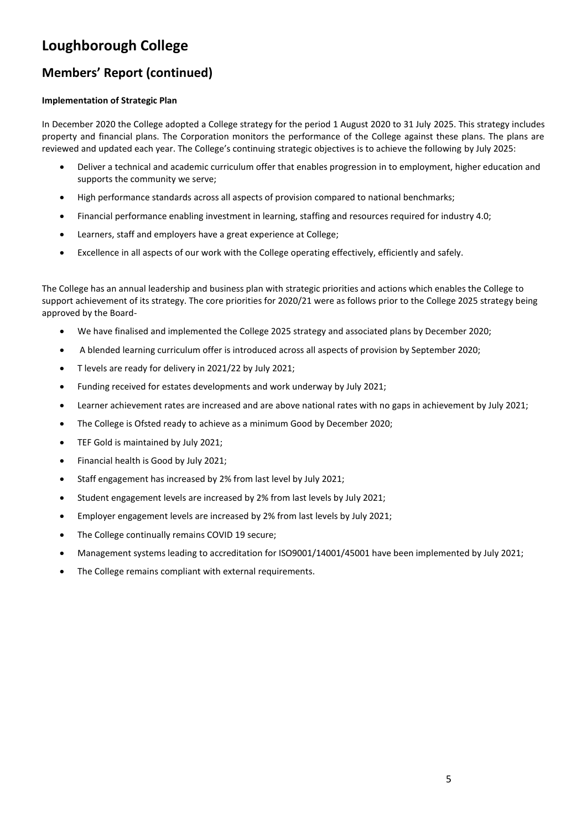# **Members' Report (continued)**

### **Implementation of Strategic Plan**

In December 2020 the College adopted a College strategy for the period 1 August 2020 to 31 July 2025. This strategy includes property and financial plans. The Corporation monitors the performance of the College against these plans. The plans are reviewed and updated each year. The College's continuing strategic objectives is to achieve the following by July 2025:

- Deliver a technical and academic curriculum offer that enables progression in to employment, higher education and supports the community we serve;
- High performance standards across all aspects of provision compared to national benchmarks;
- Financial performance enabling investment in learning, staffing and resources required for industry 4.0;
- Learners, staff and employers have a great experience at College;
- Excellence in all aspects of our work with the College operating effectively, efficiently and safely.

The College has an annual leadership and business plan with strategic priorities and actions which enables the College to support achievement of its strategy. The core priorities for 2020/21 were as follows prior to the College 2025 strategy being approved by the Board-

- We have finalised and implemented the College 2025 strategy and associated plans by December 2020;
- A blended learning curriculum offer is introduced across all aspects of provision by September 2020;
- T levels are ready for delivery in 2021/22 by July 2021;
- Funding received for estates developments and work underway by July 2021;
- Learner achievement rates are increased and are above national rates with no gaps in achievement by July 2021;
- The College is Ofsted ready to achieve as a minimum Good by December 2020;
- TEF Gold is maintained by July 2021;
- Financial health is Good by July 2021;
- Staff engagement has increased by 2% from last level by July 2021;
- Student engagement levels are increased by 2% from last levels by July 2021;
- Employer engagement levels are increased by 2% from last levels by July 2021;
- The College continually remains COVID 19 secure;
- Management systems leading to accreditation for ISO9001/14001/45001 have been implemented by July 2021;
- The College remains compliant with external requirements.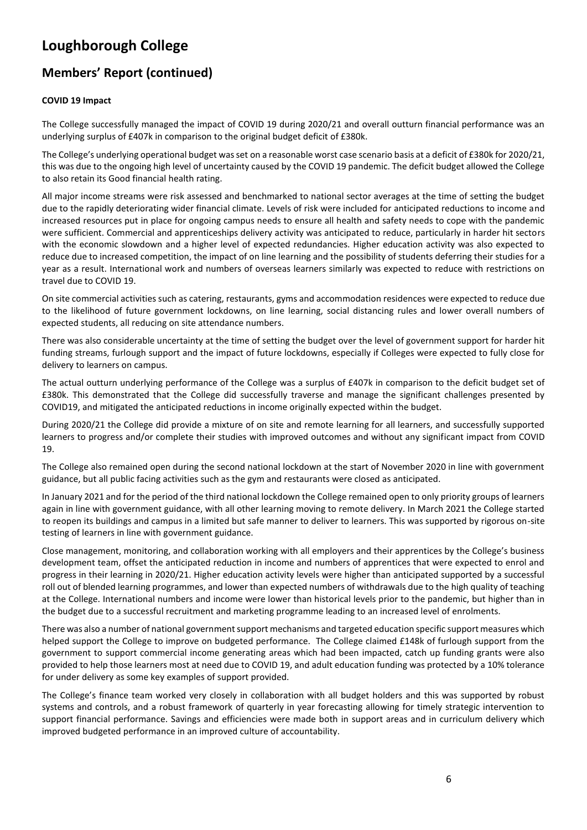# **Members' Report (continued)**

### **COVID 19 Impact**

The College successfully managed the impact of COVID 19 during 2020/21 and overall outturn financial performance was an underlying surplus of £407k in comparison to the original budget deficit of £380k.

The College's underlying operational budget was set on a reasonable worst case scenario basis at a deficit of £380k for 2020/21, this was due to the ongoing high level of uncertainty caused by the COVID 19 pandemic. The deficit budget allowed the College to also retain its Good financial health rating.

All major income streams were risk assessed and benchmarked to national sector averages at the time of setting the budget due to the rapidly deteriorating wider financial climate. Levels of risk were included for anticipated reductions to income and increased resources put in place for ongoing campus needs to ensure all health and safety needs to cope with the pandemic were sufficient. Commercial and apprenticeships delivery activity was anticipated to reduce, particularly in harder hit sectors with the economic slowdown and a higher level of expected redundancies. Higher education activity was also expected to reduce due to increased competition, the impact of on line learning and the possibility of students deferring their studies for a year as a result. International work and numbers of overseas learners similarly was expected to reduce with restrictions on travel due to COVID 19.

On site commercial activities such as catering, restaurants, gyms and accommodation residences were expected to reduce due to the likelihood of future government lockdowns, on line learning, social distancing rules and lower overall numbers of expected students, all reducing on site attendance numbers.

There was also considerable uncertainty at the time of setting the budget over the level of government support for harder hit funding streams, furlough support and the impact of future lockdowns, especially if Colleges were expected to fully close for delivery to learners on campus.

The actual outturn underlying performance of the College was a surplus of £407k in comparison to the deficit budget set of £380k. This demonstrated that the College did successfully traverse and manage the significant challenges presented by COVID19, and mitigated the anticipated reductions in income originally expected within the budget.

During 2020/21 the College did provide a mixture of on site and remote learning for all learners, and successfully supported learners to progress and/or complete their studies with improved outcomes and without any significant impact from COVID 19.

The College also remained open during the second national lockdown at the start of November 2020 in line with government guidance, but all public facing activities such as the gym and restaurants were closed as anticipated.

In January 2021 and for the period of the third national lockdown the College remained open to only priority groups of learners again in line with government guidance, with all other learning moving to remote delivery. In March 2021 the College started to reopen its buildings and campus in a limited but safe manner to deliver to learners. This was supported by rigorous on-site testing of learners in line with government guidance.

Close management, monitoring, and collaboration working with all employers and their apprentices by the College's business development team, offset the anticipated reduction in income and numbers of apprentices that were expected to enrol and progress in their learning in 2020/21. Higher education activity levels were higher than anticipated supported by a successful roll out of blended learning programmes, and lower than expected numbers of withdrawals due to the high quality of teaching at the College. International numbers and income were lower than historical levels prior to the pandemic, but higher than in the budget due to a successful recruitment and marketing programme leading to an increased level of enrolments.

There was also a number of national government support mechanisms and targeted education specific support measures which helped support the College to improve on budgeted performance. The College claimed £148k of furlough support from the government to support commercial income generating areas which had been impacted, catch up funding grants were also provided to help those learners most at need due to COVID 19, and adult education funding was protected by a 10% tolerance for under delivery as some key examples of support provided.

The College's finance team worked very closely in collaboration with all budget holders and this was supported by robust systems and controls, and a robust framework of quarterly in year forecasting allowing for timely strategic intervention to support financial performance. Savings and efficiencies were made both in support areas and in curriculum delivery which improved budgeted performance in an improved culture of accountability.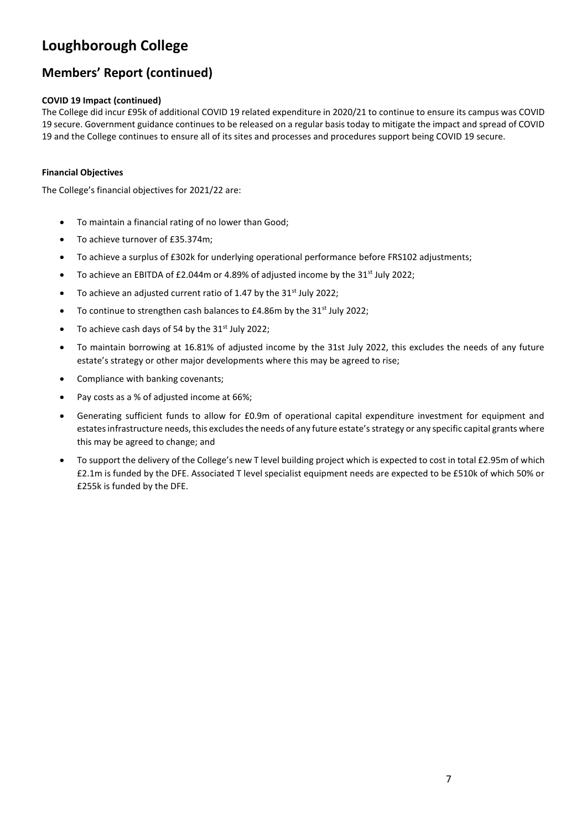# **Members' Report (continued)**

### **COVID 19 Impact (continued)**

The College did incur £95k of additional COVID 19 related expenditure in 2020/21 to continue to ensure its campus was COVID 19 secure. Government guidance continues to be released on a regular basis today to mitigate the impact and spread of COVID 19 and the College continues to ensure all of its sites and processes and procedures support being COVID 19 secure.

### **Financial Objectives**

The College's financial objectives for 2021/22 are:

- To maintain a financial rating of no lower than Good;
- To achieve turnover of £35.374m;
- To achieve a surplus of £302k for underlying operational performance before FRS102 adjustments;
- To achieve an EBITDA of £2.044m or 4.89% of adjusted income by the  $31<sup>st</sup>$  July 2022;
- To achieve an adjusted current ratio of 1.47 by the  $31<sup>st</sup>$  July 2022;
- To continue to strengthen cash balances to £4.86m by the 31<sup>st</sup> July 2022;
- To achieve cash days of 54 by the  $31<sup>st</sup>$  July 2022;
- To maintain borrowing at 16.81% of adjusted income by the 31st July 2022, this excludes the needs of any future estate's strategy or other major developments where this may be agreed to rise;
- Compliance with banking covenants;
- Pay costs as a % of adjusted income at 66%;
- Generating sufficient funds to allow for £0.9m of operational capital expenditure investment for equipment and estates infrastructure needs, this excludes the needs of any future estate's strategy or any specific capital grants where this may be agreed to change; and
- To support the delivery of the College's new T level building project which is expected to cost in total £2.95m of which £2.1m is funded by the DFE. Associated T level specialist equipment needs are expected to be £510k of which 50% or £255k is funded by the DFE.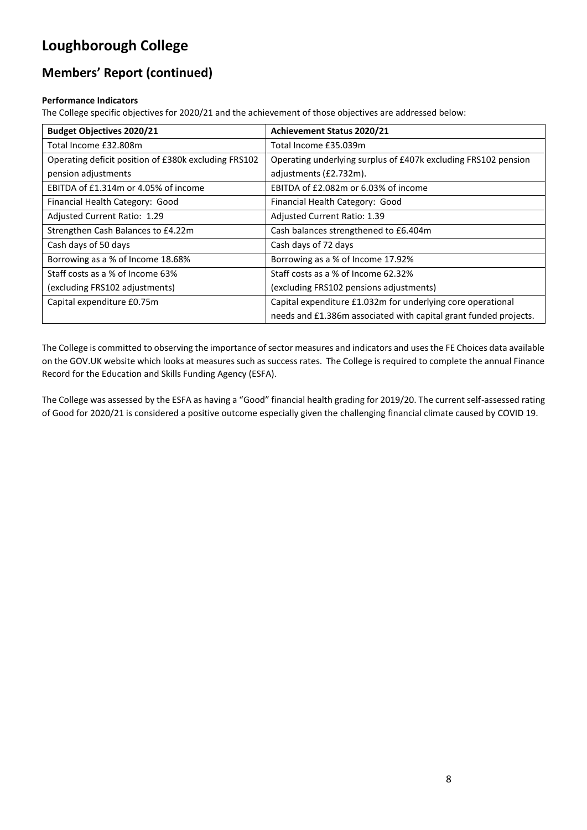# **Members' Report (continued)**

### **Performance Indicators**

The College specific objectives for 2020/21 and the achievement of those objectives are addressed below:

| <b>Budget Objectives 2020/21</b>                     | Achievement Status 2020/21                                       |
|------------------------------------------------------|------------------------------------------------------------------|
| Total Income £32.808m                                | Total Income £35.039m                                            |
| Operating deficit position of £380k excluding FRS102 | Operating underlying surplus of £407k excluding FRS102 pension   |
| pension adjustments                                  | adjustments (£2.732m).                                           |
| EBITDA of £1.314m or 4.05% of income                 | EBITDA of £2.082m or 6.03% of income                             |
| Financial Health Category: Good                      | Financial Health Category: Good                                  |
| Adjusted Current Ratio: 1.29                         | Adjusted Current Ratio: 1.39                                     |
| Strengthen Cash Balances to £4.22m                   | Cash balances strengthened to £6.404m                            |
| Cash days of 50 days                                 | Cash days of 72 days                                             |
| Borrowing as a % of Income 18.68%                    | Borrowing as a % of Income 17.92%                                |
| Staff costs as a % of Income 63%                     | Staff costs as a % of Income 62.32%                              |
| (excluding FRS102 adjustments)                       | (excluding FRS102 pensions adjustments)                          |
| Capital expenditure £0.75m                           | Capital expenditure £1.032m for underlying core operational      |
|                                                      | needs and £1.386m associated with capital grant funded projects. |

The College is committed to observing the importance of sector measures and indicators and uses the FE Choices data available on the GOV.UK website which looks at measures such as success rates. The College is required to complete the annual Finance Record for the Education and Skills Funding Agency (ESFA).

The College was assessed by the ESFA as having a "Good" financial health grading for 2019/20. The current self-assessed rating of Good for 2020/21 is considered a positive outcome especially given the challenging financial climate caused by COVID 19.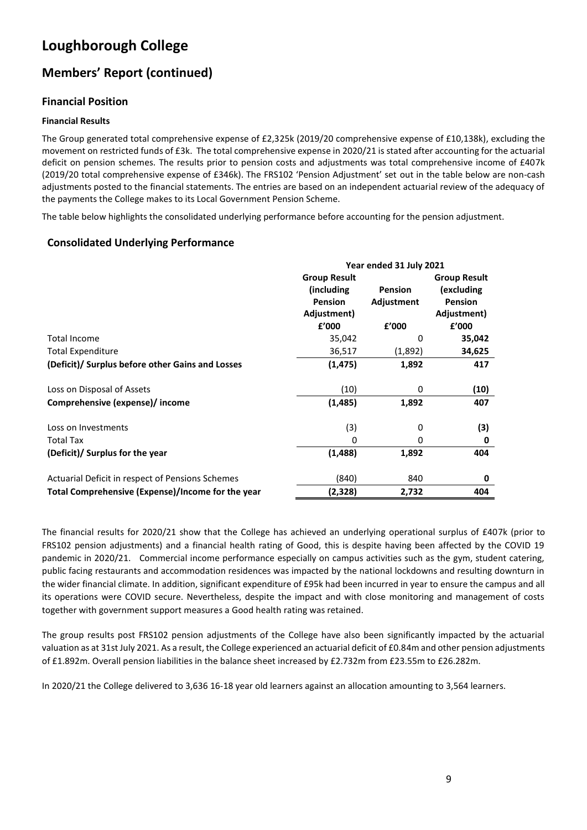# **Members' Report (continued)**

## **Financial Position**

### **Financial Results**

The Group generated total comprehensive expense of £2,325k (2019/20 comprehensive expense of £10,138k), excluding the movement on restricted funds of £3k. The total comprehensive expense in 2020/21 is stated after accounting for the actuarial deficit on pension schemes. The results prior to pension costs and adjustments was total comprehensive income of £407k (2019/20 total comprehensive expense of £346k). The FRS102 'Pension Adjustment' set out in the table below are non-cash adjustments posted to the financial statements. The entries are based on an independent actuarial review of the adequacy of the payments the College makes to its Local Government Pension Scheme.

The table below highlights the consolidated underlying performance before accounting for the pension adjustment.

## **Consolidated Underlying Performance**

|                                                   |                     | Year ended 31 July 2021 |                     |  |
|---------------------------------------------------|---------------------|-------------------------|---------------------|--|
|                                                   | <b>Group Result</b> |                         | <b>Group Result</b> |  |
|                                                   | (including          | <b>Pension</b>          | (excluding          |  |
|                                                   | <b>Pension</b>      | Adjustment              | <b>Pension</b>      |  |
|                                                   | Adjustment)         |                         | Adjustment)         |  |
|                                                   | £'000               | £'000                   | £'000               |  |
| <b>Total Income</b>                               | 35,042              | 0                       | 35,042              |  |
| <b>Total Expenditure</b>                          | 36,517              | (1,892)                 | 34,625              |  |
| (Deficit)/ Surplus before other Gains and Losses  | (1,475)             | 1,892                   | 417                 |  |
| Loss on Disposal of Assets                        | (10)                | 0                       | (10)                |  |
| Comprehensive (expense)/ income                   | (1,485)             | 1,892                   | 407                 |  |
| Loss on Investments                               | (3)                 | 0                       | (3)                 |  |
| Total Tax                                         | 0                   | 0                       | 0                   |  |
| (Deficit)/ Surplus for the year                   | (1,488)             | 1,892                   | 404                 |  |
| Actuarial Deficit in respect of Pensions Schemes  | (840)               | 840                     | 0                   |  |
| Total Comprehensive (Expense)/Income for the year | (2,328)             | 2,732                   | 404                 |  |

The financial results for 2020/21 show that the College has achieved an underlying operational surplus of £407k (prior to FRS102 pension adjustments) and a financial health rating of Good, this is despite having been affected by the COVID 19 pandemic in 2020/21. Commercial income performance especially on campus activities such as the gym, student catering, public facing restaurants and accommodation residences was impacted by the national lockdowns and resulting downturn in the wider financial climate. In addition, significant expenditure of £95k had been incurred in year to ensure the campus and all its operations were COVID secure. Nevertheless, despite the impact and with close monitoring and management of costs together with government support measures a Good health rating was retained.

The group results post FRS102 pension adjustments of the College have also been significantly impacted by the actuarial valuation as at 31st July 2021. As a result, the College experienced an actuarial deficit of £0.84m and other pension adjustments of £1.892m. Overall pension liabilities in the balance sheet increased by £2.732m from £23.55m to £26.282m.

In 2020/21 the College delivered to 3,636 16-18 year old learners against an allocation amounting to 3,564 learners.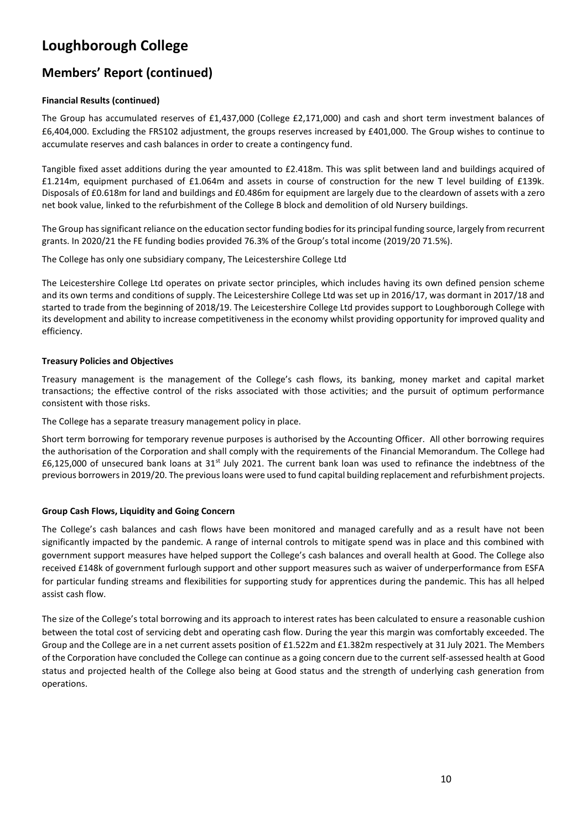# **Members' Report (continued)**

### **Financial Results (continued)**

The Group has accumulated reserves of £1,437,000 (College £2,171,000) and cash and short term investment balances of £6,404,000. Excluding the FRS102 adjustment, the groups reserves increased by £401,000. The Group wishes to continue to accumulate reserves and cash balances in order to create a contingency fund.

Tangible fixed asset additions during the year amounted to £2.418m. This was split between land and buildings acquired of £1.214m, equipment purchased of £1.064m and assets in course of construction for the new T level building of £139k. Disposals of £0.618m for land and buildings and £0.486m for equipment are largely due to the cleardown of assets with a zero net book value, linked to the refurbishment of the College B block and demolition of old Nursery buildings.

The Group has significant reliance on the education sector funding bodies for its principal funding source, largely from recurrent grants. In 2020/21 the FE funding bodies provided 76.3% of the Group's total income (2019/20 71.5%).

The College has only one subsidiary company, The Leicestershire College Ltd

The Leicestershire College Ltd operates on private sector principles, which includes having its own defined pension scheme and its own terms and conditions of supply. The Leicestershire College Ltd was set up in 2016/17, was dormant in 2017/18 and started to trade from the beginning of 2018/19. The Leicestershire College Ltd provides support to Loughborough College with its development and ability to increase competitiveness in the economy whilst providing opportunity for improved quality and efficiency.

#### **Treasury Policies and Objectives**

Treasury management is the management of the College's cash flows, its banking, money market and capital market transactions; the effective control of the risks associated with those activities; and the pursuit of optimum performance consistent with those risks.

The College has a separate treasury management policy in place.

Short term borrowing for temporary revenue purposes is authorised by the Accounting Officer. All other borrowing requires the authorisation of the Corporation and shall comply with the requirements of the Financial Memorandum. The College had  $£6,125,000$  of unsecured bank loans at  $31<sup>st</sup>$  July 2021. The current bank loan was used to refinance the indebtness of the previous borrowers in 2019/20. The previous loans were used to fund capital building replacement and refurbishment projects.

### **Group Cash Flows, Liquidity and Going Concern**

The College's cash balances and cash flows have been monitored and managed carefully and as a result have not been significantly impacted by the pandemic. A range of internal controls to mitigate spend was in place and this combined with government support measures have helped support the College's cash balances and overall health at Good. The College also received £148k of government furlough support and other support measures such as waiver of underperformance from ESFA for particular funding streams and flexibilities for supporting study for apprentices during the pandemic. This has all helped assist cash flow.

The size of the College's total borrowing and its approach to interest rates has been calculated to ensure a reasonable cushion between the total cost of servicing debt and operating cash flow. During the year this margin was comfortably exceeded. The Group and the College are in a net current assets position of £1.522m and £1.382m respectively at 31 July 2021. The Members of the Corporation have concluded the College can continue as a going concern due to the current self-assessed health at Good status and projected health of the College also being at Good status and the strength of underlying cash generation from operations.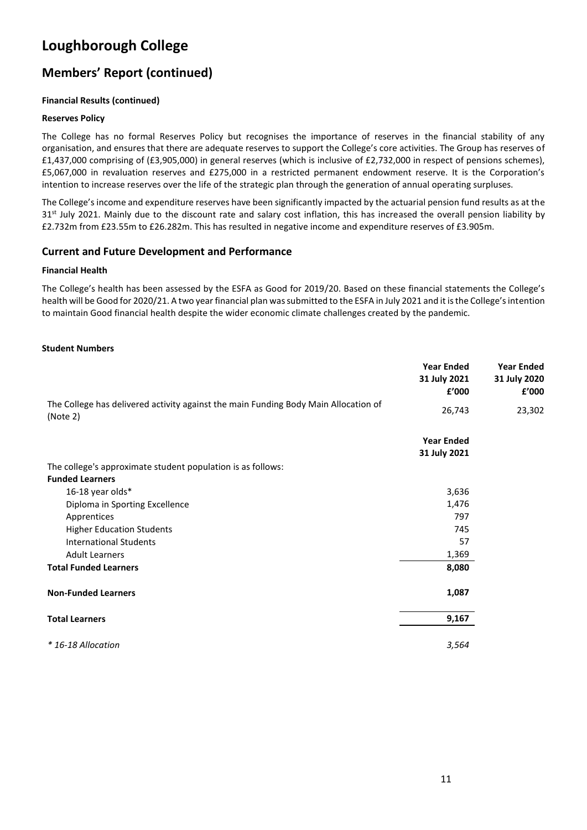# **Members' Report (continued)**

### **Financial Results (continued)**

### **Reserves Policy**

The College has no formal Reserves Policy but recognises the importance of reserves in the financial stability of any organisation, and ensures that there are adequate reserves to support the College's core activities. The Group has reserves of £1,437,000 comprising of (£3,905,000) in general reserves (which is inclusive of £2,732,000 in respect of pensions schemes), £5,067,000 in revaluation reserves and £275,000 in a restricted permanent endowment reserve. It is the Corporation's intention to increase reserves over the life of the strategic plan through the generation of annual operating surpluses.

The College's income and expenditure reserves have been significantly impacted by the actuarial pension fund results as at the 31st July 2021. Mainly due to the discount rate and salary cost inflation, this has increased the overall pension liability by £2.732m from £23.55m to £26.282m. This has resulted in negative income and expenditure reserves of £3.905m.

### **Current and Future Development and Performance**

#### **Financial Health**

The College's health has been assessed by the ESFA as Good for 2019/20. Based on these financial statements the College's health will be Good for 2020/21. A two year financial plan was submitted to the ESFA in July 2021 and it is the College's intention to maintain Good financial health despite the wider economic climate challenges created by the pandemic.

#### **Student Numbers**

|                                                                                                 | <b>Year Ended</b><br>31 July 2021<br>£'000 | <b>Year Ended</b><br>31 July 2020<br>£'000 |
|-------------------------------------------------------------------------------------------------|--------------------------------------------|--------------------------------------------|
| The College has delivered activity against the main Funding Body Main Allocation of<br>(Note 2) | 26,743                                     | 23,302                                     |
|                                                                                                 | <b>Year Ended</b><br>31 July 2021          |                                            |
| The college's approximate student population is as follows:                                     |                                            |                                            |
| <b>Funded Learners</b>                                                                          |                                            |                                            |
| 16-18 year olds*                                                                                | 3,636                                      |                                            |
| Diploma in Sporting Excellence                                                                  | 1,476                                      |                                            |
| Apprentices                                                                                     | 797                                        |                                            |
| <b>Higher Education Students</b>                                                                | 745                                        |                                            |
| <b>International Students</b>                                                                   | 57                                         |                                            |
| <b>Adult Learners</b>                                                                           | 1,369                                      |                                            |
| <b>Total Funded Learners</b>                                                                    | 8,080                                      |                                            |
| <b>Non-Funded Learners</b>                                                                      | 1,087                                      |                                            |
| <b>Total Learners</b>                                                                           | 9,167                                      |                                            |
| * 16-18 Allocation                                                                              | 3,564                                      |                                            |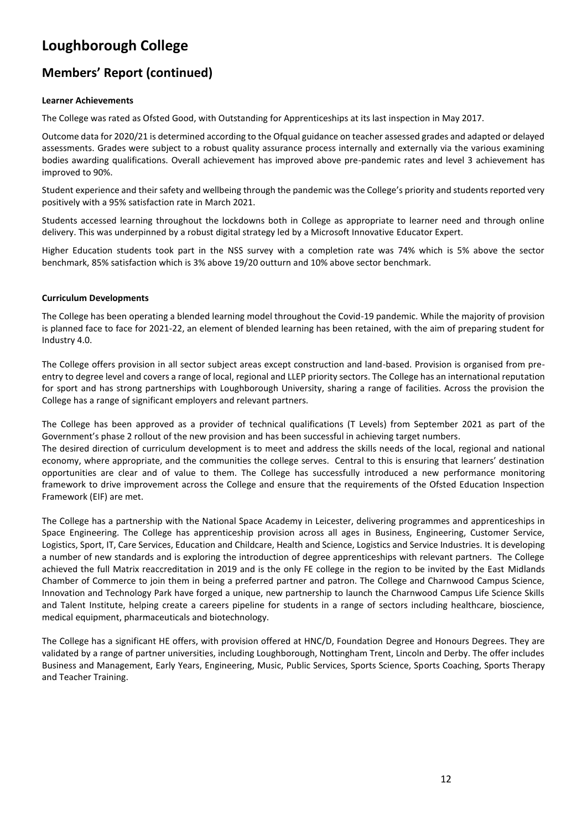# **Members' Report (continued)**

### **Learner Achievements**

The College was rated as Ofsted Good, with Outstanding for Apprenticeships at its last inspection in May 2017.

Outcome data for 2020/21 is determined according to the Ofqual guidance on teacher assessed grades and adapted or delayed assessments. Grades were subject to a robust quality assurance process internally and externally via the various examining bodies awarding qualifications. Overall achievement has improved above pre-pandemic rates and level 3 achievement has improved to 90%.

Student experience and their safety and wellbeing through the pandemic was the College's priority and students reported very positively with a 95% satisfaction rate in March 2021.

Students accessed learning throughout the lockdowns both in College as appropriate to learner need and through online delivery. This was underpinned by a robust digital strategy led by a Microsoft Innovative Educator Expert.

Higher Education students took part in the NSS survey with a completion rate was 74% which is 5% above the sector benchmark, 85% satisfaction which is 3% above 19/20 outturn and 10% above sector benchmark.

#### **Curriculum Developments**

The College has been operating a blended learning model throughout the Covid-19 pandemic. While the majority of provision is planned face to face for 2021-22, an element of blended learning has been retained, with the aim of preparing student for Industry 4.0.

The College offers provision in all sector subject areas except construction and land-based. Provision is organised from preentry to degree level and covers a range of local, regional and LLEP priority sectors. The College has an international reputation for sport and has strong partnerships with Loughborough University, sharing a range of facilities. Across the provision the College has a range of significant employers and relevant partners.

The College has been approved as a provider of technical qualifications (T Levels) from September 2021 as part of the Government's phase 2 rollout of the new provision and has been successful in achieving target numbers.

The desired direction of curriculum development is to meet and address the skills needs of the local, regional and national economy, where appropriate, and the communities the college serves. Central to this is ensuring that learners' destination opportunities are clear and of value to them. The College has successfully introduced a new performance monitoring framework to drive improvement across the College and ensure that the requirements of the Ofsted Education Inspection Framework (EIF) are met.

The College has a partnership with the National Space Academy in Leicester, delivering programmes and apprenticeships in Space Engineering. The College has apprenticeship provision across all ages in Business, Engineering, Customer Service, Logistics, Sport, IT, Care Services, Education and Childcare, Health and Science, Logistics and Service Industries. It is developing a number of new standards and is exploring the introduction of degree apprenticeships with relevant partners. The College achieved the full Matrix reaccreditation in 2019 and is the only FE college in the region to be invited by the East Midlands Chamber of Commerce to join them in being a preferred partner and patron. The College and Charnwood Campus Science, Innovation and Technology Park have forged a unique, new partnership to launch the Charnwood Campus Life Science Skills and Talent Institute, helping create a careers pipeline for students in a range of sectors including healthcare, bioscience, medical equipment, pharmaceuticals and biotechnology.

The College has a significant HE offers, with provision offered at HNC/D, Foundation Degree and Honours Degrees. They are validated by a range of partner universities, including Loughborough, Nottingham Trent, Lincoln and Derby. The offer includes Business and Management, Early Years, Engineering, Music, Public Services, Sports Science, Sports Coaching, Sports Therapy and Teacher Training.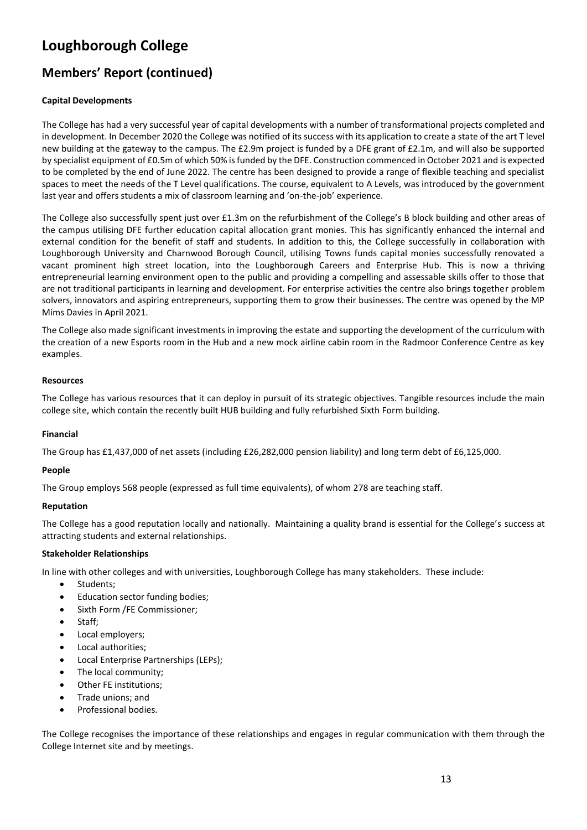# **Members' Report (continued)**

### **Capital Developments**

The College has had a very successful year of capital developments with a number of transformational projects completed and in development. In December 2020 the College was notified of its success with its application to create a state of the art T level new building at the gateway to the campus. The £2.9m project is funded by a DFE grant of £2.1m, and will also be supported by specialist equipment of £0.5m of which 50% is funded by the DFE. Construction commenced in October 2021 and is expected to be completed by the end of June 2022. The centre has been designed to provide a range of flexible teaching and specialist spaces to meet the needs of the T Level qualifications. The course, equivalent to A Levels, was introduced by the government last year and offers students a mix of classroom learning and 'on-the-job' experience.

The College also successfully spent just over £1.3m on the refurbishment of the College's B block building and other areas of the campus utilising DFE further education capital allocation grant monies. This has significantly enhanced the internal and external condition for the benefit of staff and students. In addition to this, the College successfully in collaboration with Loughborough University and Charnwood Borough Council, utilising Towns funds capital monies successfully renovated a vacant prominent high street location, into the Loughborough Careers and Enterprise Hub. This is now a thriving entrepreneurial learning environment open to the public and providing a compelling and assessable skills offer to those that are not traditional participants in learning and development. For enterprise activities the centre also brings together problem solvers, innovators and aspiring entrepreneurs, supporting them to grow their businesses. The centre was opened by the MP Mims Davies in April 2021.

The College also made significant investments in improving the estate and supporting the development of the curriculum with the creation of a new Esports room in the Hub and a new mock airline cabin room in the Radmoor Conference Centre as key examples.

#### **Resources**

The College has various resources that it can deploy in pursuit of its strategic objectives. Tangible resources include the main college site, which contain the recently built HUB building and fully refurbished Sixth Form building.

#### **Financial**

The Group has £1,437,000 of net assets (including £26,282,000 pension liability) and long term debt of £6,125,000.

#### **People**

The Group employs 568 people (expressed as full time equivalents), of whom 278 are teaching staff.

#### **Reputation**

The College has a good reputation locally and nationally. Maintaining a quality brand is essential for the College's success at attracting students and external relationships.

### **Stakeholder Relationships**

In line with other colleges and with universities, Loughborough College has many stakeholders. These include:

- Students;
- Education sector funding bodies;
- Sixth Form /FE Commissioner;
- Staff;
- Local employers;
- Local authorities;
- Local Enterprise Partnerships (LEPs);
- The local community;
- Other FE institutions;
- Trade unions; and
- Professional bodies.

The College recognises the importance of these relationships and engages in regular communication with them through the College Internet site and by meetings.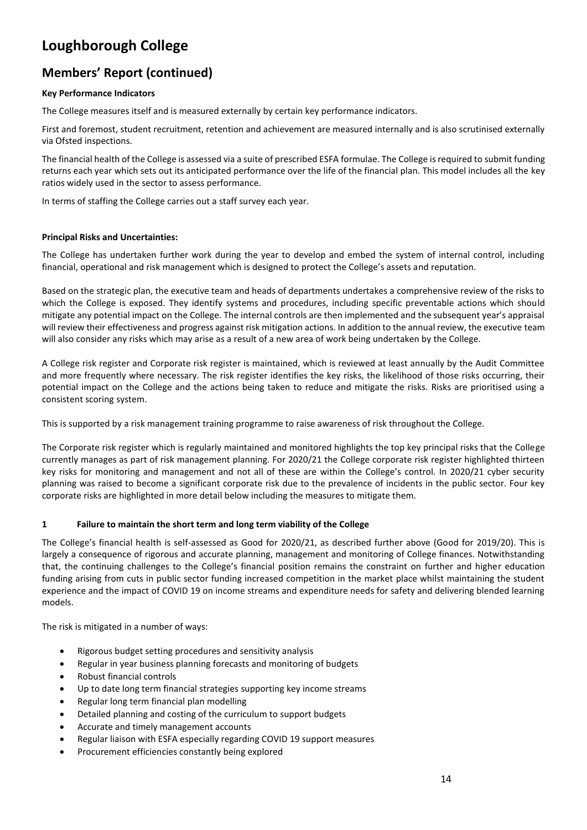# **Members' Report (continued)**

### **Key Performance Indicators**

The College measures itself and is measured externally by certain key performance indicators.

First and foremost, student recruitment, retention and achievement are measured internally and is also scrutinised externally via Ofsted inspections.

The financial health of the College is assessed via a suite of prescribed ESFA formulae. The College is required to submit funding returns each year which sets out its anticipated performance over the life of the financial plan. This model includes all the key ratios widely used in the sector to assess performance.

In terms of staffing the College carries out a staff survey each year.

### **Principal Risks and Uncertainties:**

The College has undertaken further work during the year to develop and embed the system of internal control, including financial, operational and risk management which is designed to protect the College's assets and reputation.

Based on the strategic plan, the executive team and heads of departments undertakes a comprehensive review of the risks to which the College is exposed. They identify systems and procedures, including specific preventable actions which should mitigate any potential impact on the College. The internal controls are then implemented and the subsequent year's appraisal will review their effectiveness and progress against risk mitigation actions. In addition to the annual review, the executive team will also consider any risks which may arise as a result of a new area of work being undertaken by the College.

A College risk register and Corporate risk register is maintained, which is reviewed at least annually by the Audit Committee and more frequently where necessary. The risk register identifies the key risks, the likelihood of those risks occurring, their potential impact on the College and the actions being taken to reduce and mitigate the risks. Risks are prioritised using a consistent scoring system.

This is supported by a risk management training programme to raise awareness of risk throughout the College.

The Corporate risk register which is regularly maintained and monitored highlights the top key principal risks that the College currently manages as part of risk management planning. For 2020/21 the College corporate risk register highlighted thirteen key risks for monitoring and management and not all of these are within the College's control. In 2020/21 cyber security planning was raised to become a significant corporate risk due to the prevalence of incidents in the public sector. Four key corporate risks are highlighted in more detail below including the measures to mitigate them.

### **1 Failure to maintain the short term and long term viability of the College**

The College's financial health is self-assessed as Good for 2020/21, as described further above (Good for 2019/20). This is largely a consequence of rigorous and accurate planning, management and monitoring of College finances. Notwithstanding that, the continuing challenges to the College's financial position remains the constraint on further and higher education funding arising from cuts in public sector funding increased competition in the market place whilst maintaining the student experience and the impact of COVID 19 on income streams and expenditure needs for safety and delivering blended learning models.

The risk is mitigated in a number of ways:

- Rigorous budget setting procedures and sensitivity analysis
- Regular in year business planning forecasts and monitoring of budgets
- Robust financial controls
- Up to date long term financial strategies supporting key income streams
- Regular long term financial plan modelling
- Detailed planning and costing of the curriculum to support budgets
- Accurate and timely management accounts
- Regular liaison with ESFA especially regarding COVID 19 support measures
- Procurement efficiencies constantly being explored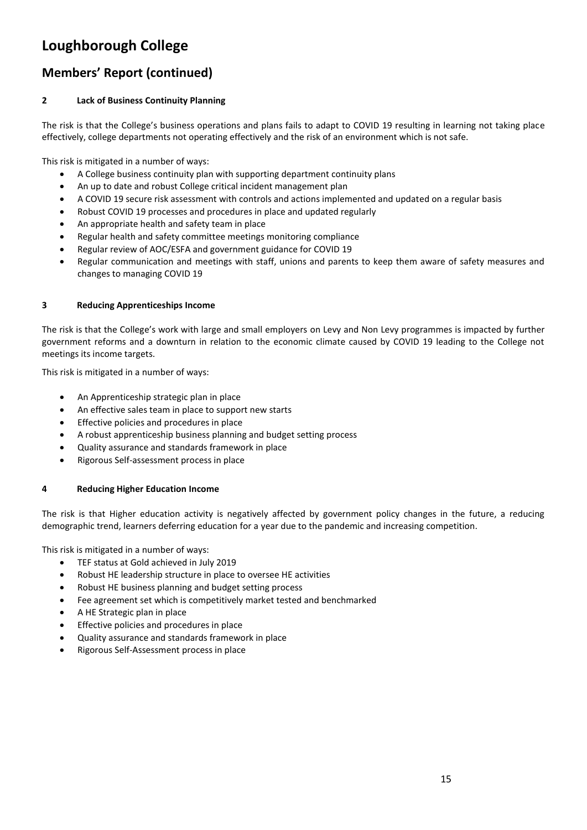# **Members' Report (continued)**

### **2 Lack of Business Continuity Planning**

The risk is that the College's business operations and plans fails to adapt to COVID 19 resulting in learning not taking place effectively, college departments not operating effectively and the risk of an environment which is not safe.

This risk is mitigated in a number of ways:

- A College business continuity plan with supporting department continuity plans
- An up to date and robust College critical incident management plan
- A COVID 19 secure risk assessment with controls and actions implemented and updated on a regular basis
- Robust COVID 19 processes and procedures in place and updated regularly
- An appropriate health and safety team in place
- Regular health and safety committee meetings monitoring compliance
- Regular review of AOC/ESFA and government guidance for COVID 19
- Regular communication and meetings with staff, unions and parents to keep them aware of safety measures and changes to managing COVID 19

### **3 Reducing Apprenticeships Income**

The risk is that the College's work with large and small employers on Levy and Non Levy programmes is impacted by further government reforms and a downturn in relation to the economic climate caused by COVID 19 leading to the College not meetings its income targets.

This risk is mitigated in a number of ways:

- An Apprenticeship strategic plan in place
- An effective sales team in place to support new starts
- Effective policies and procedures in place
- A robust apprenticeship business planning and budget setting process
- Quality assurance and standards framework in place
- Rigorous Self-assessment process in place

### **4 Reducing Higher Education Income**

The risk is that Higher education activity is negatively affected by government policy changes in the future, a reducing demographic trend, learners deferring education for a year due to the pandemic and increasing competition.

This risk is mitigated in a number of ways:

- TEF status at Gold achieved in July 2019
- Robust HE leadership structure in place to oversee HE activities
- Robust HE business planning and budget setting process
- Fee agreement set which is competitively market tested and benchmarked
- A HE Strategic plan in place
- Effective policies and procedures in place
- Quality assurance and standards framework in place
- Rigorous Self-Assessment process in place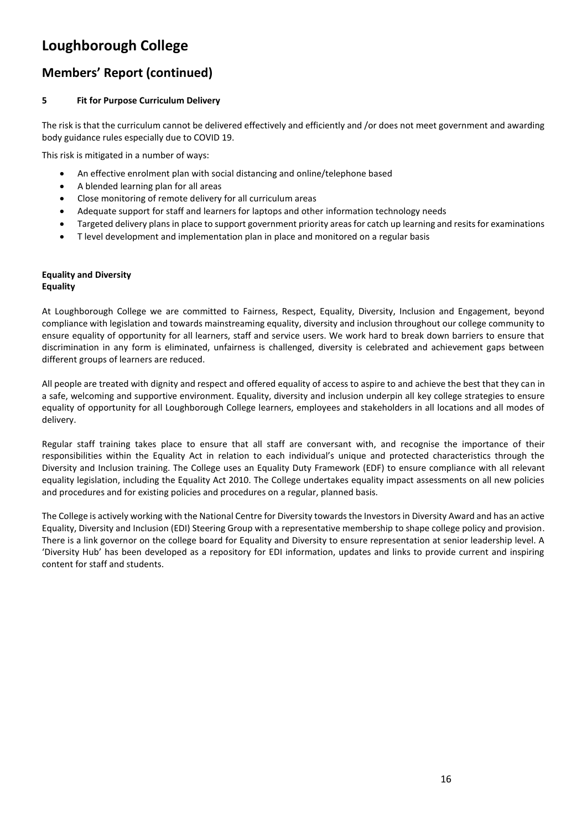# **Members' Report (continued)**

### **5 Fit for Purpose Curriculum Delivery**

The risk is that the curriculum cannot be delivered effectively and efficiently and /or does not meet government and awarding body guidance rules especially due to COVID 19.

This risk is mitigated in a number of ways:

- An effective enrolment plan with social distancing and online/telephone based
- A blended learning plan for all areas
- Close monitoring of remote delivery for all curriculum areas
- Adequate support for staff and learners for laptops and other information technology needs
- Targeted delivery plans in place to support government priority areas for catch up learning and resits for examinations
- T level development and implementation plan in place and monitored on a regular basis

#### **Equality and Diversity Equality**

At Loughborough College we are committed to Fairness, Respect, Equality, Diversity, Inclusion and Engagement, beyond compliance with legislation and towards mainstreaming equality, diversity and inclusion throughout our college community to ensure equality of opportunity for all learners, staff and service users. We work hard to break down barriers to ensure that discrimination in any form is eliminated, unfairness is challenged, diversity is celebrated and achievement gaps between different groups of learners are reduced.

All people are treated with dignity and respect and offered equality of access to aspire to and achieve the best that they can in a safe, welcoming and supportive environment. Equality, diversity and inclusion underpin all key college strategies to ensure equality of opportunity for all Loughborough College learners, employees and stakeholders in all locations and all modes of delivery.

Regular staff training takes place to ensure that all staff are conversant with, and recognise the importance of their responsibilities within the Equality Act in relation to each individual's unique and protected characteristics through the Diversity and Inclusion training. The College uses an Equality Duty Framework (EDF) to ensure compliance with all relevant equality legislation, including the Equality Act 2010. The College undertakes equality impact assessments on all new policies and procedures and for existing policies and procedures on a regular, planned basis.

The College is actively working with the National Centre for Diversity towards the Investors in Diversity Award and has an active Equality, Diversity and Inclusion (EDI) Steering Group with a representative membership to shape college policy and provision. There is a link governor on the college board for Equality and Diversity to ensure representation at senior leadership level. A 'Diversity Hub' has been developed as a repository for EDI information, updates and links to provide current and inspiring content for staff and students.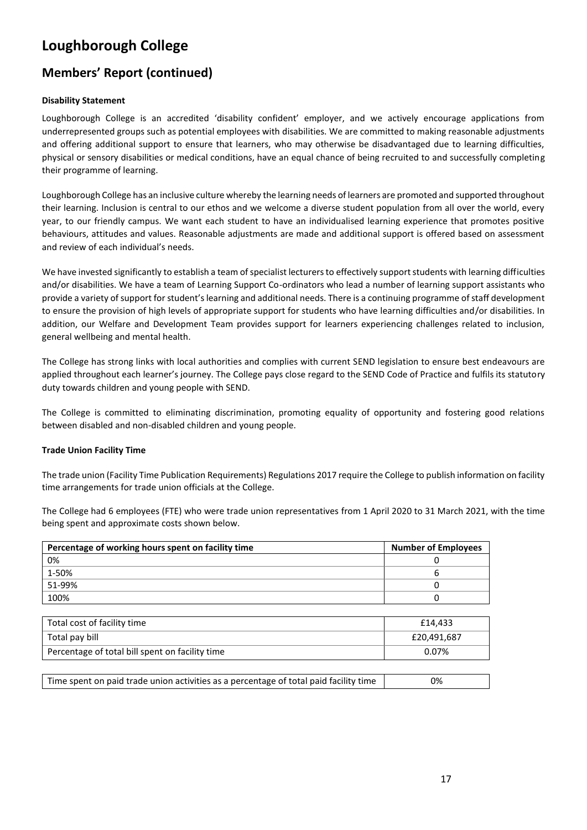# **Members' Report (continued)**

### **Disability Statement**

Loughborough College is an accredited 'disability confident' employer, and we actively encourage applications from underrepresented groups such as potential employees with disabilities. We are committed to making reasonable adjustments and offering additional support to ensure that learners, who may otherwise be disadvantaged due to learning difficulties, physical or sensory disabilities or medical conditions, have an equal chance of being recruited to and successfully completing their programme of learning.

Loughborough College has an inclusive culture whereby the learning needs of learners are promoted and supported throughout their learning. Inclusion is central to our ethos and we welcome a diverse student population from all over the world, every year, to our friendly campus. We want each student to have an individualised learning experience that promotes positive behaviours, attitudes and values. Reasonable adjustments are made and additional support is offered based on assessment and review of each individual's needs.

We have invested significantly to establish a team of specialist lecturers to effectively support students with learning difficulties and/or disabilities. We have a team of Learning Support Co-ordinators who lead a number of learning support assistants who provide a variety of support for student's learning and additional needs. There is a continuing programme of staff development to ensure the provision of high levels of appropriate support for students who have learning difficulties and/or disabilities. In addition, our Welfare and Development Team provides support for learners experiencing challenges related to inclusion, general wellbeing and mental health.

The College has strong links with local authorities and complies with current SEND legislation to ensure best endeavours are applied throughout each learner's journey. The College pays close regard to the SEND Code of Practice and fulfils its statutory duty towards children and young people with SEND.

The College is committed to eliminating discrimination, promoting equality of opportunity and fostering good relations between disabled and non-disabled children and young people.

### **Trade Union Facility Time**

The trade union (Facility Time Publication Requirements) Regulations 2017 require the College to publish information on facility time arrangements for trade union officials at the College.

The College had 6 employees (FTE) who were trade union representatives from 1 April 2020 to 31 March 2021, with the time being spent and approximate costs shown below.

| Percentage of working hours spent on facility time | <b>Number of Employees</b> |
|----------------------------------------------------|----------------------------|
| 0%                                                 | 0                          |
| 1-50%                                              | 6                          |
| 51-99%                                             | 0                          |
| 100%                                               |                            |
|                                                    |                            |
| Total cost of facility time                        | £14,433                    |
| Total pay bill                                     | £20,491,687                |
| Percentage of total bill spent on facility time    | 0.07%                      |
|                                                    |                            |

| Time spent on paid trade union activities as a percentage of total paid facility time | 0% |
|---------------------------------------------------------------------------------------|----|
|---------------------------------------------------------------------------------------|----|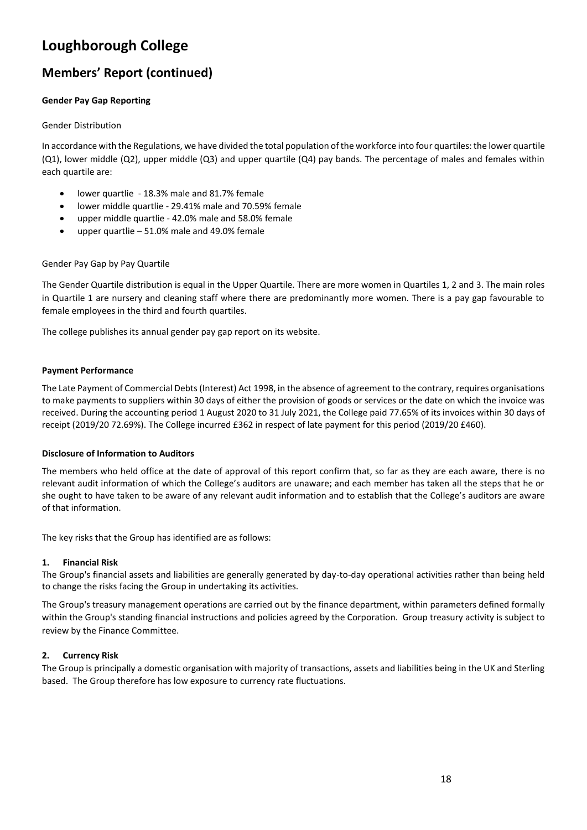# **Members' Report (continued)**

### **Gender Pay Gap Reporting**

### Gender Distribution

In accordance with the Regulations, we have divided the total population of the workforce into four quartiles: the lower quartile (Q1), lower middle (Q2), upper middle (Q3) and upper quartile (Q4) pay bands. The percentage of males and females within each quartile are:

- lower quartlie 18.3% male and 81.7% female
- lower middle quartlie 29.41% male and 70.59% female
- upper middle quartlie 42.0% male and 58.0% female
- upper quartlie  $-51.0\%$  male and 49.0% female

### Gender Pay Gap by Pay Quartile

The Gender Quartile distribution is equal in the Upper Quartile. There are more women in Quartiles 1, 2 and 3. The main roles in Quartile 1 are nursery and cleaning staff where there are predominantly more women. There is a pay gap favourable to female employees in the third and fourth quartiles.

The college publishes its annual gender pay gap report on its website.

### **Payment Performance**

The Late Payment of Commercial Debts (Interest) Act 1998, in the absence of agreement to the contrary, requires organisations to make payments to suppliers within 30 days of either the provision of goods or services or the date on which the invoice was received. During the accounting period 1 August 2020 to 31 July 2021, the College paid 77.65% of its invoices within 30 days of receipt (2019/20 72.69%). The College incurred £362 in respect of late payment for this period (2019/20 £460).

### **Disclosure of Information to Auditors**

The members who held office at the date of approval of this report confirm that, so far as they are each aware, there is no relevant audit information of which the College's auditors are unaware; and each member has taken all the steps that he or she ought to have taken to be aware of any relevant audit information and to establish that the College's auditors are aware of that information.

The key risks that the Group has identified are as follows:

### **1. Financial Risk**

The Group's financial assets and liabilities are generally generated by day-to-day operational activities rather than being held to change the risks facing the Group in undertaking its activities.

The Group's treasury management operations are carried out by the finance department, within parameters defined formally within the Group's standing financial instructions and policies agreed by the Corporation. Group treasury activity is subject to review by the Finance Committee.

### **2. Currency Risk**

The Group is principally a domestic organisation with majority of transactions, assets and liabilities being in the UK and Sterling based. The Group therefore has low exposure to currency rate fluctuations.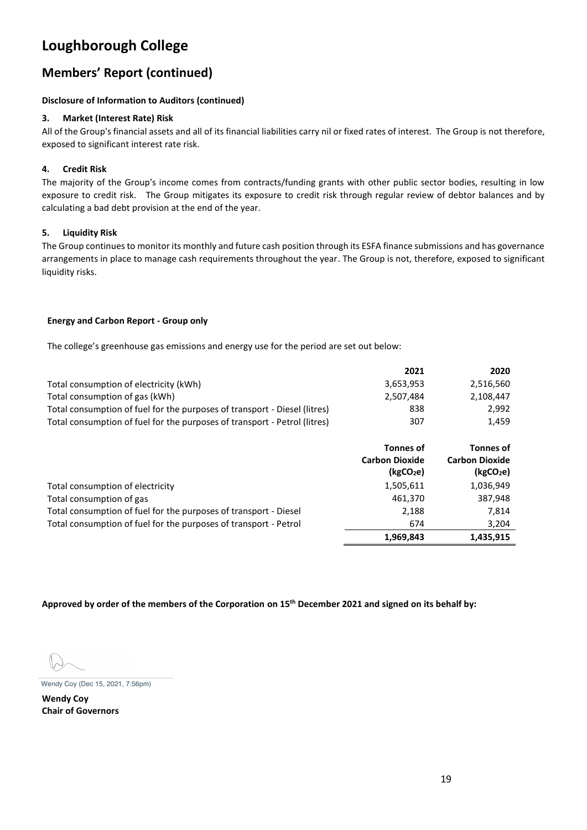# **Members' Report (continued)**

### **Disclosure of Information to Auditors (continued)**

### **3. Market (Interest Rate) Risk**

All of the Group's financial assets and all of its financial liabilities carry nil or fixed rates of interest. The Group is not therefore, exposed to significant interest rate risk.

### **4. Credit Risk**

The majority of the Group's income comes from contracts/funding grants with other public sector bodies, resulting in low exposure to credit risk. The Group mitigates its exposure to credit risk through regular review of debtor balances and by calculating a bad debt provision at the end of the year.

### **5. Liquidity Risk**

The Group continues to monitor its monthly and future cash position through its ESFA finance submissions and has governance arrangements in place to manage cash requirements throughout the year. The Group is not, therefore, exposed to significant liquidity risks.

### **Energy and Carbon Report - Group only**

The college's greenhouse gas emissions and energy use for the period are set out below:

|                                                                           | 2021                                                               | 2020                                                                               |
|---------------------------------------------------------------------------|--------------------------------------------------------------------|------------------------------------------------------------------------------------|
| Total consumption of electricity (kWh)                                    | 3,653,953                                                          | 2,516,560                                                                          |
| Total consumption of gas (kWh)                                            | 2,507,484                                                          | 2,108,447                                                                          |
| Total consumption of fuel for the purposes of transport - Diesel (litres) | 838                                                                | 2,992                                                                              |
| Total consumption of fuel for the purposes of transport - Petrol (litres) | 307                                                                | 1,459                                                                              |
|                                                                           | <b>Tonnes of</b><br><b>Carbon Dioxide</b><br>(kgCO <sub>2</sub> e) | <b>Tonnes of</b><br><b>Carbon Dioxide</b><br>( <b>kgCO</b> <sub>2</sub> <b>e</b> ) |
| Total consumption of electricity                                          | 1,505,611                                                          | 1,036,949                                                                          |
| Total consumption of gas                                                  | 461,370                                                            | 387,948                                                                            |
| Total consumption of fuel for the purposes of transport - Diesel          | 2,188                                                              | 7,814                                                                              |
| Total consumption of fuel for the purposes of transport - Petrol          | 674                                                                | 3,204                                                                              |
|                                                                           | 1,969,843                                                          | 1,435,915                                                                          |

**Approved by order of the members of the Corporation on 15 th December 2021 and signed on its behalf by:**

**Wendy Coy Chair of Governors**  Wendy Coy (Dec 15, 2021, 7:56pm)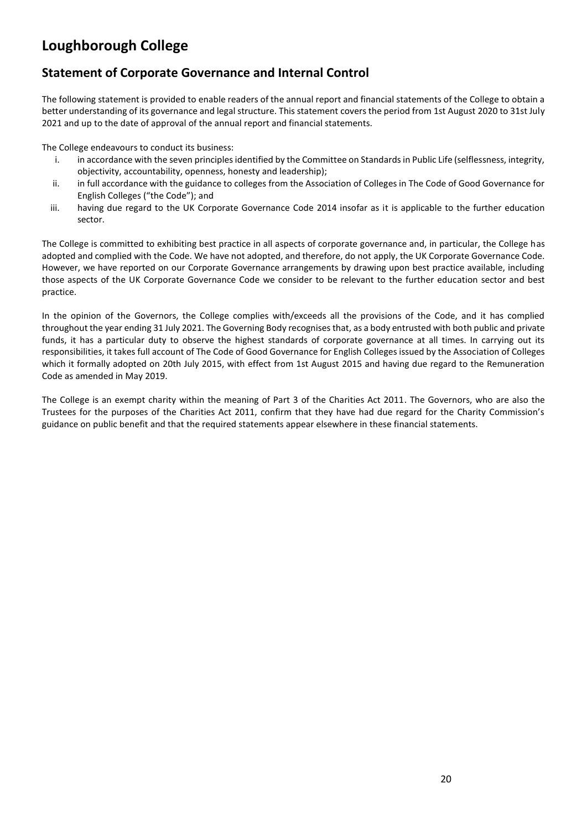## **Statement of Corporate Governance and Internal Control**

The following statement is provided to enable readers of the annual report and financial statements of the College to obtain a better understanding of its governance and legal structure. This statement covers the period from 1st August 2020 to 31st July 2021 and up to the date of approval of the annual report and financial statements.

The College endeavours to conduct its business:

- i. in accordance with the seven principles identified by the Committee on Standards in Public Life (selflessness, integrity, objectivity, accountability, openness, honesty and leadership);
- ii. in full accordance with the guidance to colleges from the Association of Colleges in The Code of Good Governance for English Colleges ("the Code"); and
- iii. having due regard to the UK Corporate Governance Code 2014 insofar as it is applicable to the further education sector.

The College is committed to exhibiting best practice in all aspects of corporate governance and, in particular, the College has adopted and complied with the Code. We have not adopted, and therefore, do not apply, the UK Corporate Governance Code. However, we have reported on our Corporate Governance arrangements by drawing upon best practice available, including those aspects of the UK Corporate Governance Code we consider to be relevant to the further education sector and best practice.

In the opinion of the Governors, the College complies with/exceeds all the provisions of the Code, and it has complied throughout the year ending 31 July 2021. The Governing Body recognises that, as a body entrusted with both public and private funds, it has a particular duty to observe the highest standards of corporate governance at all times. In carrying out its responsibilities, it takes full account of The Code of Good Governance for English Colleges issued by the Association of Colleges which it formally adopted on 20th July 2015, with effect from 1st August 2015 and having due regard to the Remuneration Code as amended in May 2019.

The College is an exempt charity within the meaning of Part 3 of the Charities Act 2011. The Governors, who are also the Trustees for the purposes of the Charities Act 2011, confirm that they have had due regard for the Charity Commission's guidance on public benefit and that the required statements appear elsewhere in these financial statements.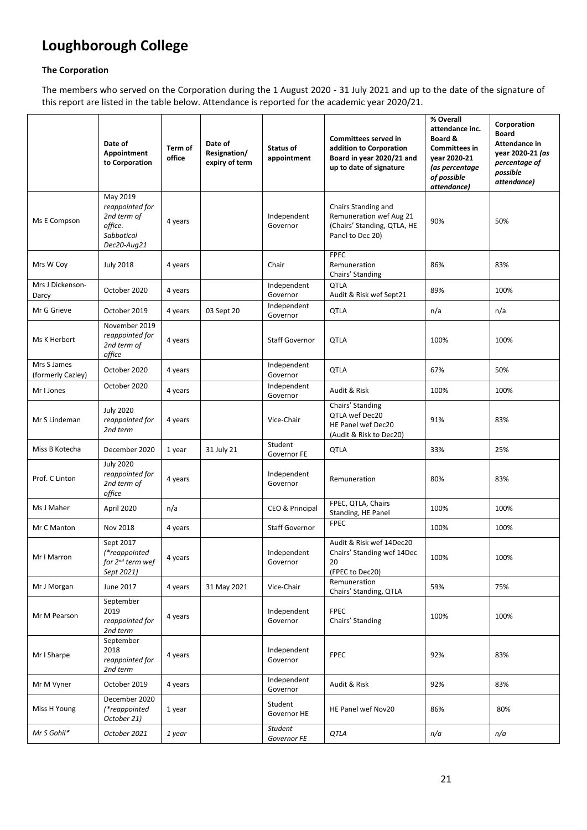### **The Corporation**

The members who served on the Corporation during the 1 August 2020 - 31 July 2021 and up to the date of the signature of this report are listed in the table below. Attendance is reported for the academic year 2020/21.

|                                  | Date of<br>Appointment<br>to Corporation                                           | Term of<br>office | Date of<br>Resignation/<br>expiry of term | Status of<br>appointment      | <b>Committees served in</b><br>addition to Corporation<br>Board in year 2020/21 and<br>up to date of signature | % Overall<br>attendance inc.<br>Board &<br><b>Committees in</b><br>vear 2020-21<br>(as percentage<br>of possible<br>attendance) | Corporation<br><b>Board</b><br>Attendance in<br>year 2020-21 (as<br>percentage of<br>possible<br>attendance) |
|----------------------------------|------------------------------------------------------------------------------------|-------------------|-------------------------------------------|-------------------------------|----------------------------------------------------------------------------------------------------------------|---------------------------------------------------------------------------------------------------------------------------------|--------------------------------------------------------------------------------------------------------------|
| Ms E Compson                     | May 2019<br>reappointed for<br>2nd term of<br>office.<br>Sabbatical<br>Dec20-Aug21 | 4 years           |                                           | Independent<br>Governor       | Chairs Standing and<br>Remuneration wef Aug 21<br>(Chairs' Standing, QTLA, HE<br>Panel to Dec 20)              | 90%                                                                                                                             | 50%                                                                                                          |
| Mrs W Coy                        | <b>July 2018</b>                                                                   | 4 years           |                                           | Chair                         | <b>FPEC</b><br>Remuneration<br>Chairs' Standing                                                                | 86%                                                                                                                             | 83%                                                                                                          |
| Mrs J Dickenson-<br>Darcy        | October 2020                                                                       | 4 years           |                                           | Independent<br>Governor       | <b>QTLA</b><br>Audit & Risk wef Sept21                                                                         | 89%                                                                                                                             | 100%                                                                                                         |
| Mr G Grieve                      | October 2019                                                                       | 4 years           | 03 Sept 20                                | Independent<br>Governor       | <b>QTLA</b>                                                                                                    | n/a                                                                                                                             | n/a                                                                                                          |
| Ms K Herbert                     | November 2019<br>reappointed for<br>2nd term of<br>office                          | 4 years           |                                           | <b>Staff Governor</b>         | <b>QTLA</b>                                                                                                    | 100%                                                                                                                            | 100%                                                                                                         |
| Mrs S James<br>(formerly Cazley) | October 2020                                                                       | 4 years           |                                           | Independent<br>Governor       | <b>QTLA</b>                                                                                                    | 67%                                                                                                                             | 50%                                                                                                          |
| Mr I Jones                       | October 2020                                                                       | 4 years           |                                           | Independent<br>Governor       | Audit & Risk                                                                                                   | 100%                                                                                                                            | 100%                                                                                                         |
| Mr S Lindeman                    | <b>July 2020</b><br>reappointed for<br>2nd term                                    | 4 years           |                                           | Vice-Chair                    | Chairs' Standing<br>QTLA wef Dec20<br>HE Panel wef Dec20<br>(Audit & Risk to Dec20)                            | 91%                                                                                                                             | 83%                                                                                                          |
| Miss B Kotecha                   | December 2020                                                                      | 1 year            | 31 July 21                                | Student<br>Governor FE        | <b>QTLA</b>                                                                                                    | 33%                                                                                                                             | 25%                                                                                                          |
| Prof. C Linton                   | <b>July 2020</b><br>reappointed for<br>2nd term of<br>office                       | 4 years           |                                           | Independent<br>Governor       | Remuneration                                                                                                   | 80%                                                                                                                             | 83%                                                                                                          |
| Ms J Maher                       | April 2020                                                                         | n/a               |                                           | CEO & Principal               | FPEC, QTLA, Chairs<br>Standing, HE Panel                                                                       | 100%                                                                                                                            | 100%                                                                                                         |
| Mr C Manton                      | Nov 2018                                                                           | 4 years           |                                           | <b>Staff Governor</b>         | <b>FPEC</b>                                                                                                    | 100%                                                                                                                            | 100%                                                                                                         |
| Mr I Marron                      | Sept 2017<br>(*reappointed<br>for 2 <sup>nd</sup> term wef<br>Sept 2021)           | 4 years           |                                           | Independent<br>Governor       | Audit & Risk wef 14Dec20<br>Chairs' Standing wef 14Dec<br>20<br>(FPEC to Dec20)                                | 100%                                                                                                                            | 100%                                                                                                         |
| Mr J Morgan                      | June 2017                                                                          | 4 years           | 31 May 2021                               | Vice-Chair                    | Remuneration<br>Chairs' Standing, QTLA                                                                         | 59%                                                                                                                             | 75%                                                                                                          |
| Mr M Pearson                     | September<br>2019<br>reappointed for<br>2nd term                                   | 4 years           |                                           | Independent<br>Governor       | <b>FPEC</b><br>Chairs' Standing                                                                                | 100%                                                                                                                            | 100%                                                                                                         |
| Mr I Sharpe                      | September<br>2018<br>reappointed for<br>2nd term                                   | 4 years           |                                           | Independent<br>Governor       | <b>FPEC</b>                                                                                                    | 92%                                                                                                                             | 83%                                                                                                          |
| Mr M Vyner                       | October 2019                                                                       | 4 years           |                                           | Independent<br>Governor       | Audit & Risk                                                                                                   | 92%                                                                                                                             | 83%                                                                                                          |
| Miss H Young                     | December 2020<br>(*reappointed<br>October 21)                                      | 1 year            |                                           | Student<br>Governor HE        | HE Panel wef Nov20                                                                                             | 86%                                                                                                                             | 80%                                                                                                          |
| Mr S Gohil*                      | October 2021                                                                       | 1 year            |                                           | <b>Student</b><br>Governor FE | QTLA                                                                                                           | n/a                                                                                                                             | n/a                                                                                                          |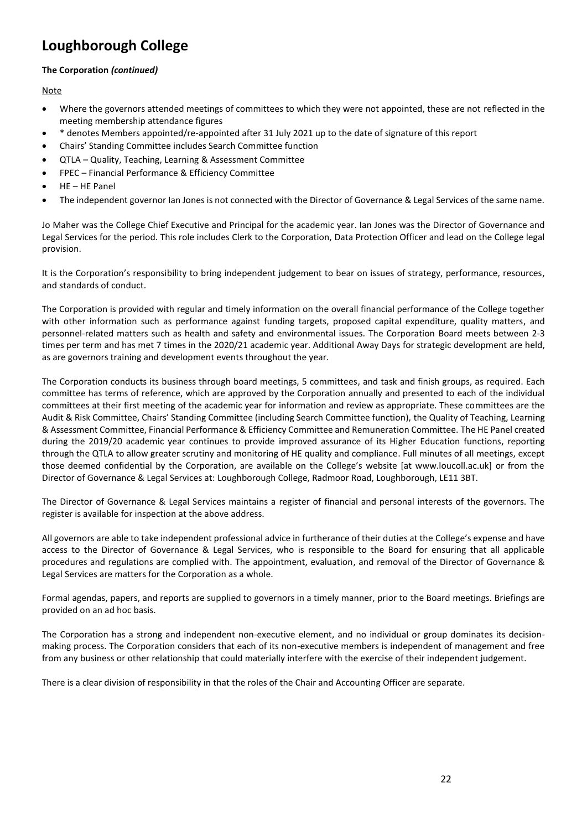### **The Corporation** *(continued)*

**Note** 

- Where the governors attended meetings of committees to which they were not appointed, these are not reflected in the meeting membership attendance figures
- \* denotes Members appointed/re-appointed after 31 July 2021 up to the date of signature of this report
- Chairs' Standing Committee includes Search Committee function
- QTLA Quality, Teaching, Learning & Assessment Committee
- FPEC Financial Performance & Efficiency Committee
- HE HE Panel
- The independent governor Ian Jones is not connected with the Director of Governance & Legal Services of the same name.

Jo Maher was the College Chief Executive and Principal for the academic year. Ian Jones was the Director of Governance and Legal Services for the period. This role includes Clerk to the Corporation, Data Protection Officer and lead on the College legal provision.

It is the Corporation's responsibility to bring independent judgement to bear on issues of strategy, performance, resources, and standards of conduct.

The Corporation is provided with regular and timely information on the overall financial performance of the College together with other information such as performance against funding targets, proposed capital expenditure, quality matters, and personnel-related matters such as health and safety and environmental issues. The Corporation Board meets between 2-3 times per term and has met 7 times in the 2020/21 academic year. Additional Away Days for strategic development are held, as are governors training and development events throughout the year.

The Corporation conducts its business through board meetings, 5 committees, and task and finish groups, as required. Each committee has terms of reference, which are approved by the Corporation annually and presented to each of the individual committees at their first meeting of the academic year for information and review as appropriate. These committees are the Audit & Risk Committee, Chairs' Standing Committee (including Search Committee function), the Quality of Teaching, Learning & Assessment Committee, Financial Performance & Efficiency Committee and Remuneration Committee. The HE Panel created during the 2019/20 academic year continues to provide improved assurance of its Higher Education functions, reporting through the QTLA to allow greater scrutiny and monitoring of HE quality and compliance. Full minutes of all meetings, except those deemed confidential by the Corporation, are available on the College's website [at www.loucoll.ac.uk] or from the Director of Governance & Legal Services at: Loughborough College, Radmoor Road, Loughborough, LE11 3BT.

The Director of Governance & Legal Services maintains a register of financial and personal interests of the governors. The register is available for inspection at the above address.

All governors are able to take independent professional advice in furtherance of their duties at the College's expense and have access to the Director of Governance & Legal Services, who is responsible to the Board for ensuring that all applicable procedures and regulations are complied with. The appointment, evaluation, and removal of the Director of Governance & Legal Services are matters for the Corporation as a whole.

Formal agendas, papers, and reports are supplied to governors in a timely manner, prior to the Board meetings. Briefings are provided on an ad hoc basis.

The Corporation has a strong and independent non-executive element, and no individual or group dominates its decisionmaking process. The Corporation considers that each of its non-executive members is independent of management and free from any business or other relationship that could materially interfere with the exercise of their independent judgement.

There is a clear division of responsibility in that the roles of the Chair and Accounting Officer are separate.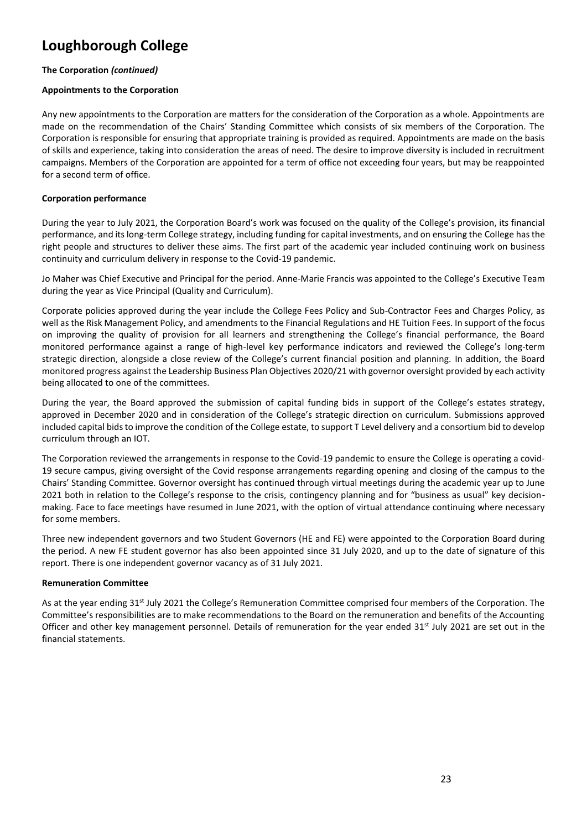### **The Corporation** *(continued)*

#### **Appointments to the Corporation**

Any new appointments to the Corporation are matters for the consideration of the Corporation as a whole. Appointments are made on the recommendation of the Chairs' Standing Committee which consists of six members of the Corporation. The Corporation is responsible for ensuring that appropriate training is provided as required. Appointments are made on the basis of skills and experience, taking into consideration the areas of need. The desire to improve diversity is included in recruitment campaigns. Members of the Corporation are appointed for a term of office not exceeding four years, but may be reappointed for a second term of office.

### **Corporation performance**

During the year to July 2021, the Corporation Board's work was focused on the quality of the College's provision, its financial performance, and its long-term College strategy, including funding for capital investments, and on ensuring the College has the right people and structures to deliver these aims. The first part of the academic year included continuing work on business continuity and curriculum delivery in response to the Covid-19 pandemic.

Jo Maher was Chief Executive and Principal for the period. Anne-Marie Francis was appointed to the College's Executive Team during the year as Vice Principal (Quality and Curriculum).

Corporate policies approved during the year include the College Fees Policy and Sub-Contractor Fees and Charges Policy, as well as the Risk Management Policy, and amendments to the Financial Regulations and HE Tuition Fees. In support of the focus on improving the quality of provision for all learners and strengthening the College's financial performance, the Board monitored performance against a range of high-level key performance indicators and reviewed the College's long-term strategic direction, alongside a close review of the College's current financial position and planning. In addition, the Board monitored progress against the Leadership Business Plan Objectives 2020/21 with governor oversight provided by each activity being allocated to one of the committees.

During the year, the Board approved the submission of capital funding bids in support of the College's estates strategy, approved in December 2020 and in consideration of the College's strategic direction on curriculum. Submissions approved included capital bids to improve the condition of the College estate, to support T Level delivery and a consortium bid to develop curriculum through an IOT.

The Corporation reviewed the arrangements in response to the Covid-19 pandemic to ensure the College is operating a covid-19 secure campus, giving oversight of the Covid response arrangements regarding opening and closing of the campus to the Chairs' Standing Committee. Governor oversight has continued through virtual meetings during the academic year up to June 2021 both in relation to the College's response to the crisis, contingency planning and for "business as usual" key decisionmaking. Face to face meetings have resumed in June 2021, with the option of virtual attendance continuing where necessary for some members.

Three new independent governors and two Student Governors (HE and FE) were appointed to the Corporation Board during the period. A new FE student governor has also been appointed since 31 July 2020, and up to the date of signature of this report. There is one independent governor vacancy as of 31 July 2021.

#### **Remuneration Committee**

As at the year ending 31<sup>st</sup> July 2021 the College's Remuneration Committee comprised four members of the Corporation. The Committee's responsibilities are to make recommendations to the Board on the remuneration and benefits of the Accounting Officer and other key management personnel. Details of remuneration for the year ended 31<sup>st</sup> July 2021 are set out in the financial statements.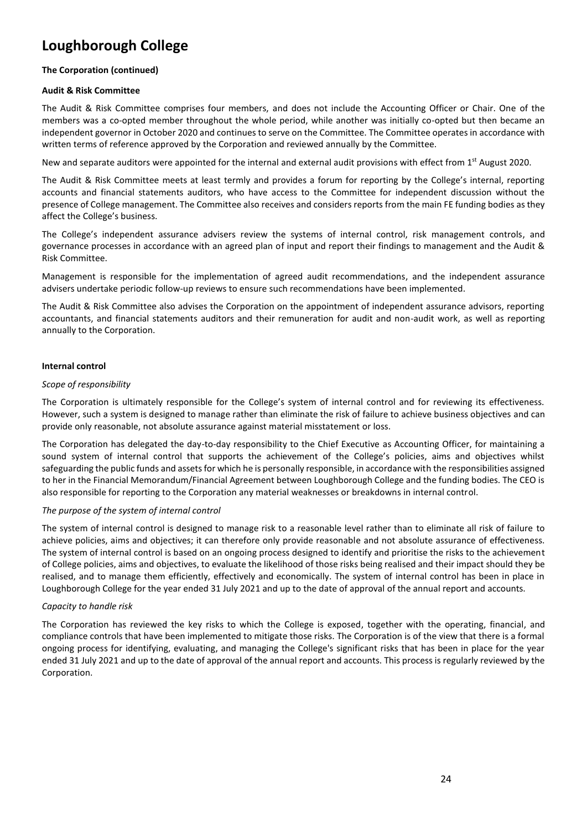#### **The Corporation (continued)**

#### **Audit & Risk Committee**

The Audit & Risk Committee comprises four members, and does not include the Accounting Officer or Chair. One of the members was a co-opted member throughout the whole period, while another was initially co-opted but then became an independent governor in October 2020 and continues to serve on the Committee. The Committee operates in accordance with written terms of reference approved by the Corporation and reviewed annually by the Committee.

New and separate auditors were appointed for the internal and external audit provisions with effect from 1<sup>st</sup> August 2020.

The Audit & Risk Committee meets at least termly and provides a forum for reporting by the College's internal, reporting accounts and financial statements auditors, who have access to the Committee for independent discussion without the presence of College management. The Committee also receives and considers reports from the main FE funding bodies as they affect the College's business.

The College's independent assurance advisers review the systems of internal control, risk management controls, and governance processes in accordance with an agreed plan of input and report their findings to management and the Audit & Risk Committee.

Management is responsible for the implementation of agreed audit recommendations, and the independent assurance advisers undertake periodic follow-up reviews to ensure such recommendations have been implemented.

The Audit & Risk Committee also advises the Corporation on the appointment of independent assurance advisors, reporting accountants, and financial statements auditors and their remuneration for audit and non-audit work, as well as reporting annually to the Corporation.

#### **Internal control**

#### *Scope of responsibility*

The Corporation is ultimately responsible for the College's system of internal control and for reviewing its effectiveness. However, such a system is designed to manage rather than eliminate the risk of failure to achieve business objectives and can provide only reasonable, not absolute assurance against material misstatement or loss.

The Corporation has delegated the day-to-day responsibility to the Chief Executive as Accounting Officer, for maintaining a sound system of internal control that supports the achievement of the College's policies, aims and objectives whilst safeguarding the public funds and assets for which he is personally responsible, in accordance with the responsibilities assigned to her in the Financial Memorandum/Financial Agreement between Loughborough College and the funding bodies. The CEO is also responsible for reporting to the Corporation any material weaknesses or breakdowns in internal control.

#### *The purpose of the system of internal control*

The system of internal control is designed to manage risk to a reasonable level rather than to eliminate all risk of failure to achieve policies, aims and objectives; it can therefore only provide reasonable and not absolute assurance of effectiveness. The system of internal control is based on an ongoing process designed to identify and prioritise the risks to the achievement of College policies, aims and objectives, to evaluate the likelihood of those risks being realised and their impact should they be realised, and to manage them efficiently, effectively and economically. The system of internal control has been in place in Loughborough College for the year ended 31 July 2021 and up to the date of approval of the annual report and accounts.

#### *Capacity to handle risk*

The Corporation has reviewed the key risks to which the College is exposed, together with the operating, financial, and compliance controls that have been implemented to mitigate those risks. The Corporation is of the view that there is a formal ongoing process for identifying, evaluating, and managing the College's significant risks that has been in place for the year ended 31 July 2021 and up to the date of approval of the annual report and accounts. This process is regularly reviewed by the Corporation.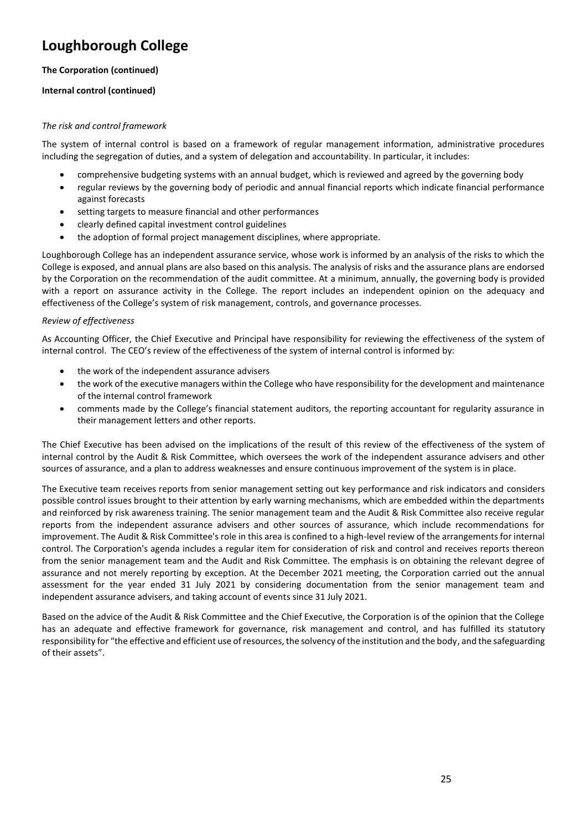### **The Corporation (continued)**

### **Internal control (continued)**

### *The risk and control framework*

The system of internal control is based on a framework of regular management information, administrative procedures including the segregation of duties, and a system of delegation and accountability. In particular, it includes:

- comprehensive budgeting systems with an annual budget, which is reviewed and agreed by the governing body
- regular reviews by the governing body of periodic and annual financial reports which indicate financial performance against forecasts
- setting targets to measure financial and other performances
- clearly defined capital investment control guidelines
- the adoption of formal project management disciplines, where appropriate.

Loughborough College has an independent assurance service, whose work is informed by an analysis of the risks to which the College is exposed, and annual plans are also based on this analysis. The analysis of risks and the assurance plans are endorsed by the Corporation on the recommendation of the audit committee. At a minimum, annually, the governing body is provided with a report on assurance activity in the College. The report includes an independent opinion on the adequacy and effectiveness of the College's system of risk management, controls, and governance processes.

#### *Review of effectiveness*

As Accounting Officer, the Chief Executive and Principal have responsibility for reviewing the effectiveness of the system of internal control. The CEO's review of the effectiveness of the system of internal control is informed by:

- the work of the independent assurance advisers
- the work of the executive managers within the College who have responsibility for the development and maintenance of the internal control framework
- comments made by the College's financial statement auditors, the reporting accountant for regularity assurance in their management letters and other reports.

The Chief Executive has been advised on the implications of the result of this review of the effectiveness of the system of internal control by the Audit & Risk Committee, which oversees the work of the independent assurance advisers and other sources of assurance, and a plan to address weaknesses and ensure continuous improvement of the system is in place.

The Executive team receives reports from senior management setting out key performance and risk indicators and considers possible control issues brought to their attention by early warning mechanisms, which are embedded within the departments and reinforced by risk awareness training. The senior management team and the Audit & Risk Committee also receive regular reports from the independent assurance advisers and other sources of assurance, which include recommendations for improvement. The Audit & Risk Committee's role in this area is confined to a high-level review of the arrangements for internal control. The Corporation's agenda includes a regular item for consideration of risk and control and receives reports thereon from the senior management team and the Audit and Risk Committee. The emphasis is on obtaining the relevant degree of assurance and not merely reporting by exception. At the December 2021 meeting, the Corporation carried out the annual assessment for the year ended 31 July 2021 by considering documentation from the senior management team and independent assurance advisers, and taking account of events since 31 July 2021.

Based on the advice of the Audit & Risk Committee and the Chief Executive, the Corporation is of the opinion that the College has an adequate and effective framework for governance, risk management and control, and has fulfilled its statutory responsibility for "the effective and efficient use of resources, the solvency of the institution and the body, and the safeguarding of their assets".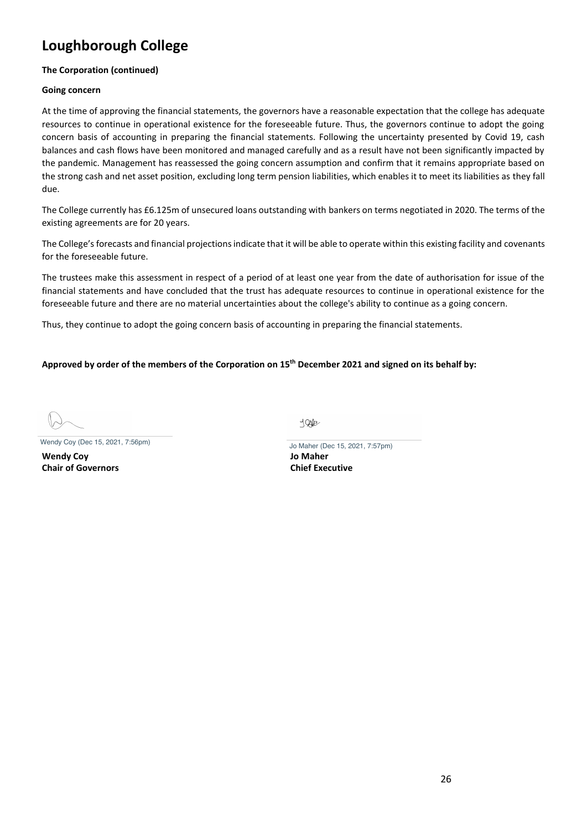### **The Corporation (continued)**

#### **Going concern**

At the time of approving the financial statements, the governors have a reasonable expectation that the college has adequate resources to continue in operational existence for the foreseeable future. Thus, the governors continue to adopt the going concern basis of accounting in preparing the financial statements. Following the uncertainty presented by Covid 19, cash balances and cash flows have been monitored and managed carefully and as a result have not been significantly impacted by the pandemic. Management has reassessed the going concern assumption and confirm that it remains appropriate based on the strong cash and net asset position, excluding long term pension liabilities, which enables it to meet its liabilities as they fall due.

The College currently has £6.125m of unsecured loans outstanding with bankers on terms negotiated in 2020. The terms of the existing agreements are for 20 years.

The College's forecasts and financial projections indicate that it will be able to operate within this existing facility and covenants for the foreseeable future.

The trustees make this assessment in respect of a period of at least one year from the date of authorisation for issue of the financial statements and have concluded that the trust has adequate resources to continue in operational existence for the foreseeable future and there are no material uncertainties about the college's ability to continue as a going concern.

Thus, they continue to adopt the going concern basis of accounting in preparing the financial statements.

#### **Approved by order of the members of the Corporation on 15 th December 2021 and signed on its behalf by:**

Wendy Coy (Dec 15, 2021, 7:56pm) Jo Maher (Dec 15, 2021, 7:57pm)

**Wendy Coy Jo Maher Chair of Governors Chief Executive**

**SQQD**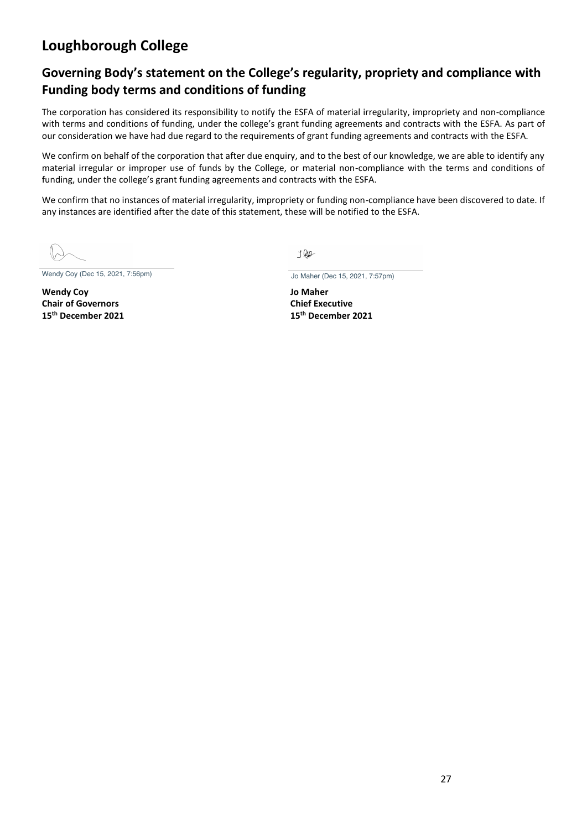# **Governing Body's statement on the College's regularity, propriety and compliance with Funding body terms and conditions of funding**

The corporation has considered its responsibility to notify the ESFA of material irregularity, impropriety and non-compliance with terms and conditions of funding, under the college's grant funding agreements and contracts with the ESFA. As part of our consideration we have had due regard to the requirements of grant funding agreements and contracts with the ESFA.

We confirm on behalf of the corporation that after due enquiry, and to the best of our knowledge, we are able to identify any material irregular or improper use of funds by the College, or material non-compliance with the terms and conditions of funding, under the college's grant funding agreements and contracts with the ESFA.

We confirm that no instances of material irregularity, impropriety or funding non-compliance have been discovered to date. If any instances are identified after the date of this statement, these will be notified to the ESFA.

Wendy Coy (Dec 15, 2021, 7:56pm) Jo Maher (Dec 15, 2021, 7:57pm)

**Wendy Coy Jo Maher Chair of Governors Chief Executive 15 th December 2021 15**

J RID-

**th December 2021**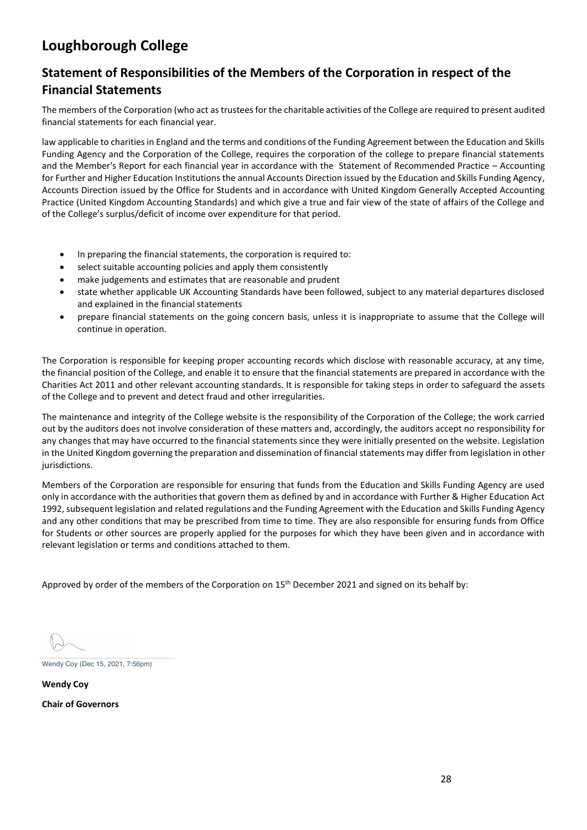# **Statement of Responsibilities of the Members of the Corporation in respect of the Financial Statements**

The members of the Corporation (who act as trustees for the charitable activities of the College are required to present audited financial statements for each financial year.

law applicable to charities in England and the terms and conditions of the Funding Agreement between the Education and Skills Funding Agency and the Corporation of the College, requires the corporation of the college to prepare financial statements and the Member's Report for each financial year in accordance with the Statement of Recommended Practice – Accounting for Further and Higher Education Institutions the annual Accounts Direction issued by the Education and Skills Funding Agency, Accounts Direction issued by the Office for Students and in accordance with United Kingdom Generally Accepted Accounting Practice (United Kingdom Accounting Standards) and which give a true and fair view of the state of affairs of the College and of the College's surplus/deficit of income over expenditure for that period.

- In preparing the financial statements, the corporation is required to:
- select suitable accounting policies and apply them consistently
- make judgements and estimates that are reasonable and prudent
- state whether applicable UK Accounting Standards have been followed, subject to any material departures disclosed and explained in the financial statements
- prepare financial statements on the going concern basis, unless it is inappropriate to assume that the College will continue in operation.

The Corporation is responsible for keeping proper accounting records which disclose with reasonable accuracy, at any time, the financial position of the College, and enable it to ensure that the financial statements are prepared in accordance with the Charities Act 2011 and other relevant accounting standards. It is responsible for taking steps in order to safeguard the assets of the College and to prevent and detect fraud and other irregularities.

The maintenance and integrity of the College website is the responsibility of the Corporation of the College; the work carried out by the auditors does not involve consideration of these matters and, accordingly, the auditors accept no responsibility for any changes that may have occurred to the financial statements since they were initially presented on the website. Legislation in the United Kingdom governing the preparation and dissemination of financial statements may differ from legislation in other jurisdictions.

Members of the Corporation are responsible for ensuring that funds from the Education and Skills Funding Agency are used only in accordance with the authorities that govern them as defined by and in accordance with Further & Higher Education Act 1992, subsequent legislation and related regulations and the Funding Agreement with the Education and Skills Funding Agency and any other conditions that may be prescribed from time to time. They are also responsible for ensuring funds from Office for Students or other sources are properly applied for the purposes for which they have been given and in accordance with relevant legislation or terms and conditions attached to them.

Approved by order of the members of the Corporation on 15<sup>th</sup> December 2021 and signed on its behalf by:

Wendy Coy (Dec 15, 2021, 7:56pm)

**Wendy Coy Chair of Governors**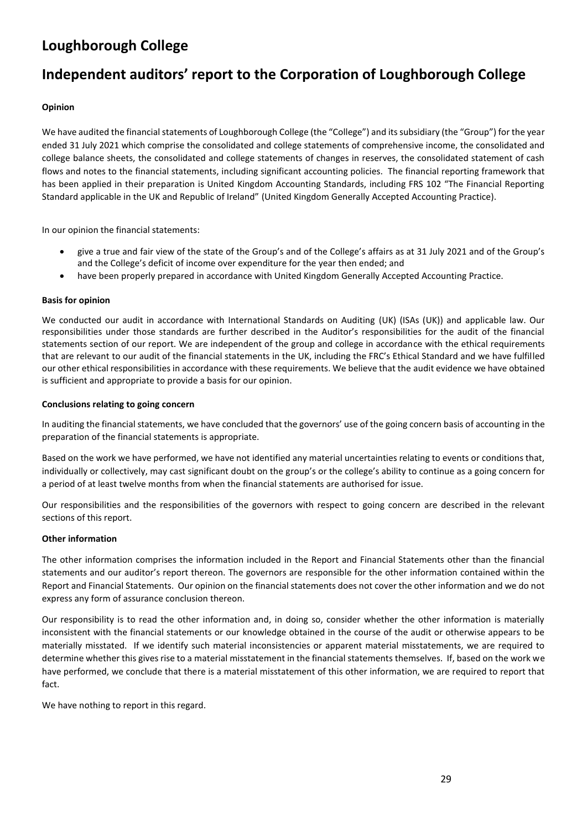# **Independent auditors' report to the Corporation of Loughborough College**

### **Opinion**

We have audited the financial statements of Loughborough College (the "College") and its subsidiary (the "Group") for the year ended 31 July 2021 which comprise the consolidated and college statements of comprehensive income, the consolidated and college balance sheets, the consolidated and college statements of changes in reserves, the consolidated statement of cash flows and notes to the financial statements, including significant accounting policies. The financial reporting framework that has been applied in their preparation is United Kingdom Accounting Standards, including FRS 102 "The Financial Reporting Standard applicable in the UK and Republic of Ireland" (United Kingdom Generally Accepted Accounting Practice).

In our opinion the financial statements:

- give a true and fair view of the state of the Group's and of the College's affairs as at 31 July 2021 and of the Group's and the College's deficit of income over expenditure for the year then ended; and
- have been properly prepared in accordance with United Kingdom Generally Accepted Accounting Practice.

#### **Basis for opinion**

We conducted our audit in accordance with International Standards on Auditing (UK) (ISAs (UK)) and applicable law. Our responsibilities under those standards are further described in the Auditor's responsibilities for the audit of the financial statements section of our report. We are independent of the group and college in accordance with the ethical requirements that are relevant to our audit of the financial statements in the UK, including the FRC's Ethical Standard and we have fulfilled our other ethical responsibilities in accordance with these requirements. We believe that the audit evidence we have obtained is sufficient and appropriate to provide a basis for our opinion.

#### **Conclusions relating to going concern**

In auditing the financial statements, we have concluded that the governors' use of the going concern basis of accounting in the preparation of the financial statements is appropriate.

Based on the work we have performed, we have not identified any material uncertainties relating to events or conditions that, individually or collectively, may cast significant doubt on the group's or the college's ability to continue as a going concern for a period of at least twelve months from when the financial statements are authorised for issue.

Our responsibilities and the responsibilities of the governors with respect to going concern are described in the relevant sections of this report.

#### **Other information**

The other information comprises the information included in the Report and Financial Statements other than the financial statements and our auditor's report thereon. The governors are responsible for the other information contained within the Report and Financial Statements. Our opinion on the financial statements does not cover the other information and we do not express any form of assurance conclusion thereon.

Our responsibility is to read the other information and, in doing so, consider whether the other information is materially inconsistent with the financial statements or our knowledge obtained in the course of the audit or otherwise appears to be materially misstated. If we identify such material inconsistencies or apparent material misstatements, we are required to determine whether this gives rise to a material misstatement in the financial statements themselves. If, based on the work we have performed, we conclude that there is a material misstatement of this other information, we are required to report that fact.

We have nothing to report in this regard.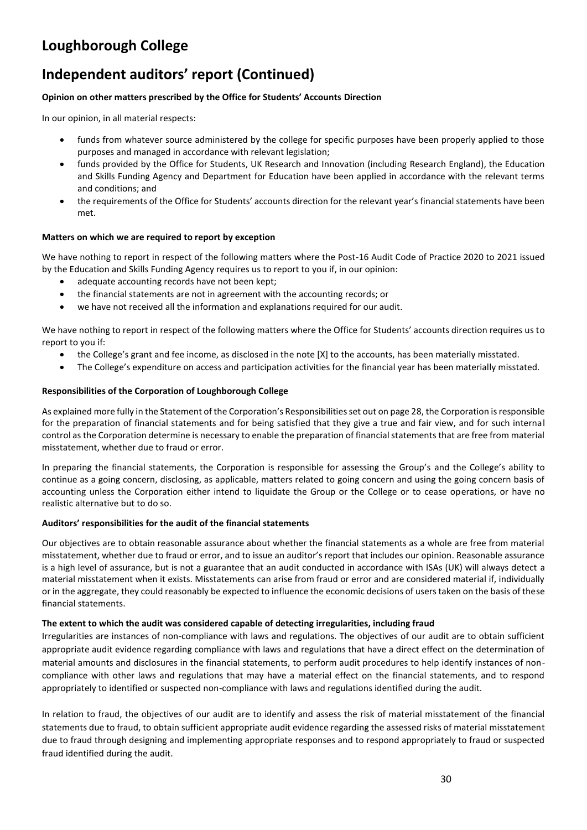# **Independent auditors' report (Continued)**

### **Opinion on other matters prescribed by the Office for Students' Accounts Direction**

In our opinion, in all material respects:

- funds from whatever source administered by the college for specific purposes have been properly applied to those purposes and managed in accordance with relevant legislation;
- funds provided by the Office for Students, UK Research and Innovation (including Research England), the Education and Skills Funding Agency and Department for Education have been applied in accordance with the relevant terms and conditions; and
- the requirements of the Office for Students' accounts direction for the relevant year's financial statements have been met.

#### **Matters on which we are required to report by exception**

We have nothing to report in respect of the following matters where the Post-16 Audit Code of Practice 2020 to 2021 issued by the Education and Skills Funding Agency requires us to report to you if, in our opinion:

- adequate accounting records have not been kept;
- the financial statements are not in agreement with the accounting records; or
- we have not received all the information and explanations required for our audit.

We have nothing to report in respect of the following matters where the Office for Students' accounts direction requires us to report to you if:

- the College's grant and fee income, as disclosed in the note [X] to the accounts, has been materially misstated.
- The College's expenditure on access and participation activities for the financial year has been materially misstated.

#### **Responsibilities of the Corporation of Loughborough College**

As explained more fully in the Statement of the Corporation's Responsibilities set out on page 28, the Corporation is responsible for the preparation of financial statements and for being satisfied that they give a true and fair view, and for such internal control as the Corporation determine is necessary to enable the preparation of financial statements that are free from material misstatement, whether due to fraud or error.

In preparing the financial statements, the Corporation is responsible for assessing the Group's and the College's ability to continue as a going concern, disclosing, as applicable, matters related to going concern and using the going concern basis of accounting unless the Corporation either intend to liquidate the Group or the College or to cease operations, or have no realistic alternative but to do so.

#### **Auditors' responsibilities for the audit of the financial statements**

Our objectives are to obtain reasonable assurance about whether the financial statements as a whole are free from material misstatement, whether due to fraud or error, and to issue an auditor's report that includes our opinion. Reasonable assurance is a high level of assurance, but is not a guarantee that an audit conducted in accordance with ISAs (UK) will always detect a material misstatement when it exists. Misstatements can arise from fraud or error and are considered material if, individually or in the aggregate, they could reasonably be expected to influence the economic decisions of users taken on the basis of these financial statements.

#### **The extent to which the audit was considered capable of detecting irregularities, including fraud**

Irregularities are instances of non-compliance with laws and regulations. The objectives of our audit are to obtain sufficient appropriate audit evidence regarding compliance with laws and regulations that have a direct effect on the determination of material amounts and disclosures in the financial statements, to perform audit procedures to help identify instances of noncompliance with other laws and regulations that may have a material effect on the financial statements, and to respond appropriately to identified or suspected non-compliance with laws and regulations identified during the audit.

In relation to fraud, the objectives of our audit are to identify and assess the risk of material misstatement of the financial statements due to fraud, to obtain sufficient appropriate audit evidence regarding the assessed risks of material misstatement due to fraud through designing and implementing appropriate responses and to respond appropriately to fraud or suspected fraud identified during the audit.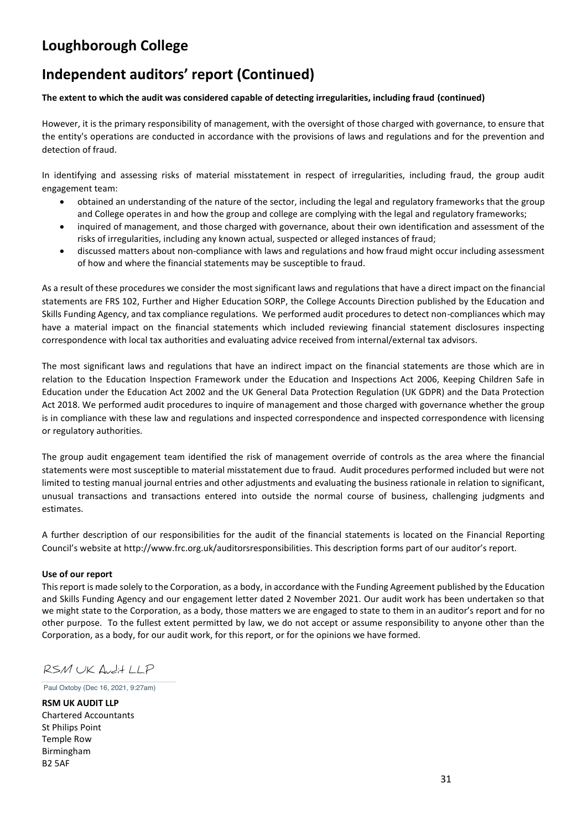# **Independent auditors' report (Continued)**

#### **The extent to which the audit was considered capable of detecting irregularities, including fraud (continued)**

However, it is the primary responsibility of management, with the oversight of those charged with governance, to ensure that the entity's operations are conducted in accordance with the provisions of laws and regulations and for the prevention and detection of fraud.

In identifying and assessing risks of material misstatement in respect of irregularities, including fraud, the group audit engagement team:

- obtained an understanding of the nature of the sector, including the legal and regulatory frameworks that the group and College operates in and how the group and college are complying with the legal and regulatory frameworks;
- inquired of management, and those charged with governance, about their own identification and assessment of the risks of irregularities, including any known actual, suspected or alleged instances of fraud;
- discussed matters about non-compliance with laws and regulations and how fraud might occur including assessment of how and where the financial statements may be susceptible to fraud.

As a result of these procedures we consider the most significant laws and regulations that have a direct impact on the financial statements are FRS 102, Further and Higher Education SORP, the College Accounts Direction published by the Education and Skills Funding Agency, and tax compliance regulations. We performed audit procedures to detect non-compliances which may have a material impact on the financial statements which included reviewing financial statement disclosures inspecting correspondence with local tax authorities and evaluating advice received from internal/external tax advisors.

The most significant laws and regulations that have an indirect impact on the financial statements are those which are in relation to the Education Inspection Framework under the Education and Inspections Act 2006, Keeping Children Safe in Education under the Education Act 2002 and the UK General Data Protection Regulation (UK GDPR) and the Data Protection Act 2018. We performed audit procedures to inquire of management and those charged with governance whether the group is in compliance with these law and regulations and inspected correspondence and inspected correspondence with licensing or regulatory authorities.

The group audit engagement team identified the risk of management override of controls as the area where the financial statements were most susceptible to material misstatement due to fraud. Audit procedures performed included but were not limited to testing manual journal entries and other adjustments and evaluating the business rationale in relation to significant, unusual transactions and transactions entered into outside the normal course of business, challenging judgments and estimates.

A further description of our responsibilities for the audit of the financial statements is located on the Financial Reporting Council's website at http://www.frc.org.uk/auditorsresponsibilities. This description forms part of our auditor's report.

#### **Use of our report**

This report is made solely to the Corporation, as a body, in accordance with the Funding Agreement published by the Education and Skills Funding Agency and our engagement letter dated 2 November 2021. Our audit work has been undertaken so that we might state to the Corporation, as a body, those matters we are engaged to state to them in an auditor's report and for no other purpose. To the fullest extent permitted by law, we do not accept or assume responsibility to anyone other than the Corporation, as a body, for our audit work, for this report, or for the opinions we have formed.

RSM UK Audit LLP

Paul Oxtoby (Dec 16, 2021, 9:27am)

**RSM UK AUDIT LLP** Chartered Accountants St Philips Point Temple Row Birmingham B2 5AF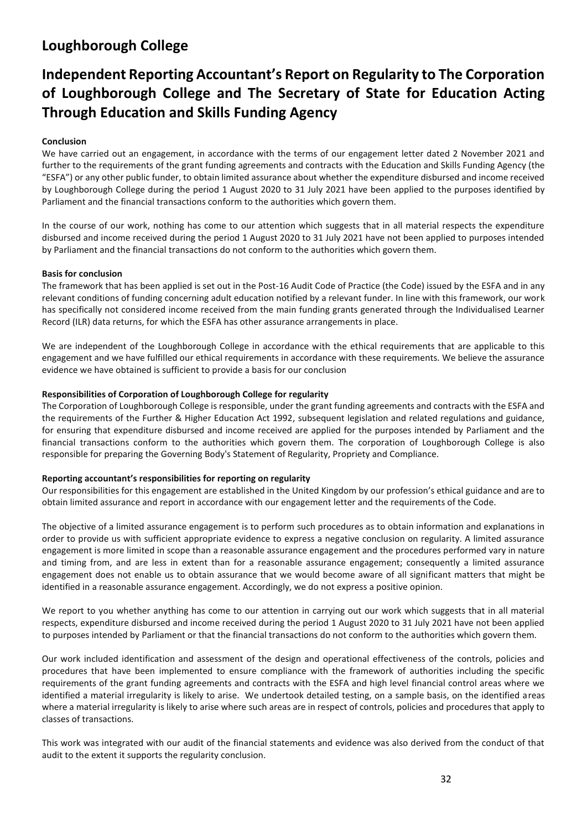# **Independent Reporting Accountant's Report on Regularity to The Corporation of Loughborough College and The Secretary of State for Education Acting Through Education and Skills Funding Agency**

### **Conclusion**

We have carried out an engagement, in accordance with the terms of our engagement letter dated 2 November 2021 and further to the requirements of the grant funding agreements and contracts with the Education and Skills Funding Agency (the "ESFA") or any other public funder, to obtain limited assurance about whether the expenditure disbursed and income received by Loughborough College during the period 1 August 2020 to 31 July 2021 have been applied to the purposes identified by Parliament and the financial transactions conform to the authorities which govern them.

In the course of our work, nothing has come to our attention which suggests that in all material respects the expenditure disbursed and income received during the period 1 August 2020 to 31 July 2021 have not been applied to purposes intended by Parliament and the financial transactions do not conform to the authorities which govern them.

#### **Basis for conclusion**

The framework that has been applied is set out in the Post-16 Audit Code of Practice (the Code) issued by the ESFA and in any relevant conditions of funding concerning adult education notified by a relevant funder. In line with this framework, our work has specifically not considered income received from the main funding grants generated through the Individualised Learner Record (ILR) data returns, for which the ESFA has other assurance arrangements in place.

We are independent of the Loughborough College in accordance with the ethical requirements that are applicable to this engagement and we have fulfilled our ethical requirements in accordance with these requirements. We believe the assurance evidence we have obtained is sufficient to provide a basis for our conclusion

#### **Responsibilities of Corporation of Loughborough College for regularity**

The Corporation of Loughborough College is responsible, under the grant funding agreements and contracts with the ESFA and the requirements of the Further & Higher Education Act 1992, subsequent legislation and related regulations and guidance, for ensuring that expenditure disbursed and income received are applied for the purposes intended by Parliament and the financial transactions conform to the authorities which govern them. The corporation of Loughborough College is also responsible for preparing the Governing Body's Statement of Regularity, Propriety and Compliance.

#### **Reporting accountant's responsibilities for reporting on regularity**

Our responsibilities for this engagement are established in the United Kingdom by our profession's ethical guidance and are to obtain limited assurance and report in accordance with our engagement letter and the requirements of the Code.

The objective of a limited assurance engagement is to perform such procedures as to obtain information and explanations in order to provide us with sufficient appropriate evidence to express a negative conclusion on regularity. A limited assurance engagement is more limited in scope than a reasonable assurance engagement and the procedures performed vary in nature and timing from, and are less in extent than for a reasonable assurance engagement; consequently a limited assurance engagement does not enable us to obtain assurance that we would become aware of all significant matters that might be identified in a reasonable assurance engagement. Accordingly, we do not express a positive opinion.

We report to you whether anything has come to our attention in carrying out our work which suggests that in all material respects, expenditure disbursed and income received during the period 1 August 2020 to 31 July 2021 have not been applied to purposes intended by Parliament or that the financial transactions do not conform to the authorities which govern them.

Our work included identification and assessment of the design and operational effectiveness of the controls, policies and procedures that have been implemented to ensure compliance with the framework of authorities including the specific requirements of the grant funding agreements and contracts with the ESFA and high level financial control areas where we identified a material irregularity is likely to arise. We undertook detailed testing, on a sample basis, on the identified areas where a material irregularity is likely to arise where such areas are in respect of controls, policies and procedures that apply to classes of transactions.

This work was integrated with our audit of the financial statements and evidence was also derived from the conduct of that audit to the extent it supports the regularity conclusion.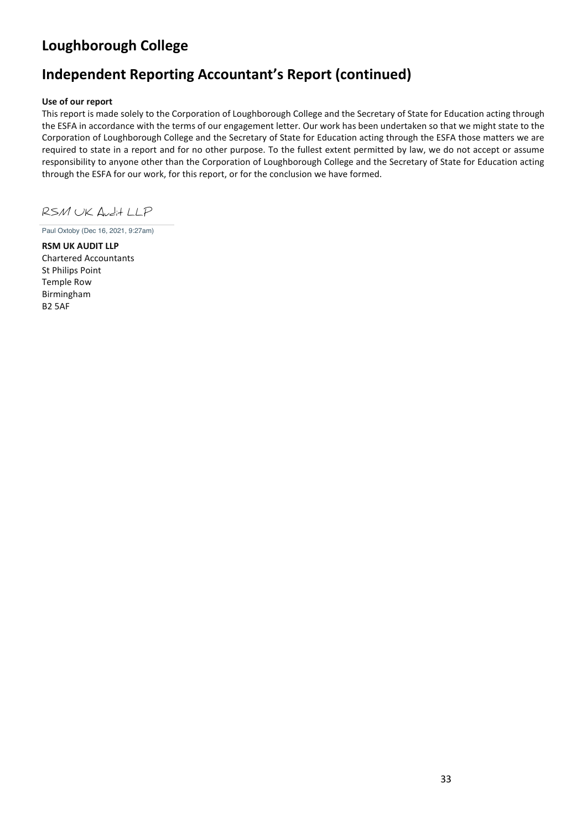# **Independent Reporting Accountant's Report (continued)**

### **Use of our report**

This report is made solely to the Corporation of Loughborough College and the Secretary of State for Education acting through the ESFA in accordance with the terms of our engagement letter. Our work has been undertaken so that we might state to the Corporation of Loughborough College and the Secretary of State for Education acting through the ESFA those matters we are required to state in a report and for no other purpose. To the fullest extent permitted by law, we do not accept or assume responsibility to anyone other than the Corporation of Loughborough College and the Secretary of State for Education acting through the ESFA for our work, for this report, or for the conclusion we have formed.

RSM UK Audit LLP

Paul Oxtoby (Dec 16, 2021, 9:27am)

**RSM UK AUDIT LLP**  Chartered Accountants St Philips Point Temple Row Birmingham B2 5AF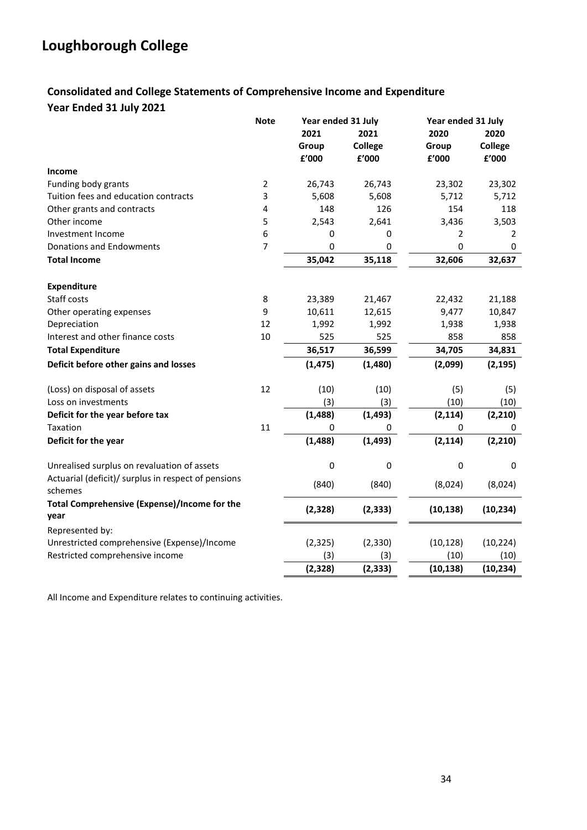## **Consolidated and College Statements of Comprehensive Income and Expenditure Year Ended 31 July 2021**

|                                                                | <b>Note</b>    | Year ended 31 July |          | Year ended 31 July |           |
|----------------------------------------------------------------|----------------|--------------------|----------|--------------------|-----------|
|                                                                |                | 2021               | 2021     | 2020               | 2020      |
|                                                                |                | Group              | College  | Group              | College   |
|                                                                |                | £'000              | £'000    | £'000              | f'000     |
| Income                                                         |                |                    |          |                    |           |
| Funding body grants                                            | $\mathbf 2$    | 26,743             | 26,743   | 23,302             | 23,302    |
| Tuition fees and education contracts                           | 3              | 5,608              | 5,608    | 5,712              | 5,712     |
| Other grants and contracts                                     | 4              | 148                | 126      | 154                | 118       |
| Other income                                                   | 5              | 2,543              | 2,641    | 3,436              | 3,503     |
| Investment Income                                              | 6              | 0                  | 0        | 2                  | 2         |
| <b>Donations and Endowments</b>                                | $\overline{7}$ | $\mathbf 0$        | 0        | 0                  | 0         |
| <b>Total Income</b>                                            |                | 35,042             | 35,118   | 32,606             | 32,637    |
| <b>Expenditure</b>                                             |                |                    |          |                    |           |
| Staff costs                                                    | 8              | 23,389             | 21,467   | 22,432             | 21,188    |
| Other operating expenses                                       | 9              | 10,611             | 12,615   | 9,477              | 10,847    |
| Depreciation                                                   | 12             | 1,992              | 1,992    | 1,938              | 1,938     |
| Interest and other finance costs                               | 10             | 525                | 525      | 858                | 858       |
| <b>Total Expenditure</b>                                       |                | 36,517             | 36,599   | 34,705             | 34,831    |
| Deficit before other gains and losses                          |                | (1, 475)           | (1,480)  | (2,099)            | (2, 195)  |
| (Loss) on disposal of assets                                   | 12             | (10)               | (10)     | (5)                | (5)       |
| Loss on investments                                            |                | (3)                | (3)      | (10)               | (10)      |
| Deficit for the year before tax                                |                | (1, 488)           | (1, 493) | (2, 114)           | (2, 210)  |
| Taxation                                                       | 11             | $\Omega$           | 0        | 0                  | 0         |
| Deficit for the year                                           |                | (1, 488)           | (1, 493) | (2, 114)           | (2, 210)  |
| Unrealised surplus on revaluation of assets                    |                | $\pmb{0}$          | 0        | $\pmb{0}$          | 0         |
| Actuarial (deficit)/ surplus in respect of pensions<br>schemes |                | (840)              | (840)    | (8,024)            | (8,024)   |
| <b>Total Comprehensive (Expense)/Income for the</b><br>year    |                | (2, 328)           | (2, 333) | (10, 138)          | (10, 234) |
| Represented by:                                                |                |                    |          |                    |           |
| Unrestricted comprehensive (Expense)/Income                    |                | (2, 325)           | (2, 330) | (10, 128)          | (10, 224) |
| Restricted comprehensive income                                |                | (3)                | (3)      | (10)               | (10)      |
|                                                                |                | (2, 328)           | (2, 333) | (10, 138)          | (10, 234) |

All Income and Expenditure relates to continuing activities.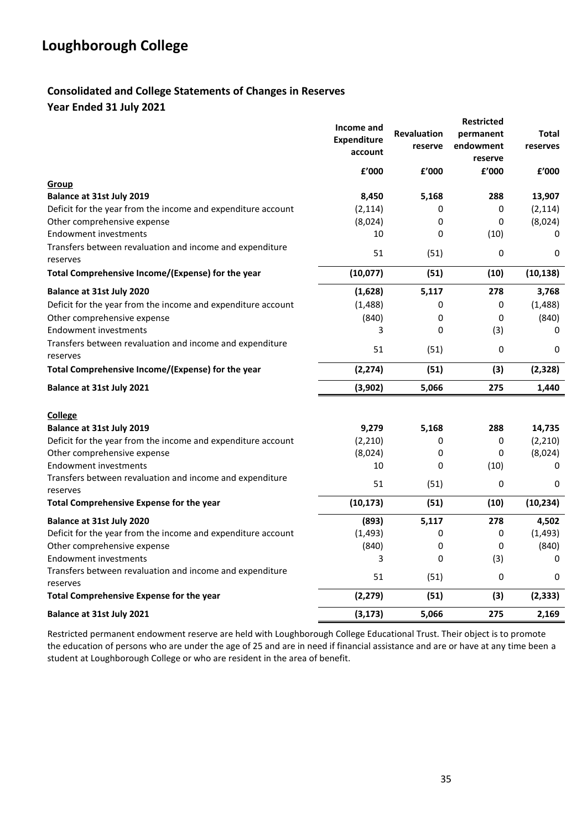## **Consolidated and College Statements of Changes in Reserves Year Ended 31 July 2021**

| Group<br><b>Balance at 31st July 2019</b><br>Deficit for the year from the income and expenditure account | Income and<br><b>Expenditure</b><br>account<br>f'000<br>8,450<br>(2, 114) | <b>Revaluation</b><br>reserve<br>f'000<br>5,168<br>0 | <b>Restricted</b><br>permanent<br>endowment<br>reserve<br>£'000<br>288<br>0 | Total<br>reserves<br>£'000<br>13,907<br>(2, 114) |
|-----------------------------------------------------------------------------------------------------------|---------------------------------------------------------------------------|------------------------------------------------------|-----------------------------------------------------------------------------|--------------------------------------------------|
| Other comprehensive expense                                                                               | (8,024)                                                                   | 0                                                    | 0                                                                           | (8,024)                                          |
| <b>Endowment investments</b><br>Transfers between revaluation and income and expenditure                  | 10<br>51                                                                  | 0<br>(51)                                            | (10)<br>0                                                                   | 0<br>0                                           |
| reserves<br>Total Comprehensive Income/(Expense) for the year                                             | (10,077)                                                                  | (51)                                                 | (10)                                                                        | (10, 138)                                        |
| <b>Balance at 31st July 2020</b>                                                                          | (1,628)                                                                   | 5,117                                                | 278                                                                         | 3,768                                            |
| Deficit for the year from the income and expenditure account                                              | (1, 488)                                                                  | 0                                                    | 0                                                                           | (1, 488)                                         |
| Other comprehensive expense                                                                               | (840)                                                                     | 0                                                    | 0                                                                           | (840)                                            |
| <b>Endowment investments</b>                                                                              | 3                                                                         | 0                                                    | (3)                                                                         | 0                                                |
| Transfers between revaluation and income and expenditure<br>reserves                                      | 51                                                                        | (51)                                                 | 0                                                                           | 0                                                |
| Total Comprehensive Income/(Expense) for the year                                                         | (2, 274)                                                                  | (51)                                                 | (3)                                                                         | (2, 328)                                         |
| Balance at 31st July 2021                                                                                 | (3,902)                                                                   | 5,066                                                | 275                                                                         | 1,440                                            |
| <b>College</b>                                                                                            |                                                                           |                                                      |                                                                             |                                                  |
| <b>Balance at 31st July 2019</b>                                                                          | 9,279                                                                     | 5,168                                                | 288                                                                         | 14,735                                           |
| Deficit for the year from the income and expenditure account                                              | (2, 210)                                                                  | 0                                                    | 0                                                                           | (2, 210)                                         |
| Other comprehensive expense<br><b>Endowment investments</b>                                               | (8,024)<br>10                                                             | 0<br>0                                               | 0<br>(10)                                                                   | (8,024)<br>0                                     |
| Transfers between revaluation and income and expenditure<br>reserves                                      | 51                                                                        | (51)                                                 | 0                                                                           | 0                                                |
| Total Comprehensive Expense for the year                                                                  | (10, 173)                                                                 | (51)                                                 | (10)                                                                        | (10, 234)                                        |
| Balance at 31st July 2020                                                                                 | (893)                                                                     | 5,117                                                | 278                                                                         | 4,502                                            |
| Deficit for the year from the income and expenditure account                                              | (1, 493)                                                                  | 0                                                    | 0                                                                           | (1, 493)                                         |
| Other comprehensive expense                                                                               | (840)                                                                     | 0                                                    | 0                                                                           | (840)                                            |
| <b>Endowment investments</b><br>Transfers between revaluation and income and expenditure<br>reserves      | 3<br>51                                                                   | 0<br>(51)                                            | (3)<br>0                                                                    | 0<br>0                                           |
| Total Comprehensive Expense for the year                                                                  | (2, 279)                                                                  | (51)                                                 | (3)                                                                         | (2, 333)                                         |
| Balance at 31st July 2021                                                                                 | (3, 173)                                                                  | 5,066                                                | 275                                                                         | 2,169                                            |

Restricted permanent endowment reserve are held with Loughborough College Educational Trust. Their object is to promote the education of persons who are under the age of 25 and are in need if financial assistance and are or have at any time been a student at Loughborough College or who are resident in the area of benefit.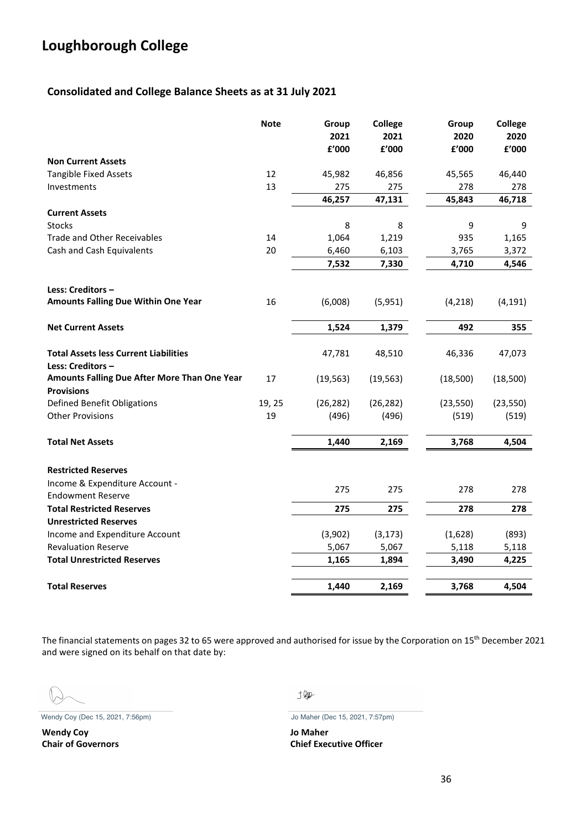## **Consolidated and College Balance Sheets as at 31 July 2021**

|                                                                   | <b>Note</b> | Group<br>2021<br>£'000 | College<br>2021<br>£'000 | Group<br>2020<br>£'000 | <b>College</b><br>2020<br>£'000 |
|-------------------------------------------------------------------|-------------|------------------------|--------------------------|------------------------|---------------------------------|
| <b>Non Current Assets</b>                                         |             |                        |                          |                        |                                 |
| <b>Tangible Fixed Assets</b>                                      | 12          | 45,982                 | 46,856                   | 45,565                 | 46,440                          |
| Investments                                                       | 13          | 275                    | 275                      | 278                    | 278                             |
|                                                                   |             | 46,257                 | 47,131                   | 45,843                 | 46,718                          |
| <b>Current Assets</b>                                             |             |                        |                          |                        |                                 |
| <b>Stocks</b>                                                     |             | 8                      | 8                        | 9                      | 9                               |
| <b>Trade and Other Receivables</b>                                | 14          | 1,064                  | 1,219                    | 935                    | 1,165                           |
| Cash and Cash Equivalents                                         | 20          | 6,460                  | 6,103                    | 3,765                  | 3,372                           |
|                                                                   |             | 7,532                  | 7,330                    | 4,710                  | 4,546                           |
| Less: Creditors-                                                  |             |                        |                          |                        |                                 |
| <b>Amounts Falling Due Within One Year</b>                        | 16          | (6,008)                | (5,951)                  | (4, 218)               | (4, 191)                        |
| <b>Net Current Assets</b>                                         |             | 1,524                  | 1,379                    | 492                    | 355                             |
| <b>Total Assets less Current Liabilities</b><br>Less: Creditors - |             | 47,781                 | 48,510                   | 46,336                 | 47,073                          |
| Amounts Falling Due After More Than One Year<br><b>Provisions</b> | 17          | (19, 563)              | (19, 563)                | (18,500)               | (18, 500)                       |
| <b>Defined Benefit Obligations</b>                                | 19, 25      | (26, 282)              | (26, 282)                | (23, 550)              | (23, 550)                       |
| <b>Other Provisions</b>                                           | 19          | (496)                  | (496)                    | (519)                  | (519)                           |
| <b>Total Net Assets</b>                                           |             | 1,440                  | 2,169                    | 3,768                  | 4,504                           |
| <b>Restricted Reserves</b>                                        |             |                        |                          |                        |                                 |
| Income & Expenditure Account -<br><b>Endowment Reserve</b>        |             | 275                    | 275                      | 278                    | 278                             |
| <b>Total Restricted Reserves</b>                                  |             | 275                    | 275                      | 278                    | 278                             |
| <b>Unrestricted Reserves</b>                                      |             |                        |                          |                        |                                 |
| Income and Expenditure Account                                    |             | (3,902)                | (3, 173)                 | (1,628)                | (893)                           |
| <b>Revaluation Reserve</b>                                        |             | 5,067                  | 5,067                    | 5,118                  | 5,118                           |
| <b>Total Unrestricted Reserves</b>                                |             | 1,165                  | 1,894                    | 3,490                  | 4,225                           |
| <b>Total Reserves</b>                                             |             | 1,440                  | 2,169                    | 3,768                  | 4,504                           |

The financial statements on pages 32 to 65 were approved and authorised for issue by the Corporation on 15<sup>th</sup> December 2021 and were signed on its behalf on that date by:

Wendy Coy (Dec 15, 2021, 7:56pm) Jo Maher (Dec 15, 2021, 7:57pm)

**Wendy Coy Jo Maher**

 $JQ\!\!\!\!/P$ 

**Chair of Governors Chief Executive Officer**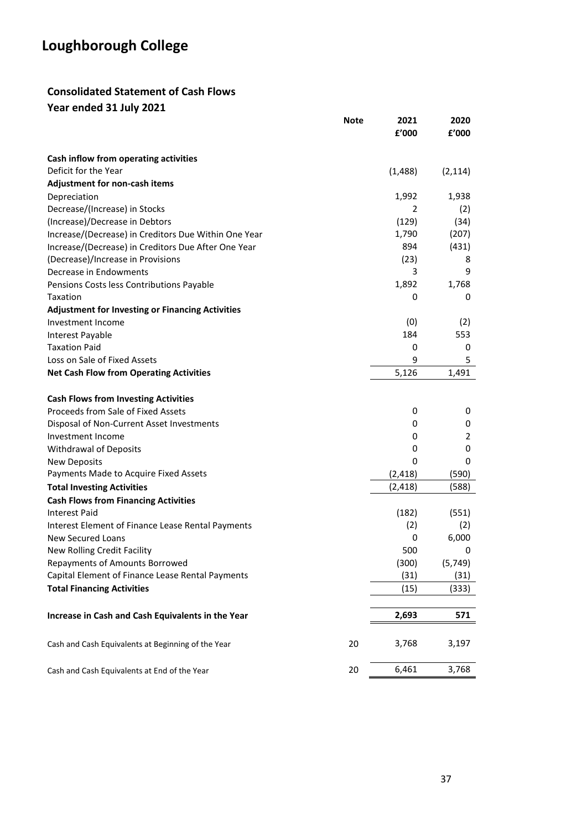## **Consolidated Statement of Cash Flows Year ended 31 July 2021**

|                                                         | <b>Note</b> | 2021<br>£'000 | 2020<br>£'000 |
|---------------------------------------------------------|-------------|---------------|---------------|
| Cash inflow from operating activities                   |             |               |               |
| Deficit for the Year                                    |             | (1,488)       | (2, 114)      |
| Adjustment for non-cash items                           |             |               |               |
| Depreciation                                            |             | 1,992         | 1,938         |
| Decrease/(Increase) in Stocks                           |             | 2             | (2)           |
| (Increase)/Decrease in Debtors                          |             | (129)         | (34)          |
| Increase/(Decrease) in Creditors Due Within One Year    |             | 1,790         | (207)         |
| Increase/(Decrease) in Creditors Due After One Year     |             | 894           | (431)         |
| (Decrease)/Increase in Provisions                       |             | (23)          | 8             |
| Decrease in Endowments                                  |             | 3             | 9             |
| Pensions Costs less Contributions Payable               |             | 1,892         | 1,768         |
| Taxation                                                |             | 0             | 0             |
| <b>Adjustment for Investing or Financing Activities</b> |             |               |               |
| Investment Income                                       |             | (0)           | (2)           |
| Interest Payable                                        |             | 184           | 553           |
| <b>Taxation Paid</b>                                    |             | 0             | 0             |
| Loss on Sale of Fixed Assets                            |             | 9             | 5             |
| <b>Net Cash Flow from Operating Activities</b>          |             | 5,126         | 1,491         |
| <b>Cash Flows from Investing Activities</b>             |             |               |               |
| Proceeds from Sale of Fixed Assets                      |             | 0             | 0             |
| Disposal of Non-Current Asset Investments               |             | 0             | 0             |
| Investment Income                                       |             | 0             | 2             |
| <b>Withdrawal of Deposits</b>                           |             | 0             | 0             |
| <b>New Deposits</b>                                     |             | 0             | 0             |
| Payments Made to Acquire Fixed Assets                   |             | (2, 418)      | (590)         |
| <b>Total Investing Activities</b>                       |             | (2, 418)      | (588)         |
| <b>Cash Flows from Financing Activities</b>             |             |               |               |
| <b>Interest Paid</b>                                    |             | (182)         | (551)         |
| Interest Element of Finance Lease Rental Payments       |             | (2)           | (2)           |
| <b>New Secured Loans</b>                                |             | 0             | 6,000         |
| New Rolling Credit Facility                             |             | 500           | 0             |
| Repayments of Amounts Borrowed                          |             | (300)         | (5, 749)      |
| Capital Element of Finance Lease Rental Payments        |             | (31)          | (31)          |
| <b>Total Financing Activities</b>                       |             | (15)          | (333)         |
| Increase in Cash and Cash Equivalents in the Year       |             | 2,693         | 571           |
|                                                         |             |               |               |
| Cash and Cash Equivalents at Beginning of the Year      | 20          | 3,768         | 3,197         |
| Cash and Cash Equivalents at End of the Year            | 20          | 6,461         | 3,768         |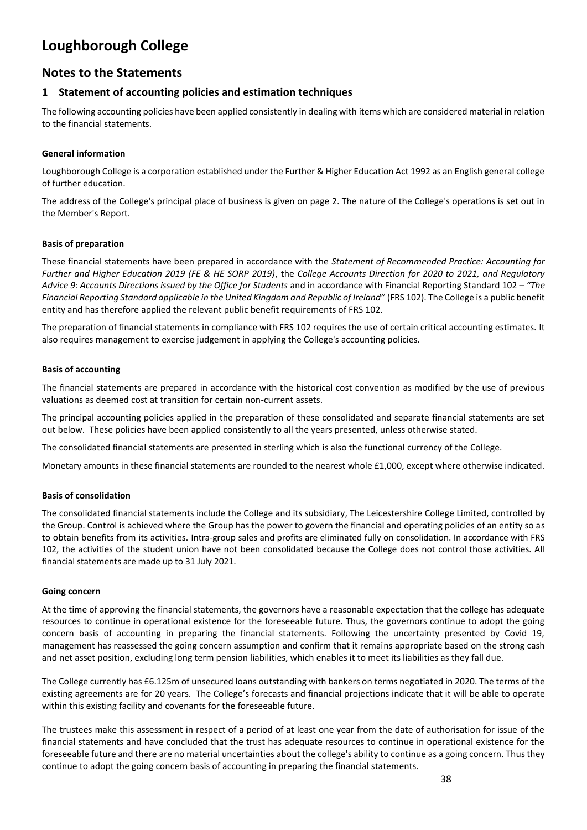## **Notes to the Statements**

### **1 Statement of accounting policies and estimation techniques**

The following accounting policies have been applied consistently in dealing with items which are considered material in relation to the financial statements.

#### **General information**

Loughborough College is a corporation established under the Further & Higher Education Act 1992 as an English general college of further education.

The address of the College's principal place of business is given on page 2. The nature of the College's operations is set out in the Member's Report.

#### **Basis of preparation**

These financial statements have been prepared in accordance with the *Statement of Recommended Practice: Accounting for Further and Higher Education 2019 (FE & HE SORP 2019)*, the *College Accounts Direction for 2020 to 2021, and Regulatory Advice 9: Accounts Directions issued by the Office for Students* and in accordance with Financial Reporting Standard 102 – *"The Financial Reporting Standard applicable in the United Kingdom and Republic of Ireland"* (FRS 102). The College is a public benefit entity and has therefore applied the relevant public benefit requirements of FRS 102.

The preparation of financial statements in compliance with FRS 102 requires the use of certain critical accounting estimates. It also requires management to exercise judgement in applying the College's accounting policies.

#### **Basis of accounting**

The financial statements are prepared in accordance with the historical cost convention as modified by the use of previous valuations as deemed cost at transition for certain non-current assets.

The principal accounting policies applied in the preparation of these consolidated and separate financial statements are set out below. These policies have been applied consistently to all the years presented, unless otherwise stated.

The consolidated financial statements are presented in sterling which is also the functional currency of the College.

Monetary amounts in these financial statements are rounded to the nearest whole £1,000, except where otherwise indicated.

#### **Basis of consolidation**

The consolidated financial statements include the College and its subsidiary, The Leicestershire College Limited, controlled by the Group. Control is achieved where the Group has the power to govern the financial and operating policies of an entity so as to obtain benefits from its activities. Intra-group sales and profits are eliminated fully on consolidation. In accordance with FRS 102, the activities of the student union have not been consolidated because the College does not control those activities. All financial statements are made up to 31 July 2021.

#### **Going concern**

At the time of approving the financial statements, the governors have a reasonable expectation that the college has adequate resources to continue in operational existence for the foreseeable future. Thus, the governors continue to adopt the going concern basis of accounting in preparing the financial statements. Following the uncertainty presented by Covid 19, management has reassessed the going concern assumption and confirm that it remains appropriate based on the strong cash and net asset position, excluding long term pension liabilities, which enables it to meet its liabilities as they fall due.

The College currently has £6.125m of unsecured loans outstanding with bankers on terms negotiated in 2020. The terms of the existing agreements are for 20 years. The College's forecasts and financial projections indicate that it will be able to operate within this existing facility and covenants for the foreseeable future.

The trustees make this assessment in respect of a period of at least one year from the date of authorisation for issue of the financial statements and have concluded that the trust has adequate resources to continue in operational existence for the foreseeable future and there are no material uncertainties about the college's ability to continue as a going concern. Thus they continue to adopt the going concern basis of accounting in preparing the financial statements.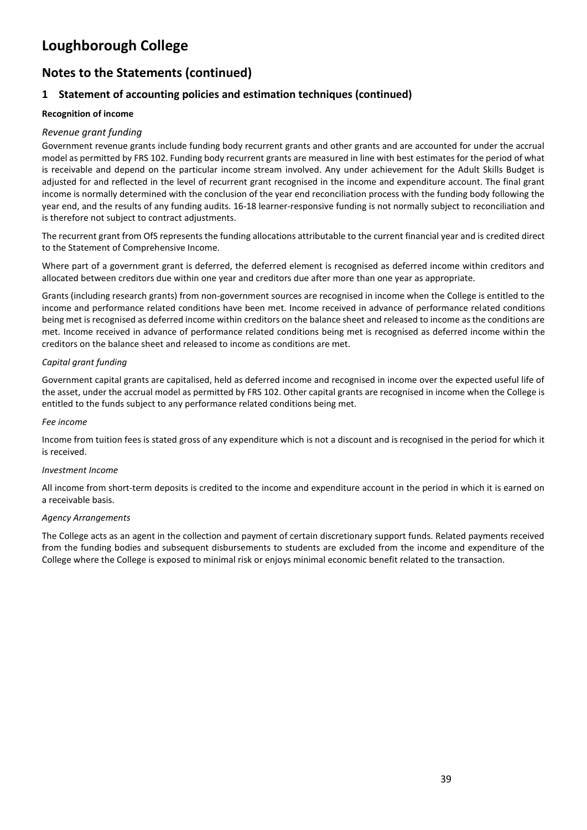# **Notes to the Statements (continued)**

## **1 Statement of accounting policies and estimation techniques (continued)**

### **Recognition of income**

### *Revenue grant funding*

Government revenue grants include funding body recurrent grants and other grants and are accounted for under the accrual model as permitted by FRS 102. Funding body recurrent grants are measured in line with best estimates for the period of what is receivable and depend on the particular income stream involved. Any under achievement for the Adult Skills Budget is adjusted for and reflected in the level of recurrent grant recognised in the income and expenditure account. The final grant income is normally determined with the conclusion of the year end reconciliation process with the funding body following the year end, and the results of any funding audits. 16-18 learner-responsive funding is not normally subject to reconciliation and is therefore not subject to contract adjustments.

The recurrent grant from OfS represents the funding allocations attributable to the current financial year and is credited direct to the Statement of Comprehensive Income.

Where part of a government grant is deferred, the deferred element is recognised as deferred income within creditors and allocated between creditors due within one year and creditors due after more than one year as appropriate.

Grants (including research grants) from non-government sources are recognised in income when the College is entitled to the income and performance related conditions have been met. Income received in advance of performance related conditions being met is recognised as deferred income within creditors on the balance sheet and released to income as the conditions are met. Income received in advance of performance related conditions being met is recognised as deferred income within the creditors on the balance sheet and released to income as conditions are met.

### *Capital grant funding*

Government capital grants are capitalised, held as deferred income and recognised in income over the expected useful life of the asset, under the accrual model as permitted by FRS 102. Other capital grants are recognised in income when the College is entitled to the funds subject to any performance related conditions being met.

#### *Fee income*

Income from tuition fees is stated gross of any expenditure which is not a discount and is recognised in the period for which it is received.

#### *Investment Income*

All income from short-term deposits is credited to the income and expenditure account in the period in which it is earned on a receivable basis.

#### *Agency Arrangements*

The College acts as an agent in the collection and payment of certain discretionary support funds. Related payments received from the funding bodies and subsequent disbursements to students are excluded from the income and expenditure of the College where the College is exposed to minimal risk or enjoys minimal economic benefit related to the transaction.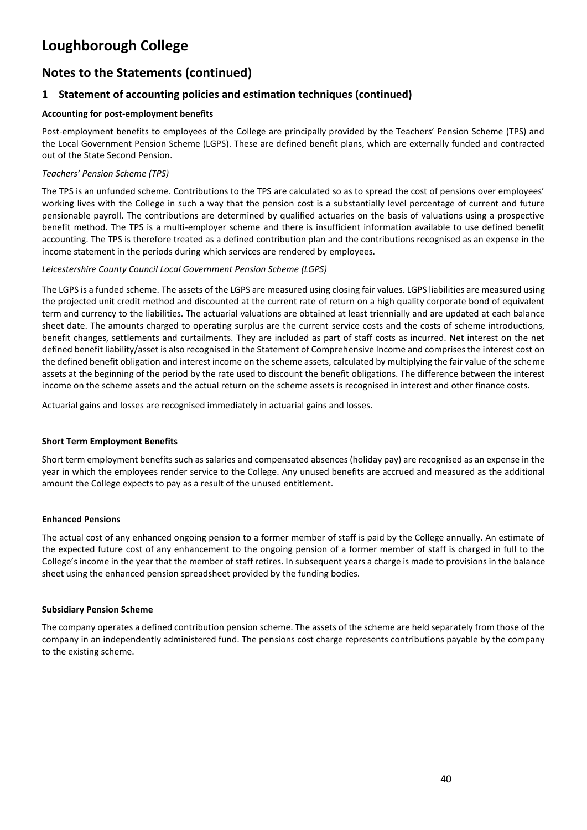# **Notes to the Statements (continued)**

## **1 Statement of accounting policies and estimation techniques (continued)**

### **Accounting for post-employment benefits**

Post-employment benefits to employees of the College are principally provided by the Teachers' Pension Scheme (TPS) and the Local Government Pension Scheme (LGPS). These are defined benefit plans, which are externally funded and contracted out of the State Second Pension.

### *Teachers' Pension Scheme (TPS)*

The TPS is an unfunded scheme. Contributions to the TPS are calculated so as to spread the cost of pensions over employees' working lives with the College in such a way that the pension cost is a substantially level percentage of current and future pensionable payroll. The contributions are determined by qualified actuaries on the basis of valuations using a prospective benefit method. The TPS is a multi-employer scheme and there is insufficient information available to use defined benefit accounting. The TPS is therefore treated as a defined contribution plan and the contributions recognised as an expense in the income statement in the periods during which services are rendered by employees.

#### *Leicestershire County Council Local Government Pension Scheme (LGPS)*

The LGPS is a funded scheme. The assets of the LGPS are measured using closing fair values. LGPS liabilities are measured using the projected unit credit method and discounted at the current rate of return on a high quality corporate bond of equivalent term and currency to the liabilities. The actuarial valuations are obtained at least triennially and are updated at each balance sheet date. The amounts charged to operating surplus are the current service costs and the costs of scheme introductions, benefit changes, settlements and curtailments. They are included as part of staff costs as incurred. Net interest on the net defined benefit liability/asset is also recognised in the Statement of Comprehensive Income and comprises the interest cost on the defined benefit obligation and interest income on the scheme assets, calculated by multiplying the fair value of the scheme assets at the beginning of the period by the rate used to discount the benefit obligations. The difference between the interest income on the scheme assets and the actual return on the scheme assets is recognised in interest and other finance costs.

Actuarial gains and losses are recognised immediately in actuarial gains and losses.

#### **Short Term Employment Benefits**

Short term employment benefits such as salaries and compensated absences (holiday pay) are recognised as an expense in the year in which the employees render service to the College. Any unused benefits are accrued and measured as the additional amount the College expects to pay as a result of the unused entitlement.

#### **Enhanced Pensions**

The actual cost of any enhanced ongoing pension to a former member of staff is paid by the College annually. An estimate of the expected future cost of any enhancement to the ongoing pension of a former member of staff is charged in full to the College's income in the year that the member of staff retires. In subsequent years a charge is made to provisions in the balance sheet using the enhanced pension spreadsheet provided by the funding bodies.

#### **Subsidiary Pension Scheme**

The company operates a defined contribution pension scheme. The assets of the scheme are held separately from those of the company in an independently administered fund. The pensions cost charge represents contributions payable by the company to the existing scheme.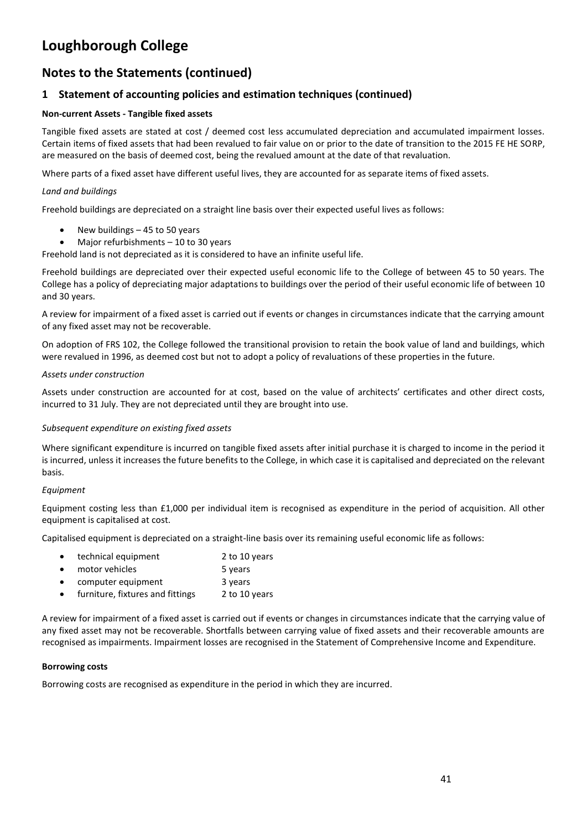# **Notes to the Statements (continued)**

## **1 Statement of accounting policies and estimation techniques (continued)**

### **Non-current Assets - Tangible fixed assets**

Tangible fixed assets are stated at cost / deemed cost less accumulated depreciation and accumulated impairment losses. Certain items of fixed assets that had been revalued to fair value on or prior to the date of transition to the 2015 FE HE SORP, are measured on the basis of deemed cost, being the revalued amount at the date of that revaluation.

Where parts of a fixed asset have different useful lives, they are accounted for as separate items of fixed assets.

#### *Land and buildings*

Freehold buildings are depreciated on a straight line basis over their expected useful lives as follows:

- New buildings 45 to 50 years
- Major refurbishments 10 to 30 years

Freehold land is not depreciated as it is considered to have an infinite useful life.

Freehold buildings are depreciated over their expected useful economic life to the College of between 45 to 50 years. The College has a policy of depreciating major adaptations to buildings over the period of their useful economic life of between 10 and 30 years.

A review for impairment of a fixed asset is carried out if events or changes in circumstances indicate that the carrying amount of any fixed asset may not be recoverable.

On adoption of FRS 102, the College followed the transitional provision to retain the book value of land and buildings, which were revalued in 1996, as deemed cost but not to adopt a policy of revaluations of these properties in the future.

#### *Assets under construction*

Assets under construction are accounted for at cost, based on the value of architects' certificates and other direct costs, incurred to 31 July. They are not depreciated until they are brought into use.

#### *Subsequent expenditure on existing fixed assets*

Where significant expenditure is incurred on tangible fixed assets after initial purchase it is charged to income in the period it is incurred, unless it increases the future benefits to the College, in which case it is capitalised and depreciated on the relevant basis.

#### *Equipment*

Equipment costing less than £1,000 per individual item is recognised as expenditure in the period of acquisition. All other equipment is capitalised at cost.

Capitalised equipment is depreciated on a straight-line basis over its remaining useful economic life as follows:

- technical equipment 2 to 10 years
- motor vehicles 5 years
- computer equipment 3 years
- furniture, fixtures and fittings 2 to 10 years

A review for impairment of a fixed asset is carried out if events or changes in circumstances indicate that the carrying value of any fixed asset may not be recoverable. Shortfalls between carrying value of fixed assets and their recoverable amounts are recognised as impairments. Impairment losses are recognised in the Statement of Comprehensive Income and Expenditure.

#### **Borrowing costs**

Borrowing costs are recognised as expenditure in the period in which they are incurred.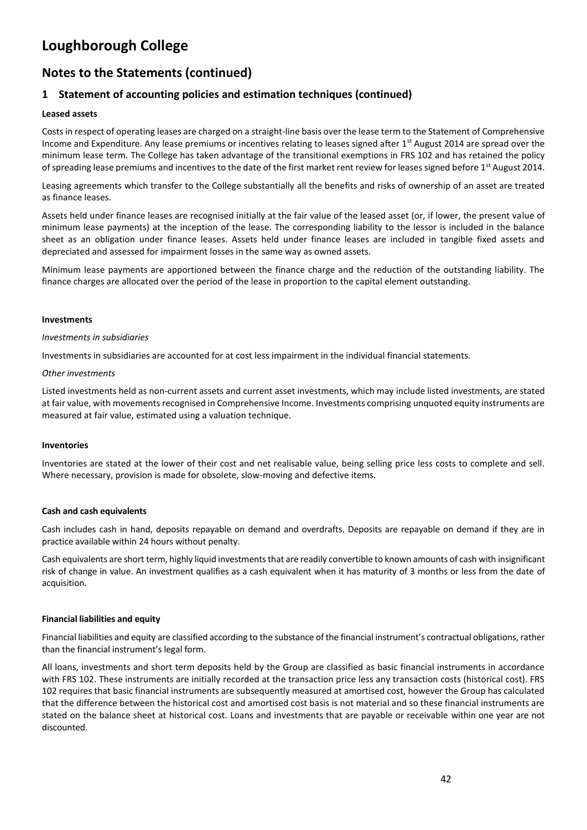# **Notes to the Statements (continued)**

## **1 Statement of accounting policies and estimation techniques (continued)**

#### **Leased assets**

Costs in respect of operating leases are charged on a straight-line basis over the lease term to the Statement of Comprehensive Income and Expenditure. Any lease premiums or incentives relating to leases signed after  $1<sup>st</sup>$  August 2014 are spread over the minimum lease term. The College has taken advantage of the transitional exemptions in FRS 102 and has retained the policy of spreading lease premiums and incentives to the date of the first market rent review for leases signed before 1<sup>st</sup> August 2014.

Leasing agreements which transfer to the College substantially all the benefits and risks of ownership of an asset are treated as finance leases.

Assets held under finance leases are recognised initially at the fair value of the leased asset (or, if lower, the present value of minimum lease payments) at the inception of the lease. The corresponding liability to the lessor is included in the balance sheet as an obligation under finance leases. Assets held under finance leases are included in tangible fixed assets and depreciated and assessed for impairment losses in the same way as owned assets.

Minimum lease payments are apportioned between the finance charge and the reduction of the outstanding liability. The finance charges are allocated over the period of the lease in proportion to the capital element outstanding.

#### **Investments**

#### *Investments in subsidiaries*

Investments in subsidiaries are accounted for at cost less impairment in the individual financial statements.

#### *Other investments*

Listed investments held as non-current assets and current asset investments, which may include listed investments, are stated at fair value, with movements recognised in Comprehensive Income. Investments comprising unquoted equity instruments are measured at fair value, estimated using a valuation technique.

#### **Inventories**

Inventories are stated at the lower of their cost and net realisable value, being selling price less costs to complete and sell. Where necessary, provision is made for obsolete, slow-moving and defective items.

#### **Cash and cash equivalents**

Cash includes cash in hand, deposits repayable on demand and overdrafts. Deposits are repayable on demand if they are in practice available within 24 hours without penalty.

Cash equivalents are short term, highly liquid investments that are readily convertible to known amounts of cash with insignificant risk of change in value. An investment qualifies as a cash equivalent when it has maturity of 3 months or less from the date of acquisition.

#### **Financial liabilities and equity**

Financial liabilities and equity are classified according to the substance of the financial instrument's contractual obligations, rather than the financial instrument's legal form.

All loans, investments and short term deposits held by the Group are classified as basic financial instruments in accordance with FRS 102. These instruments are initially recorded at the transaction price less any transaction costs (historical cost). FRS 102 requires that basic financial instruments are subsequently measured at amortised cost, however the Group has calculated that the difference between the historical cost and amortised cost basis is not material and so these financial instruments are stated on the balance sheet at historical cost. Loans and investments that are payable or receivable within one year are not discounted.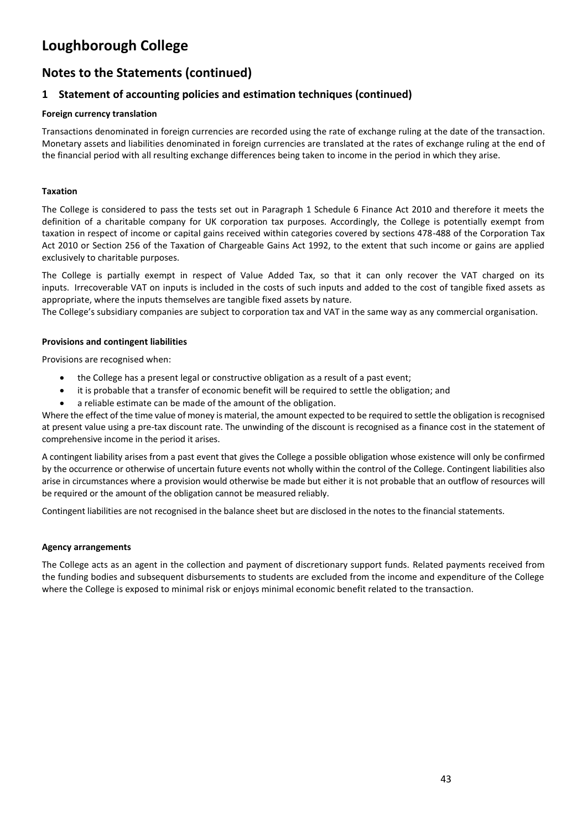# **Notes to the Statements (continued)**

## **1 Statement of accounting policies and estimation techniques (continued)**

### **Foreign currency translation**

Transactions denominated in foreign currencies are recorded using the rate of exchange ruling at the date of the transaction. Monetary assets and liabilities denominated in foreign currencies are translated at the rates of exchange ruling at the end of the financial period with all resulting exchange differences being taken to income in the period in which they arise.

#### **Taxation**

The College is considered to pass the tests set out in Paragraph 1 Schedule 6 Finance Act 2010 and therefore it meets the definition of a charitable company for UK corporation tax purposes. Accordingly, the College is potentially exempt from taxation in respect of income or capital gains received within categories covered by sections 478-488 of the Corporation Tax Act 2010 or Section 256 of the Taxation of Chargeable Gains Act 1992, to the extent that such income or gains are applied exclusively to charitable purposes.

The College is partially exempt in respect of Value Added Tax, so that it can only recover the VAT charged on its inputs. Irrecoverable VAT on inputs is included in the costs of such inputs and added to the cost of tangible fixed assets as appropriate, where the inputs themselves are tangible fixed assets by nature.

The College's subsidiary companies are subject to corporation tax and VAT in the same way as any commercial organisation.

#### **Provisions and contingent liabilities**

Provisions are recognised when:

- the College has a present legal or constructive obligation as a result of a past event;
- it is probable that a transfer of economic benefit will be required to settle the obligation; and
- a reliable estimate can be made of the amount of the obligation.

Where the effect of the time value of money is material, the amount expected to be required to settle the obligation is recognised at present value using a pre-tax discount rate. The unwinding of the discount is recognised as a finance cost in the statement of comprehensive income in the period it arises.

A contingent liability arises from a past event that gives the College a possible obligation whose existence will only be confirmed by the occurrence or otherwise of uncertain future events not wholly within the control of the College. Contingent liabilities also arise in circumstances where a provision would otherwise be made but either it is not probable that an outflow of resources will be required or the amount of the obligation cannot be measured reliably.

Contingent liabilities are not recognised in the balance sheet but are disclosed in the notes to the financial statements.

#### **Agency arrangements**

The College acts as an agent in the collection and payment of discretionary support funds. Related payments received from the funding bodies and subsequent disbursements to students are excluded from the income and expenditure of the College where the College is exposed to minimal risk or enjoys minimal economic benefit related to the transaction.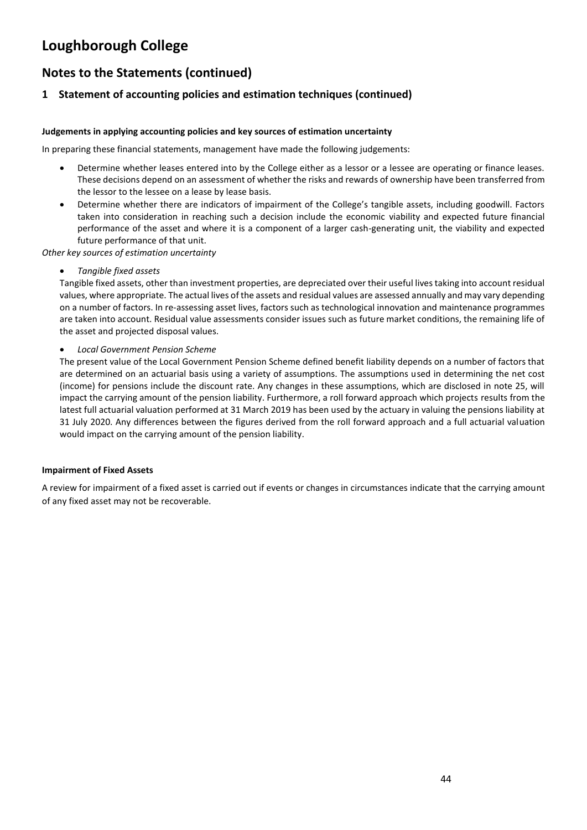# **Notes to the Statements (continued)**

## **1 Statement of accounting policies and estimation techniques (continued)**

### **Judgements in applying accounting policies and key sources of estimation uncertainty**

In preparing these financial statements, management have made the following judgements:

- Determine whether leases entered into by the College either as a lessor or a lessee are operating or finance leases. These decisions depend on an assessment of whether the risks and rewards of ownership have been transferred from the lessor to the lessee on a lease by lease basis.
- Determine whether there are indicators of impairment of the College's tangible assets, including goodwill. Factors taken into consideration in reaching such a decision include the economic viability and expected future financial performance of the asset and where it is a component of a larger cash-generating unit, the viability and expected future performance of that unit.

*Other key sources of estimation uncertainty*

• *Tangible fixed assets*

Tangible fixed assets, other than investment properties, are depreciated over their useful lives taking into account residual values, where appropriate. The actual lives of the assets and residual values are assessed annually and may vary depending on a number of factors. In re-assessing asset lives, factors such as technological innovation and maintenance programmes are taken into account. Residual value assessments consider issues such as future market conditions, the remaining life of the asset and projected disposal values.

• *Local Government Pension Scheme*

The present value of the Local Government Pension Scheme defined benefit liability depends on a number of factors that are determined on an actuarial basis using a variety of assumptions. The assumptions used in determining the net cost (income) for pensions include the discount rate. Any changes in these assumptions, which are disclosed in note 25, will impact the carrying amount of the pension liability. Furthermore, a roll forward approach which projects results from the latest full actuarial valuation performed at 31 March 2019 has been used by the actuary in valuing the pensions liability at 31 July 2020. Any differences between the figures derived from the roll forward approach and a full actuarial valuation would impact on the carrying amount of the pension liability.

### **Impairment of Fixed Assets**

A review for impairment of a fixed asset is carried out if events or changes in circumstances indicate that the carrying amount of any fixed asset may not be recoverable.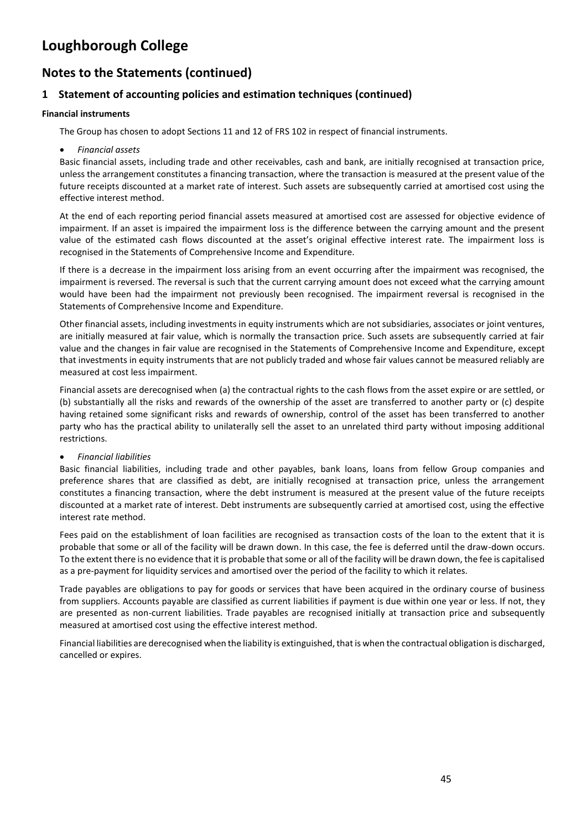## **Notes to the Statements (continued)**

## **1 Statement of accounting policies and estimation techniques (continued)**

#### **Financial instruments**

The Group has chosen to adopt Sections 11 and 12 of FRS 102 in respect of financial instruments.

• *Financial assets*

Basic financial assets, including trade and other receivables, cash and bank, are initially recognised at transaction price, unless the arrangement constitutes a financing transaction, where the transaction is measured at the present value of the future receipts discounted at a market rate of interest. Such assets are subsequently carried at amortised cost using the effective interest method.

At the end of each reporting period financial assets measured at amortised cost are assessed for objective evidence of impairment. If an asset is impaired the impairment loss is the difference between the carrying amount and the present value of the estimated cash flows discounted at the asset's original effective interest rate. The impairment loss is recognised in the Statements of Comprehensive Income and Expenditure.

If there is a decrease in the impairment loss arising from an event occurring after the impairment was recognised, the impairment is reversed. The reversal is such that the current carrying amount does not exceed what the carrying amount would have been had the impairment not previously been recognised. The impairment reversal is recognised in the Statements of Comprehensive Income and Expenditure.

Other financial assets, including investments in equity instruments which are not subsidiaries, associates or joint ventures, are initially measured at fair value, which is normally the transaction price. Such assets are subsequently carried at fair value and the changes in fair value are recognised in the Statements of Comprehensive Income and Expenditure, except that investments in equity instruments that are not publicly traded and whose fair values cannot be measured reliably are measured at cost less impairment.

Financial assets are derecognised when (a) the contractual rights to the cash flows from the asset expire or are settled, or (b) substantially all the risks and rewards of the ownership of the asset are transferred to another party or (c) despite having retained some significant risks and rewards of ownership, control of the asset has been transferred to another party who has the practical ability to unilaterally sell the asset to an unrelated third party without imposing additional restrictions.

### • *Financial liabilities*

Basic financial liabilities, including trade and other payables, bank loans, loans from fellow Group companies and preference shares that are classified as debt, are initially recognised at transaction price, unless the arrangement constitutes a financing transaction, where the debt instrument is measured at the present value of the future receipts discounted at a market rate of interest. Debt instruments are subsequently carried at amortised cost, using the effective interest rate method.

Fees paid on the establishment of loan facilities are recognised as transaction costs of the loan to the extent that it is probable that some or all of the facility will be drawn down. In this case, the fee is deferred until the draw-down occurs. To the extent there is no evidence that it is probable that some or all of the facility will be drawn down, the fee is capitalised as a pre-payment for liquidity services and amortised over the period of the facility to which it relates.

Trade payables are obligations to pay for goods or services that have been acquired in the ordinary course of business from suppliers. Accounts payable are classified as current liabilities if payment is due within one year or less. If not, they are presented as non-current liabilities. Trade payables are recognised initially at transaction price and subsequently measured at amortised cost using the effective interest method.

Financial liabilities are derecognised when the liability is extinguished, that is when the contractual obligation is discharged, cancelled or expires.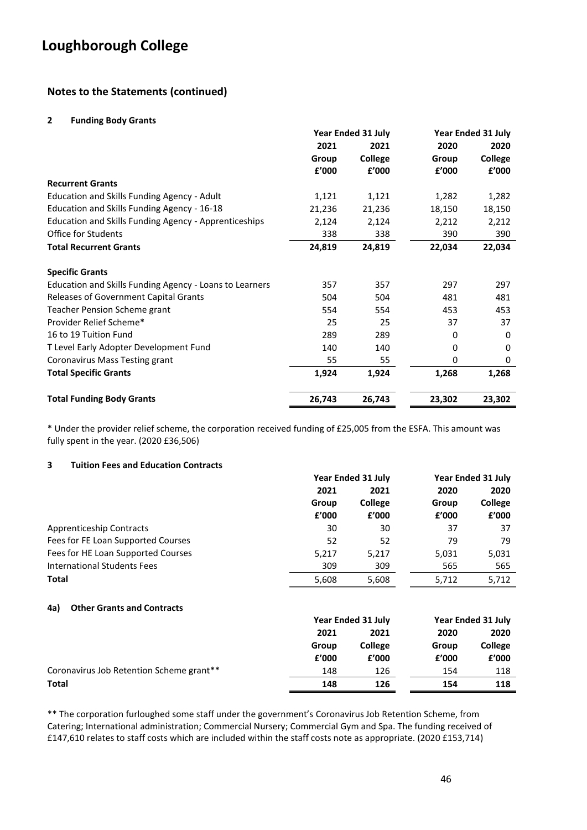## **Notes to the Statements (continued)**

#### **2 Funding Body Grants**

|                                                         | <b>Year Ended 31 July</b> |         | <b>Year Ended 31 July</b> |                |
|---------------------------------------------------------|---------------------------|---------|---------------------------|----------------|
|                                                         | 2021                      | 2021    | 2020                      | 2020           |
|                                                         | Group                     | College | Group                     | <b>College</b> |
|                                                         | £'000                     | £'000   | £'000                     | £'000          |
| <b>Recurrent Grants</b>                                 |                           |         |                           |                |
| Education and Skills Funding Agency - Adult             | 1,121                     | 1,121   | 1,282                     | 1,282          |
| Education and Skills Funding Agency - 16-18             | 21,236                    | 21,236  | 18,150                    | 18,150         |
| Education and Skills Funding Agency - Apprenticeships   | 2,124                     | 2,124   | 2,212                     | 2,212          |
| <b>Office for Students</b>                              | 338                       | 338     | 390                       | 390            |
| <b>Total Recurrent Grants</b>                           | 24,819                    | 24,819  | 22,034                    | 22,034         |
| <b>Specific Grants</b>                                  |                           |         |                           |                |
| Education and Skills Funding Agency - Loans to Learners | 357                       | 357     | 297                       | 297            |
| Releases of Government Capital Grants                   | 504                       | 504     | 481                       | 481            |
| Teacher Pension Scheme grant                            | 554                       | 554     | 453                       | 453            |
| Provider Relief Scheme*                                 | 25                        | 25      | 37                        | 37             |
| 16 to 19 Tuition Fund                                   | 289                       | 289     | 0                         | 0              |
| T Level Early Adopter Development Fund                  | 140                       | 140     | 0                         | 0              |
| Coronavirus Mass Testing grant                          | 55                        | 55      | 0                         | 0              |
| <b>Total Specific Grants</b>                            | 1,924                     | 1,924   | 1,268                     | 1,268          |
| <b>Total Funding Body Grants</b>                        | 26,743                    | 26,743  | 23,302                    | 23,302         |

\* Under the provider relief scheme, the corporation received funding of £25,005 from the ESFA. This amount was fully spent in the year. (2020 £36,506)

#### **3 Tuition Fees and Education Contracts**

|                                          | <b>Year Ended 31 July</b> |                           | <b>Year Ended 31 July</b> |                           |
|------------------------------------------|---------------------------|---------------------------|---------------------------|---------------------------|
|                                          | 2021                      | 2021                      | 2020                      | 2020                      |
|                                          | Group                     | College                   | Group                     | College                   |
|                                          | £'000                     | £'000                     | f'000                     | f'000                     |
| <b>Apprenticeship Contracts</b>          | 30                        | 30                        | 37                        | 37                        |
| Fees for FE Loan Supported Courses       | 52                        | 52                        | 79                        | 79                        |
| Fees for HE Loan Supported Courses       | 5,217                     | 5,217                     | 5,031                     | 5,031                     |
| <b>International Students Fees</b>       | 309                       | 309                       | 565                       | 565                       |
| Total                                    | 5,608                     | 5,608                     | 5,712                     | 5,712                     |
| <b>Other Grants and Contracts</b><br>4a) |                           |                           |                           |                           |
|                                          |                           | <b>Year Ended 31 July</b> |                           | <b>Year Ended 31 July</b> |
|                                          | 2021                      | 2021                      | 2020                      | 2020                      |
|                                          | Group                     | College                   | Group                     | College                   |
|                                          | f'000                     | f'000                     | £'000                     | f'000                     |
| Coronavirus Job Retention Scheme grant** | 148                       | 126                       | 154                       | 118                       |
| Total                                    | 148                       | 126                       | 154                       | 118                       |

\*\* The corporation furloughed some staff under the government's Coronavirus Job Retention Scheme, from Catering; International administration; Commercial Nursery; Commercial Gym and Spa. The funding received of £147,610 relates to staff costs which are included within the staff costs note as appropriate. (2020 £153,714)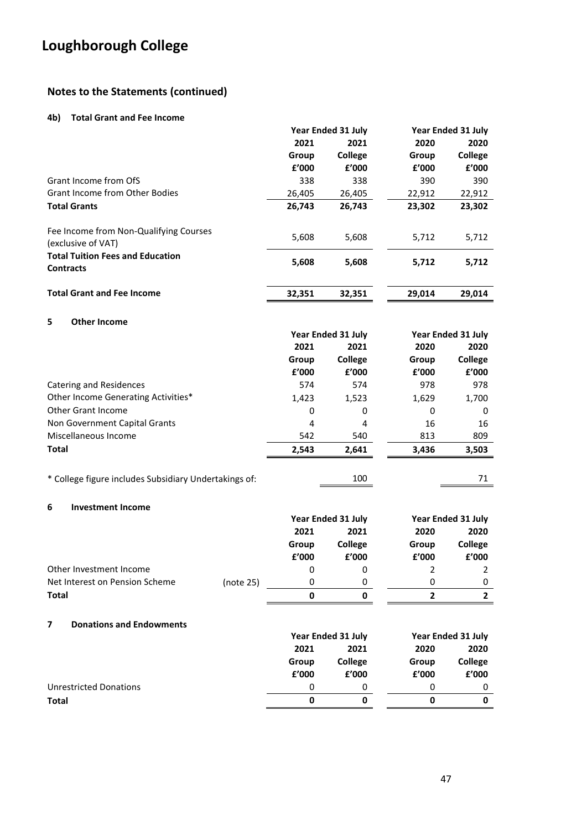## **Notes to the Statements (continued)**

#### **4b) Total Grant and Fee Income**

|                                                              | Year Ended 31 July |                | Year Ended 31 July |         |
|--------------------------------------------------------------|--------------------|----------------|--------------------|---------|
|                                                              | 2021               | 2021           | 2020               | 2020    |
|                                                              | Group              | <b>College</b> | Group              | College |
|                                                              | f'000              | f'000          | f'000              | f'000   |
| Grant Income from OfS                                        | 338                | 338            | 390                | 390     |
| <b>Grant Income from Other Bodies</b>                        | 26,405             | 26,405         | 22,912             | 22,912  |
| <b>Total Grants</b>                                          | 26.743             | 26.743         | 23,302             | 23,302  |
| Fee Income from Non-Qualifying Courses<br>(exclusive of VAT) | 5,608              | 5,608          | 5,712              | 5,712   |
| <b>Total Tuition Fees and Education</b><br><b>Contracts</b>  | 5,608              | 5,608          | 5,712              | 5,712   |
| <b>Total Grant and Fee Income</b>                            | 32,351             | 32,351         | 29,014             | 29,014  |

### **5 Other Income**

|                                     | Year Ended 31 July |         | <b>Year Ended 31 July</b> |         |
|-------------------------------------|--------------------|---------|---------------------------|---------|
|                                     | 2021               | 2021    |                           | 2020    |
|                                     | Group              | College | Group                     | College |
|                                     | £'000              | £'000   | f'000                     | £'000   |
| Catering and Residences             | 574                | 574     | 978                       | 978     |
| Other Income Generating Activities* | 1,423              | 1,523   | 1,629                     | 1,700   |
| Other Grant Income                  | 0                  | 0       | 0                         | 0       |
| Non Government Capital Grants       | 4                  | 4       | 16                        | 16      |
| Miscellaneous Income                | 542                | 540     | 813                       | 809     |
| <b>Total</b>                        | 2,543              | 2,641   | 3,436                     | 3,503   |
|                                     |                    |         |                           |         |

| * College figure includes Subsidiary Undertakings of: | 100 |  |
|-------------------------------------------------------|-----|--|
|-------------------------------------------------------|-----|--|

#### **6 Investment Income**

|                                |           | Year Ended 31 July |       | Year Ended 31 July |       |                |       |                |
|--------------------------------|-----------|--------------------|-------|--------------------|-------|----------------|-------|----------------|
|                                |           | 2021<br>2021       |       | 2020               | 2020  |                |       |                |
|                                |           | Group              |       |                    |       | <b>College</b> | Group | <b>College</b> |
|                                |           | £'000              | £'000 | f'000              | f'000 |                |       |                |
| Other Investment Income        |           | 0                  | 0     |                    |       |                |       |                |
| Net Interest on Pension Scheme | (note 25) | 0                  |       | 0                  | 0     |                |       |                |
| <b>Total</b>                   |           | 0                  | 0     |                    |       |                |       |                |
|                                |           |                    |       |                    |       |                |       |                |

### **7 Donations and Endowments**

|                        |                      | Year Ended 31 July |       | Year Ended 31 July |  |      |
|------------------------|----------------------|--------------------|-------|--------------------|--|------|
|                        | 2021<br>2021<br>2020 |                    |       |                    |  | 2020 |
|                        | Group                | College            | Group | College            |  |      |
|                        | £'000                | f'000              | f'000 | £'000              |  |      |
| Unrestricted Donations | 0                    |                    |       |                    |  |      |
| <b>Total</b>           | 0                    |                    |       |                    |  |      |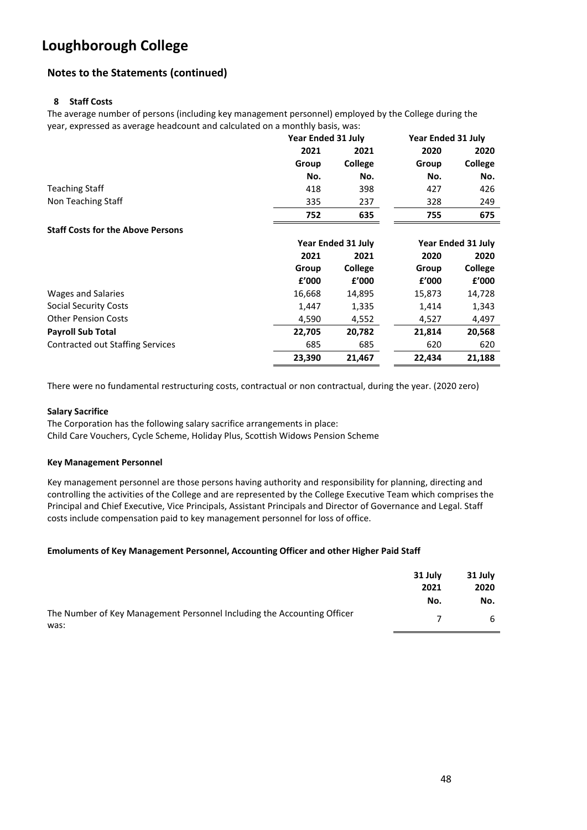## **Notes to the Statements (continued)**

### **8 Staff Costs**

The average number of persons (including key management personnel) employed by the College during the year, expressed as average headcount and calculated on a monthly basis, was:

|                                          | Year Ended 31 July |                           | <b>Year Ended 31 July</b> |                           |
|------------------------------------------|--------------------|---------------------------|---------------------------|---------------------------|
|                                          | 2021               | 2021                      | 2020                      | 2020                      |
|                                          | Group              | College                   | Group                     | <b>College</b>            |
|                                          | No.                | No.                       | No.                       | No.                       |
| <b>Teaching Staff</b>                    | 418                | 398                       | 427                       | 426                       |
| Non Teaching Staff                       | 335                | 237                       | 328                       | 249                       |
|                                          | 752                | 635                       | 755                       | 675                       |
| <b>Staff Costs for the Above Persons</b> |                    |                           |                           |                           |
|                                          |                    | <b>Year Ended 31 July</b> |                           | <b>Year Ended 31 July</b> |
|                                          | 2021               | 2021                      | 2020                      | 2020                      |
|                                          | Group              | College                   | Group                     | College                   |
|                                          | f'000              | f'000                     | £'000                     | f'000                     |
| Wages and Salaries                       | 16,668             | 14,895                    | 15,873                    | 14,728                    |
| Social Security Costs                    | 1,447              | 1,335                     | 1,414                     | 1,343                     |
| <b>Other Pension Costs</b>               | 4,590              | 4,552                     | 4,527                     | 4,497                     |
| <b>Payroll Sub Total</b>                 | 22,705             | 20,782                    | 21,814                    | 20,568                    |
| <b>Contracted out Staffing Services</b>  | 685                | 685                       | 620                       | 620                       |
|                                          | 23,390             | 21,467                    | 22,434                    | 21,188                    |

There were no fundamental restructuring costs, contractual or non contractual, during the year. (2020 zero)

#### **Salary Sacrifice**

The Corporation has the following salary sacrifice arrangements in place: Child Care Vouchers, Cycle Scheme, Holiday Plus, Scottish Widows Pension Scheme

#### **Key Management Personnel**

Key management personnel are those persons having authority and responsibility for planning, directing and controlling the activities of the College and are represented by the College Executive Team which comprises the Principal and Chief Executive, Vice Principals, Assistant Principals and Director of Governance and Legal. Staff costs include compensation paid to key management personnel for loss of office.

### **Emoluments of Key Management Personnel, Accounting Officer and other Higher Paid Staff**

|                                                                                 | 31 July<br>2021<br>No. | 31 July<br>2020<br>No. |
|---------------------------------------------------------------------------------|------------------------|------------------------|
| The Number of Key Management Personnel Including the Accounting Officer<br>was: |                        | 6                      |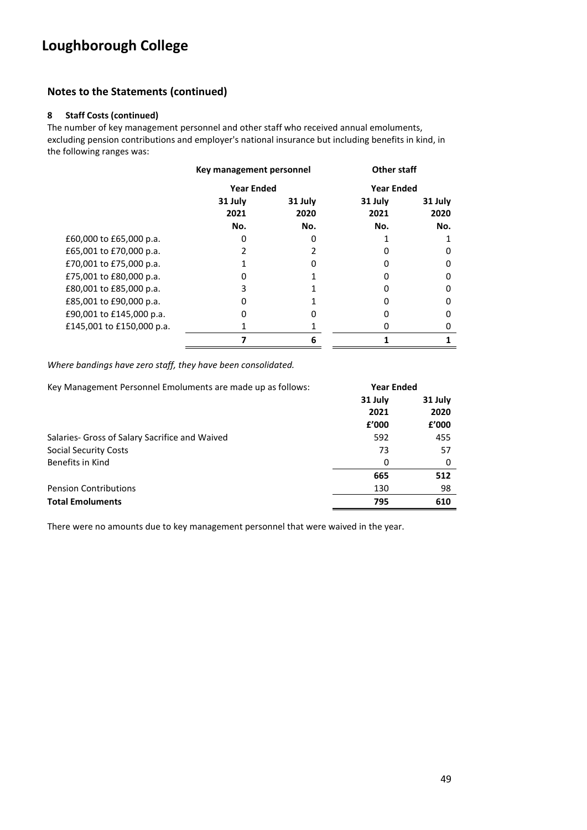## **Notes to the Statements (continued)**

### **8 Staff Costs (continued)**

The number of key management personnel and other staff who received annual emoluments, excluding pension contributions and employer's national insurance but including benefits in kind, in the following ranges was:

|                           | Key management personnel |                 | <b>Other staff</b> |                 |
|---------------------------|--------------------------|-----------------|--------------------|-----------------|
|                           | <b>Year Ended</b>        |                 | <b>Year Ended</b>  |                 |
|                           | 31 July<br>2021          | 31 July<br>2020 | 31 July<br>2021    | 31 July<br>2020 |
|                           | No.                      | No.             | No.                | No.             |
| £60,000 to £65,000 p.a.   |                          |                 |                    |                 |
| £65,001 to £70,000 p.a.   |                          |                 |                    | 0               |
| £70,001 to £75,000 p.a.   |                          |                 |                    | 0               |
| £75,001 to £80,000 p.a.   | 0                        |                 |                    | 0               |
| £80,001 to £85,000 p.a.   | 3                        |                 |                    | 0               |
| £85,001 to £90,000 p.a.   | o                        |                 |                    | 0               |
| £90,001 to £145,000 p.a.  | 0                        |                 |                    | 0               |
| £145,001 to £150,000 p.a. |                          |                 |                    |                 |
|                           |                          | 6               |                    |                 |

*Where bandings have zero staff, they have been consolidated.*

| Key Management Personnel Emoluments are made up as follows: |         | <b>Year Ended</b> |
|-------------------------------------------------------------|---------|-------------------|
|                                                             | 31 July | 31 July           |
|                                                             | 2021    | 2020              |
|                                                             | f'000   | £'000             |
| Salaries- Gross of Salary Sacrifice and Waived              | 592     | 455               |
| Social Security Costs                                       | 73      | 57                |
| Benefits in Kind                                            | 0       | 0                 |
|                                                             | 665     | 512               |
| <b>Pension Contributions</b>                                | 130     | 98                |
| <b>Total Emoluments</b>                                     | 795     | 610               |

There were no amounts due to key management personnel that were waived in the year.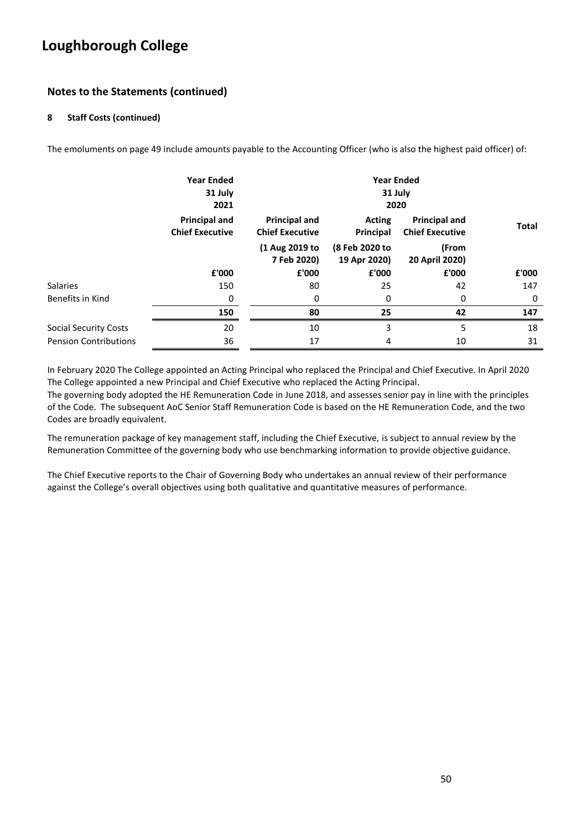## **Notes to the Statements (continued)**

### **8 Staff Costs (continued)**

The emoluments on page 49 include amounts payable to the Accounting Officer (who is also the highest paid officer) of:

|                              | <b>Year Ended</b><br>31 July<br>2021           | <b>Year Ended</b><br>31 July<br>2020           |                                |                                                |              |
|------------------------------|------------------------------------------------|------------------------------------------------|--------------------------------|------------------------------------------------|--------------|
|                              | <b>Principal and</b><br><b>Chief Executive</b> | <b>Principal and</b><br><b>Chief Executive</b> | <b>Acting</b><br>Principal     | <b>Principal and</b><br><b>Chief Executive</b> | <b>Total</b> |
|                              |                                                | (1 Aug 2019 to<br>7 Feb 2020)                  | (8 Feb 2020 to<br>19 Apr 2020) | (From<br>20 April 2020)                        |              |
|                              | £'000                                          | £'000                                          | £'000                          | £'000                                          | £'000        |
| <b>Salaries</b>              | 150                                            | 80                                             | 25                             | 42                                             | 147          |
| Benefits in Kind             | 0                                              | 0                                              | 0                              | 0                                              | 0            |
|                              | 150                                            | 80                                             | 25                             | 42                                             | 147          |
| <b>Social Security Costs</b> | 20                                             | 10                                             | 3                              | 5                                              | 18           |
| <b>Pension Contributions</b> | 36                                             | 17                                             | 4                              | 10                                             | 31           |

In February 2020 The College appointed an Acting Principal who replaced the Principal and Chief Executive. In April 2020 The College appointed a new Principal and Chief Executive who replaced the Acting Principal.

The governing body adopted the HE Remuneration Code in June 2018, and assesses senior pay in line with the principles of the Code. The subsequent AoC Senior Staff Remuneration Code is based on the HE Remuneration Code, and the two Codes are broadly equivalent.

The remuneration package of key management staff, including the Chief Executive, is subject to annual review by the Remuneration Committee of the governing body who use benchmarking information to provide objective guidance.

The Chief Executive reports to the Chair of Governing Body who undertakes an annual review of their performance against the College's overall objectives using both qualitative and quantitative measures of performance.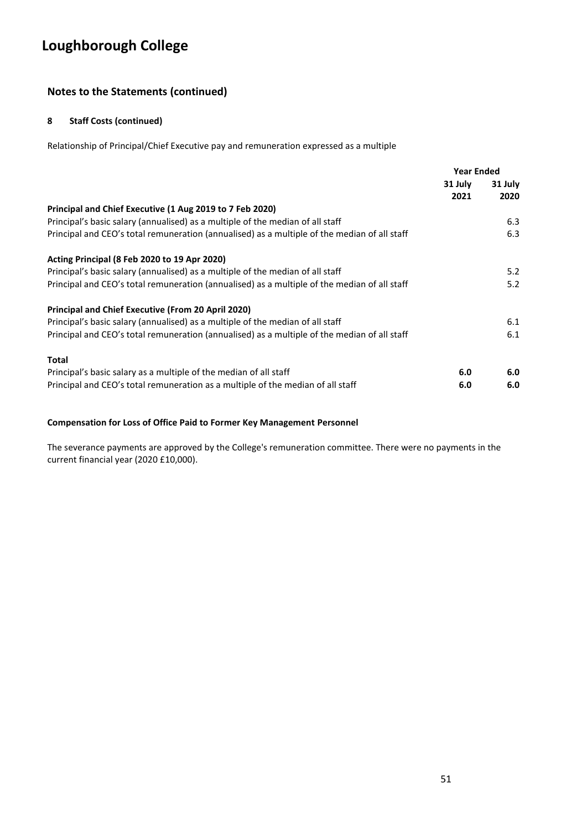## **Notes to the Statements (continued)**

### **8 Staff Costs (continued)**

Relationship of Principal/Chief Executive pay and remuneration expressed as a multiple

|                                                                                              | <b>Year Ended</b> |         |
|----------------------------------------------------------------------------------------------|-------------------|---------|
|                                                                                              | 31 July           | 31 July |
|                                                                                              | 2021              | 2020    |
| Principal and Chief Executive (1 Aug 2019 to 7 Feb 2020)                                     |                   |         |
| Principal's basic salary (annualised) as a multiple of the median of all staff               |                   | 6.3     |
| Principal and CEO's total remuneration (annualised) as a multiple of the median of all staff |                   | 6.3     |
| Acting Principal (8 Feb 2020 to 19 Apr 2020)                                                 |                   |         |
| Principal's basic salary (annualised) as a multiple of the median of all staff               |                   | 5.2     |
| Principal and CEO's total remuneration (annualised) as a multiple of the median of all staff |                   | 5.2     |
| <b>Principal and Chief Executive (From 20 April 2020)</b>                                    |                   |         |
| Principal's basic salary (annualised) as a multiple of the median of all staff               |                   | 6.1     |
| Principal and CEO's total remuneration (annualised) as a multiple of the median of all staff |                   | 6.1     |
| Total                                                                                        |                   |         |
| Principal's basic salary as a multiple of the median of all staff                            | 6.0               | 6.0     |
| Principal and CEO's total remuneration as a multiple of the median of all staff              | 6.0               | 6.0     |

### **Compensation for Loss of Office Paid to Former Key Management Personnel**

The severance payments are approved by the College's remuneration committee. There were no payments in the current financial year (2020 £10,000).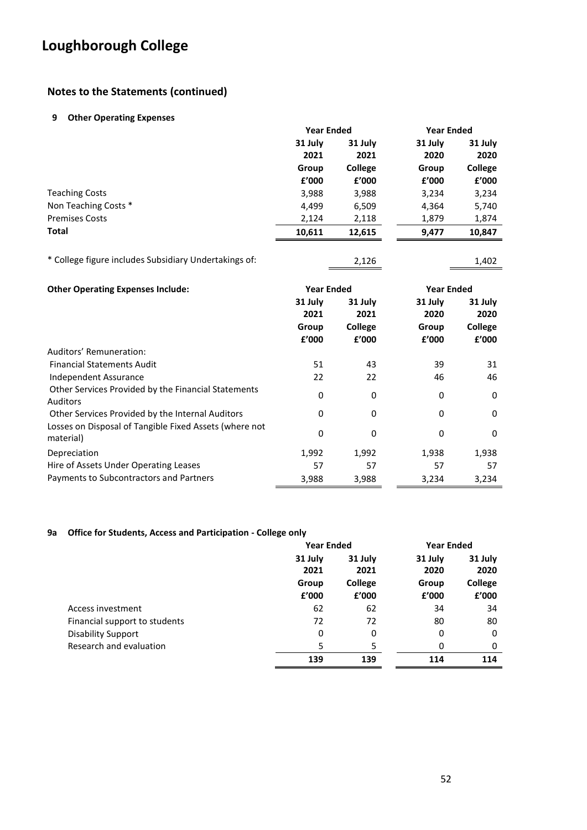## **Notes to the Statements (continued)**

#### **9 Other Operating Expenses**

|                       |         | <b>Year Ended</b> |         | <b>Year Ended</b> |  |
|-----------------------|---------|-------------------|---------|-------------------|--|
|                       | 31 July | 31 July           | 31 July | 31 July           |  |
|                       | 2021    | 2021              | 2020    | 2020              |  |
|                       | Group   | <b>College</b>    | Group   | College           |  |
|                       | £'000   | £'000             | £'000   | £'000             |  |
| <b>Teaching Costs</b> | 3,988   | 3,988             | 3,234   | 3,234             |  |
| Non Teaching Costs *  | 4,499   | 6,509             | 4,364   | 5,740             |  |
| <b>Premises Costs</b> | 2,124   | 2,118             | 1,879   | 1,874             |  |
| <b>Total</b>          | 10,611  | 12,615            | 9,477   | 10,847            |  |
|                       |         |                   |         |                   |  |

\* College figure includes Subsidiary Undertakings of: 2,126 1,402

| <b>Other Operating Expenses Include:</b>                               |         | <b>Year Ended</b><br><b>Year Ended</b> |         |         |
|------------------------------------------------------------------------|---------|----------------------------------------|---------|---------|
|                                                                        | 31 July | 31 July                                | 31 July | 31 July |
|                                                                        | 2021    | 2021                                   | 2020    | 2020    |
|                                                                        | Group   | <b>College</b>                         | Group   | College |
|                                                                        | £'000   | £'000                                  | £'000   | f'000   |
| Auditors' Remuneration:                                                |         |                                        |         |         |
| <b>Financial Statements Audit</b>                                      | 51      | 43                                     | 39      | 31      |
| Independent Assurance                                                  | 22      | 22                                     | 46      | 46      |
| Other Services Provided by the Financial Statements<br><b>Auditors</b> | 0       | 0                                      | 0       | 0       |
| Other Services Provided by the Internal Auditors                       | 0       | 0                                      | 0       | 0       |
| Losses on Disposal of Tangible Fixed Assets (where not<br>material)    | 0       | 0                                      | 0       | 0       |
| Depreciation                                                           | 1,992   | 1,992                                  | 1,938   | 1,938   |
| Hire of Assets Under Operating Leases                                  | 57      | 57                                     | 57      | 57      |
| Payments to Subcontractors and Partners                                | 3,988   | 3,988                                  | 3,234   | 3,234   |

### **9a Office for Students, Access and Participation - College only**

|                               | <b>Year Ended</b> |         |         | <b>Year Ended</b> |  |
|-------------------------------|-------------------|---------|---------|-------------------|--|
|                               | 31 July           | 31 July | 31 July | 31 July           |  |
|                               | 2021              | 2021    | 2020    | 2020              |  |
|                               | Group             | College | Group   | College           |  |
|                               | £'000             | £'000   | £'000   | £'000             |  |
| Access investment             | 62                | 62      | 34      | 34                |  |
| Financial support to students | 72                | 72      | 80      | 80                |  |
| <b>Disability Support</b>     | 0                 | 0       | 0       | 0                 |  |
| Research and evaluation       | 5                 | 5       | 0       | 0                 |  |
|                               | 139               | 139     | 114     | 114               |  |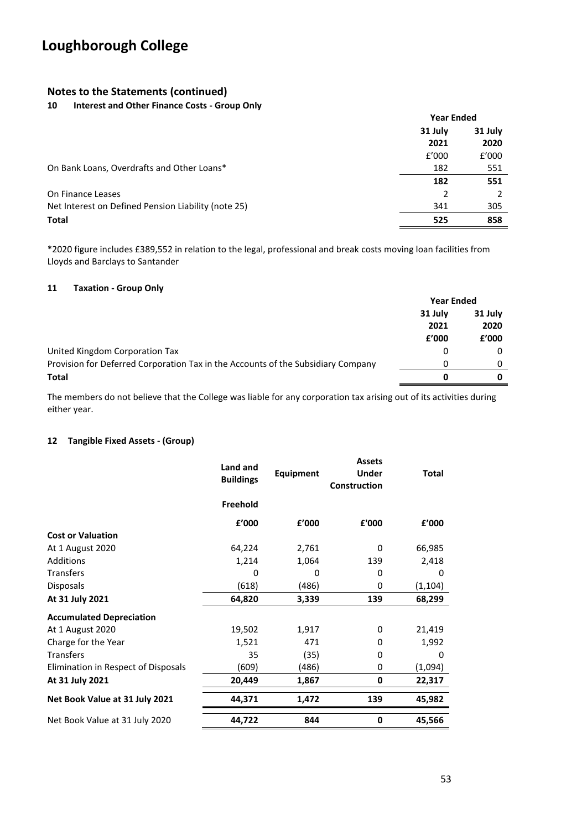### **Notes to the Statements (continued)**

### **10 Interest and Other Finance Costs - Group Only**

|                                                     | <b>Year Ended</b> |       |  |
|-----------------------------------------------------|-------------------|-------|--|
|                                                     | 31 July           |       |  |
|                                                     | 2021              | 2020  |  |
|                                                     | f'000             | f'000 |  |
| On Bank Loans, Overdrafts and Other Loans*          | 182               | 551   |  |
|                                                     | 182               | 551   |  |
| On Finance Leases                                   |                   |       |  |
| Net Interest on Defined Pension Liability (note 25) | 341               | 305   |  |
| <b>Total</b>                                        | 525               | 858   |  |

\*2020 figure includes £389,552 in relation to the legal, professional and break costs moving loan facilities from Lloyds and Barclays to Santander

#### **11 Taxation - Group Only**

|                                                                                  | <b>Year Ended</b> |         |
|----------------------------------------------------------------------------------|-------------------|---------|
|                                                                                  | 31 July           | 31 July |
|                                                                                  | 2021              | 2020    |
|                                                                                  | £'000             | f'000   |
| United Kingdom Corporation Tax                                                   | 0                 |         |
| Provision for Deferred Corporation Tax in the Accounts of the Subsidiary Company | 0                 |         |
| <b>Total</b>                                                                     | ŋ                 |         |

The members do not believe that the College was liable for any corporation tax arising out of its activities during either year.

### **12 Tangible Fixed Assets - (Group)**

|                                     | Land and<br><b>Buildings</b> | Equipment | <b>Assets</b><br><b>Under</b><br><b>Construction</b> | <b>Total</b> |
|-------------------------------------|------------------------------|-----------|------------------------------------------------------|--------------|
|                                     | Freehold                     |           |                                                      |              |
|                                     | f'000                        | £'000     | £'000                                                | £'000        |
| <b>Cost or Valuation</b>            |                              |           |                                                      |              |
| At 1 August 2020                    | 64,224                       | 2,761     | $\Omega$                                             | 66,985       |
| Additions                           | 1,214                        | 1,064     | 139                                                  | 2,418        |
| <b>Transfers</b>                    | 0                            | 0         | 0                                                    | 0            |
| <b>Disposals</b>                    | (618)                        | (486)     | 0                                                    | (1, 104)     |
| At 31 July 2021                     | 64,820                       | 3,339     | 139                                                  | 68,299       |
| <b>Accumulated Depreciation</b>     |                              |           |                                                      |              |
| At 1 August 2020                    | 19,502                       | 1,917     | 0                                                    | 21,419       |
| Charge for the Year                 | 1,521                        | 471       | 0                                                    | 1,992        |
| <b>Transfers</b>                    | 35                           | (35)      | 0                                                    | 0            |
| Elimination in Respect of Disposals | (609)                        | (486)     | 0                                                    | (1,094)      |
| At 31 July 2021                     | 20,449                       | 1,867     | 0                                                    | 22,317       |
| Net Book Value at 31 July 2021      | 44,371                       | 1,472     | 139                                                  | 45,982       |
| Net Book Value at 31 July 2020      | 44,722                       | 844       | 0                                                    | 45,566       |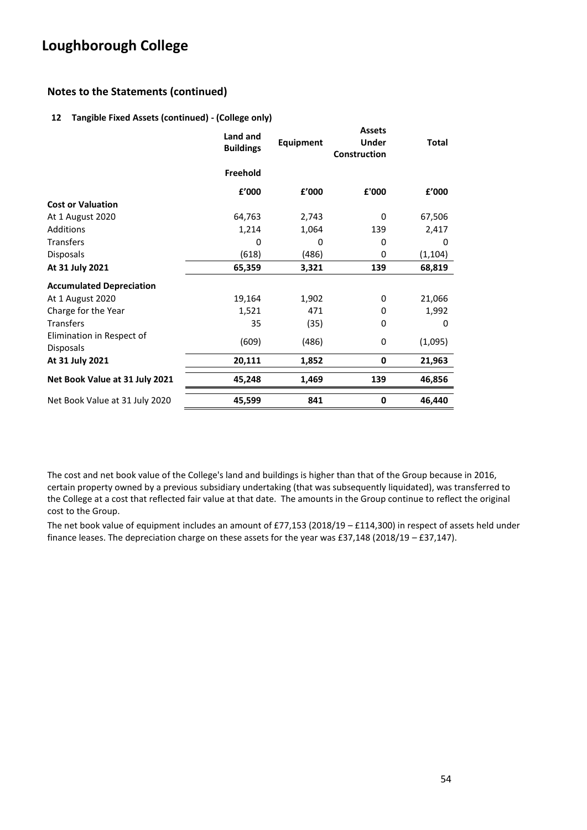## **Notes to the Statements (continued)**

### **12 Tangible Fixed Assets (continued) - (College only)**

|                                               | Land and<br><b>Buildings</b> | <b>Equipment</b> | <b>Assets</b><br><b>Under</b><br>Construction | <b>Total</b> |
|-----------------------------------------------|------------------------------|------------------|-----------------------------------------------|--------------|
|                                               | Freehold                     |                  |                                               |              |
|                                               | £'000                        | £'000            | £'000                                         | £'000        |
| <b>Cost or Valuation</b>                      |                              |                  |                                               |              |
| At 1 August 2020                              | 64,763                       | 2,743            | 0                                             | 67,506       |
| Additions                                     | 1,214                        | 1,064            | 139                                           | 2,417        |
| <b>Transfers</b>                              | 0                            | 0                | 0                                             | 0            |
| <b>Disposals</b>                              | (618)                        | (486)            | 0                                             | (1, 104)     |
| At 31 July 2021                               | 65,359                       | 3,321            | 139                                           | 68,819       |
| <b>Accumulated Depreciation</b>               |                              |                  |                                               |              |
| At 1 August 2020                              | 19,164                       | 1,902            | 0                                             | 21,066       |
| Charge for the Year                           | 1,521                        | 471              | 0                                             | 1,992        |
| <b>Transfers</b>                              | 35                           | (35)             | 0                                             | 0            |
| Elimination in Respect of<br><b>Disposals</b> | (609)                        | (486)            | 0                                             | (1,095)      |
| At 31 July 2021                               | 20,111                       | 1,852            | 0                                             | 21,963       |
| Net Book Value at 31 July 2021                | 45,248                       | 1,469            | 139                                           | 46,856       |
| Net Book Value at 31 July 2020                | 45,599                       | 841              | 0                                             | 46,440       |

The cost and net book value of the College's land and buildings is higher than that of the Group because in 2016, certain property owned by a previous subsidiary undertaking (that was subsequently liquidated), was transferred to the College at a cost that reflected fair value at that date. The amounts in the Group continue to reflect the original cost to the Group.

The net book value of equipment includes an amount of £77,153 (2018/19 – £114,300) in respect of assets held under finance leases. The depreciation charge on these assets for the year was £37,148 (2018/19 – £37,147).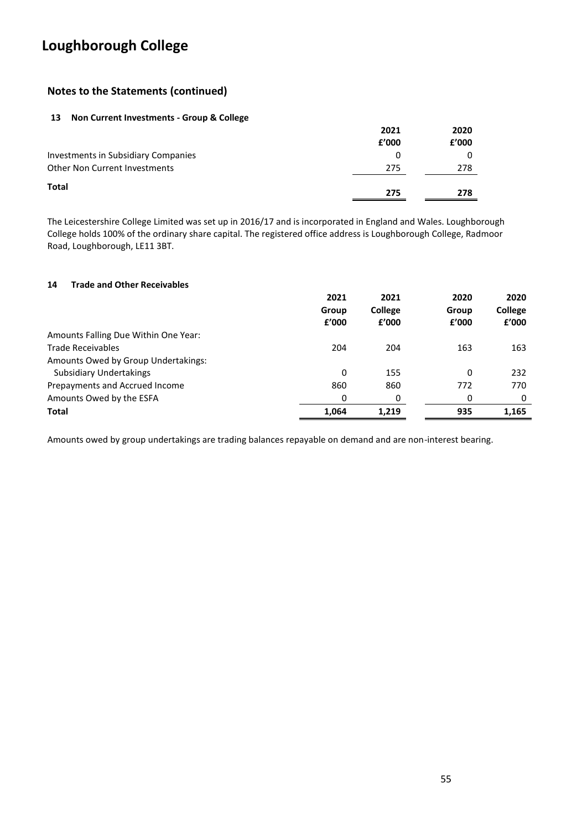## **Notes to the Statements (continued)**

### **13 Non Current Investments - Group & College**

|                                            | 2021  | 2020  |
|--------------------------------------------|-------|-------|
|                                            | f'000 | f'000 |
| <b>Investments in Subsidiary Companies</b> | 0     |       |
| <b>Other Non Current Investments</b>       | 275   | 278   |
| <b>Total</b>                               | 275   | 278   |

The Leicestershire College Limited was set up in 2016/17 and is incorporated in England and Wales. Loughborough College holds 100% of the ordinary share capital. The registered office address is Loughborough College, Radmoor Road, Loughborough, LE11 3BT.

#### **14 Trade and Other Receivables**

|                                      | 2021  | 2021    | 2020  | 2020    |
|--------------------------------------|-------|---------|-------|---------|
|                                      | Group | College | Group | College |
|                                      | f'000 | f'000   | f'000 | f'000   |
| Amounts Falling Due Within One Year: |       |         |       |         |
| <b>Trade Receivables</b>             | 204   | 204     | 163   | 163     |
| Amounts Owed by Group Undertakings:  |       |         |       |         |
| Subsidiary Undertakings              | 0     | 155     | 0     | 232     |
| Prepayments and Accrued Income       | 860   | 860     | 772   | 770     |
| Amounts Owed by the ESFA             | 0     | 0       | 0     | 0       |
| <b>Total</b>                         | 1.064 | 1,219   | 935   | 1,165   |

Amounts owed by group undertakings are trading balances repayable on demand and are non-interest bearing.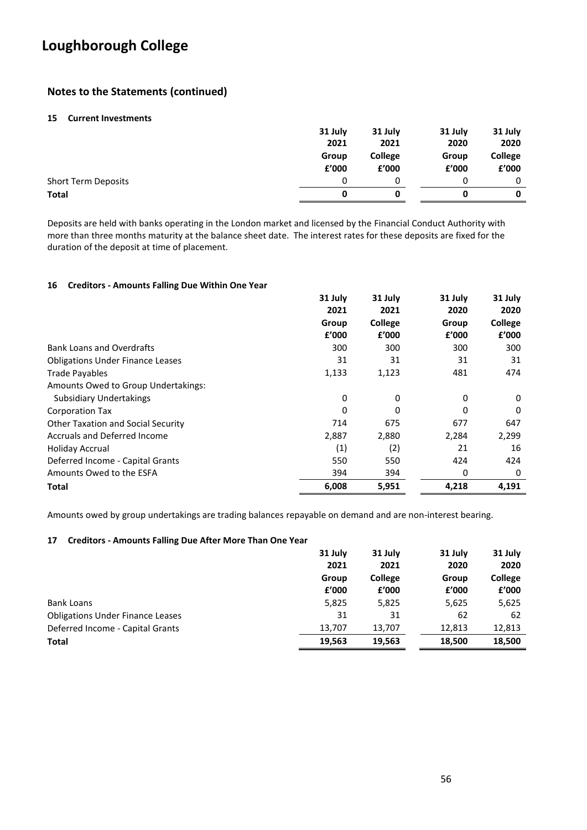## **Notes to the Statements (continued)**

#### **15 Current Investments**

|                            | 31 July | 31 July        | 31 July | 31 July        |
|----------------------------|---------|----------------|---------|----------------|
|                            | 2021    | 2021           | 2020    | 2020           |
|                            | Group   | <b>College</b> | Group   | <b>College</b> |
|                            | £'000   | £'000          | £'000   | £'000          |
| <b>Short Term Deposits</b> | 0       |                | 0       | 0              |
| <b>Total</b>               | 0       |                |         |                |

Deposits are held with banks operating in the London market and licensed by the Financial Conduct Authority with more than three months maturity at the balance sheet date. The interest rates for these deposits are fixed for the duration of the deposit at time of placement.

#### **16 Creditors - Amounts Falling Due Within One Year**

|                                         | 31 July | 31 July        | 31 July | 31 July |
|-----------------------------------------|---------|----------------|---------|---------|
|                                         | 2021    | 2021           | 2020    | 2020    |
|                                         | Group   | <b>College</b> | Group   | College |
|                                         | £'000   | £'000          | £'000   | £'000   |
| <b>Bank Loans and Overdrafts</b>        | 300     | 300            | 300     | 300     |
| <b>Obligations Under Finance Leases</b> | 31      | 31             | 31      | 31      |
| <b>Trade Pavables</b>                   | 1,133   | 1,123          | 481     | 474     |
| Amounts Owed to Group Undertakings:     |         |                |         |         |
| Subsidiary Undertakings                 | 0       | 0              | 0       | 0       |
| <b>Corporation Tax</b>                  | 0       | 0              | 0       | 0       |
| Other Taxation and Social Security      | 714     | 675            | 677     | 647     |
| <b>Accruals and Deferred Income</b>     | 2,887   | 2,880          | 2,284   | 2,299   |
| <b>Holiday Accrual</b>                  | (1)     | (2)            | 21      | 16      |
| Deferred Income - Capital Grants        | 550     | 550            | 424     | 424     |
| Amounts Owed to the ESFA                | 394     | 394            | 0       | 0       |
| Total                                   | 6,008   | 5,951          | 4,218   | 4,191   |

Amounts owed by group undertakings are trading balances repayable on demand and are non-interest bearing.

#### **17 Creditors - Amounts Falling Due After More Than One Year**

|                                         | 31 July<br>2021 | 31 July<br>2021         | 31 July<br>2020 | 31 July<br>2020         |
|-----------------------------------------|-----------------|-------------------------|-----------------|-------------------------|
|                                         | Group<br>£'000  | <b>College</b><br>f'000 | Group<br>f'000  | <b>College</b><br>£'000 |
| <b>Bank Loans</b>                       | 5,825           | 5,825                   | 5,625           | 5,625                   |
| <b>Obligations Under Finance Leases</b> | 31              | 31                      | 62              | 62                      |
| Deferred Income - Capital Grants        | 13,707          | 13,707                  | 12,813          | 12,813                  |
| <b>Total</b>                            | 19,563          | 19,563                  | 18,500          | 18,500                  |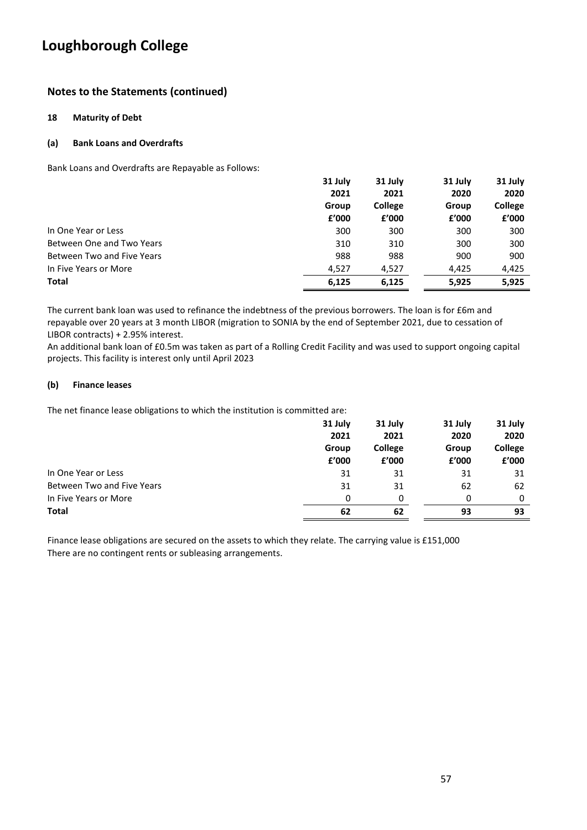## **Notes to the Statements (continued)**

#### **18 Maturity of Debt**

#### **(a) Bank Loans and Overdrafts**

Bank Loans and Overdrafts are Repayable as Follows:

|                            | 31 July | 31 July        | 31 July | 31 July        |
|----------------------------|---------|----------------|---------|----------------|
|                            | 2021    | 2021           | 2020    | 2020           |
|                            | Group   | <b>College</b> | Group   | <b>College</b> |
|                            | f'000   | f'000          | £'000   | £'000          |
| In One Year or Less        | 300     | 300            | 300     | 300            |
| Between One and Two Years  | 310     | 310            | 300     | 300            |
| Between Two and Five Years | 988     | 988            | 900     | 900            |
| In Five Years or More      | 4.527   | 4,527          | 4.425   | 4,425          |
| <b>Total</b>               | 6,125   | 6,125          | 5,925   | 5,925          |

The current bank loan was used to refinance the indebtness of the previous borrowers. The loan is for £6m and repayable over 20 years at 3 month LIBOR (migration to SONIA by the end of September 2021, due to cessation of LIBOR contracts) + 2.95% interest.

An additional bank loan of £0.5m was taken as part of a Rolling Credit Facility and was used to support ongoing capital projects. This facility is interest only until April 2023

#### **(b) Finance leases**

The net finance lease obligations to which the institution is committed are:

|                            | 31 July | 31 July        | 31 July | 31 July |
|----------------------------|---------|----------------|---------|---------|
|                            | 2021    | 2021           | 2020    | 2020    |
|                            | Group   | <b>College</b> | Group   | College |
|                            | £'000   | £'000          | £'000   | £'000   |
| In One Year or Less        | 31      | 31             | 31      | 31      |
| Between Two and Five Years | 31      | 31             | 62      | 62      |
| In Five Years or More      | 0       | n              | 0       | 0       |
| <b>Total</b>               | 62      | 62             | 93      | 93      |

Finance lease obligations are secured on the assets to which they relate. The carrying value is £151,000 There are no contingent rents or subleasing arrangements.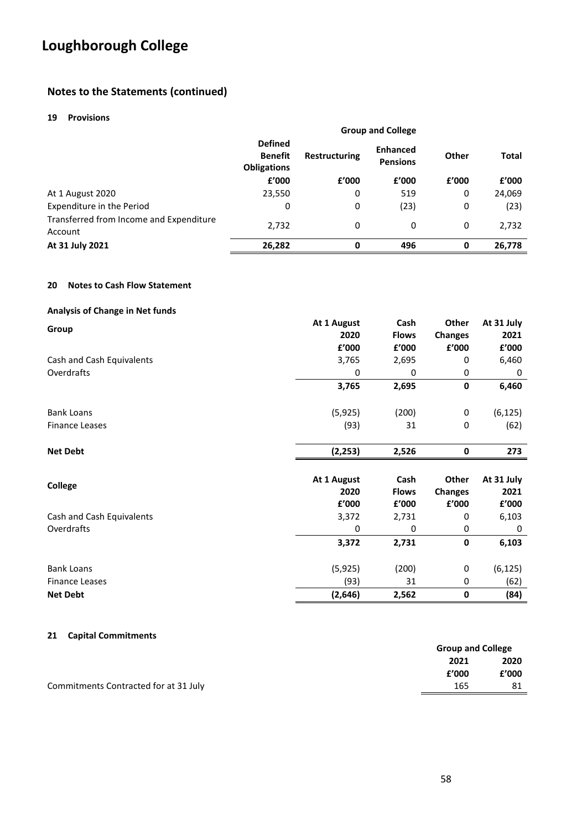## **Notes to the Statements (continued)**

#### **19 Provisions**

|                                                    | <b>Group and College</b>                               |                      |                                    |       |              |
|----------------------------------------------------|--------------------------------------------------------|----------------------|------------------------------------|-------|--------------|
|                                                    | <b>Defined</b><br><b>Benefit</b><br><b>Obligations</b> | <b>Restructuring</b> | <b>Enhanced</b><br><b>Pensions</b> | Other | <b>Total</b> |
|                                                    | £'000                                                  | £'000                | f'000                              | £'000 | f'000        |
| At 1 August 2020                                   | 23,550                                                 | 0                    | 519                                | 0     | 24,069       |
| Expenditure in the Period                          | 0                                                      | 0                    | (23)                               | 0     | (23)         |
| Transferred from Income and Expenditure<br>Account | 2,732                                                  | 0                    | 0                                  | 0     | 2,732        |
| At 31 July 2021                                    | 26,282                                                 | 0                    | 496                                | 0     | 26,778       |

#### **20 Notes to Cash Flow Statement**

| <b>Analysis of Change in Net funds</b> |  |  |  |  |
|----------------------------------------|--|--|--|--|
|----------------------------------------|--|--|--|--|

| Group                     | At 1 August | Cash         | Other          | At 31 July |
|---------------------------|-------------|--------------|----------------|------------|
|                           | 2020        | <b>Flows</b> | <b>Changes</b> | 2021       |
|                           | £'000       | £'000        | £'000          | £'000      |
| Cash and Cash Equivalents | 3,765       | 2,695        | 0              | 6,460      |
| Overdrafts                | 0           | 0            | 0              | 0          |
|                           | 3,765       | 2,695        | 0              | 6,460      |
| <b>Bank Loans</b>         | (5, 925)    | (200)        | 0              | (6, 125)   |
| <b>Finance Leases</b>     | (93)        | 31           | 0              | (62)       |
| <b>Net Debt</b>           | (2, 253)    | 2,526        | $\mathbf 0$    | 273        |
| <b>College</b>            | At 1 August | Cash         | Other          | At 31 July |
|                           | 2020        | <b>Flows</b> | <b>Changes</b> | 2021       |
|                           | £'000       | £'000        | £'000          | £'000      |
| Cash and Cash Equivalents | 3,372       | 2,731        | 0              | 6,103      |
| Overdrafts                | 0           | 0            | 0              | 0          |
|                           | 3,372       | 2,731        | 0              | 6,103      |
| <b>Bank Loans</b>         | (5, 925)    | (200)        | 0              | (6, 125)   |
| <b>Finance Leases</b>     | (93)        | 31           | 0              | (62)       |
| <b>Net Debt</b>           | (2,646)     | 2,562        | 0              | (84)       |

#### **21 Capital Commitments**

|                                       | <b>Group and College</b> |       |
|---------------------------------------|--------------------------|-------|
|                                       | 2021                     | 2020  |
|                                       | £'000                    | £'000 |
| Commitments Contracted for at 31 July | 165                      |       |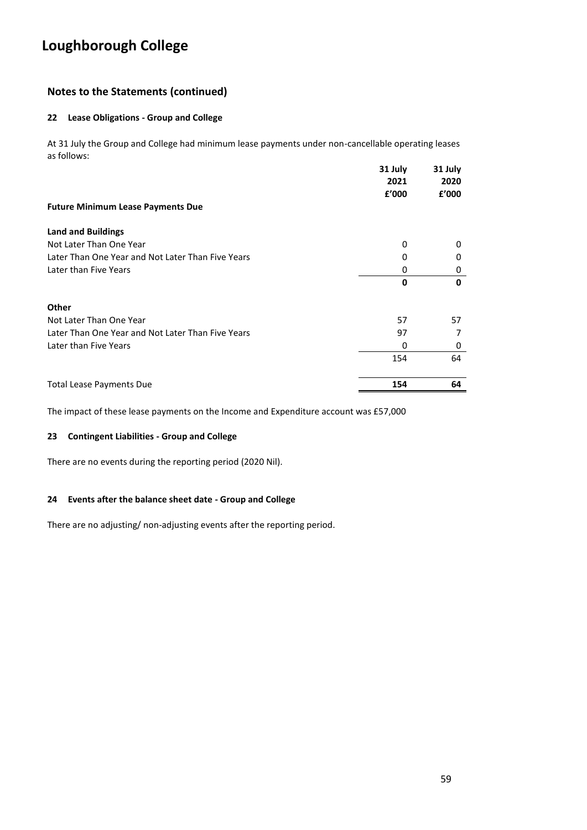## **Notes to the Statements (continued)**

#### **22 Lease Obligations - Group and College**

At 31 July the Group and College had minimum lease payments under non-cancellable operating leases as follows:

|                                                   | 31 July<br>2021<br>£'000 | 31 July<br>2020<br>f'000 |
|---------------------------------------------------|--------------------------|--------------------------|
| <b>Future Minimum Lease Payments Due</b>          |                          |                          |
| <b>Land and Buildings</b>                         |                          |                          |
| Not Later Than One Year                           | 0                        | $\Omega$                 |
| Later Than One Year and Not Later Than Five Years | 0                        | 0                        |
| Later than Five Years                             | 0                        | 0                        |
|                                                   | 0                        | 0                        |
| <b>Other</b>                                      |                          |                          |
| Not Later Than One Year                           | 57                       | 57                       |
| Later Than One Year and Not Later Than Five Years | 97                       |                          |
| Later than Five Years                             | 0                        | 0                        |
|                                                   | 154                      | 64                       |
| <b>Total Lease Payments Due</b>                   | 154                      | 64                       |

The impact of these lease payments on the Income and Expenditure account was £57,000

### **23 Contingent Liabilities - Group and College**

There are no events during the reporting period (2020 Nil).

### **24 Events after the balance sheet date - Group and College**

There are no adjusting/ non-adjusting events after the reporting period.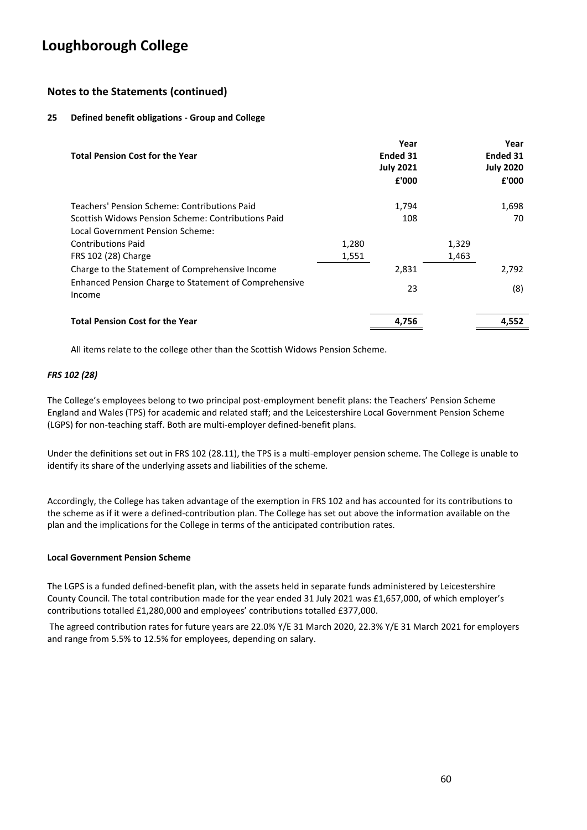## **Notes to the Statements (continued)**

### **25 Defined benefit obligations - Group and College**

| <b>Total Pension Cost for the Year</b>                          |       | Year<br>Ended 31<br><b>July 2021</b><br>£'000 |       | Year<br>Ended 31<br><b>July 2020</b><br>£'000 |
|-----------------------------------------------------------------|-------|-----------------------------------------------|-------|-----------------------------------------------|
| Teachers' Pension Scheme: Contributions Paid                    |       | 1,794                                         |       | 1,698                                         |
| Scottish Widows Pension Scheme: Contributions Paid              |       | 108                                           |       | 70                                            |
| Local Government Pension Scheme:                                |       |                                               |       |                                               |
| <b>Contributions Paid</b>                                       | 1,280 |                                               | 1,329 |                                               |
| FRS 102 (28) Charge                                             | 1,551 |                                               | 1,463 |                                               |
| Charge to the Statement of Comprehensive Income                 |       | 2,831                                         |       | 2,792                                         |
| Enhanced Pension Charge to Statement of Comprehensive<br>Income |       | 23                                            |       | (8)                                           |
| <b>Total Pension Cost for the Year</b>                          |       | 4,756                                         |       | 4,552                                         |

All items relate to the college other than the Scottish Widows Pension Scheme.

#### *FRS 102 (28)*

The College's employees belong to two principal post-employment benefit plans: the Teachers' Pension Scheme England and Wales (TPS) for academic and related staff; and the Leicestershire Local Government Pension Scheme (LGPS) for non-teaching staff. Both are multi-employer defined-benefit plans.

Under the definitions set out in FRS 102 (28.11), the TPS is a multi-employer pension scheme. The College is unable to identify its share of the underlying assets and liabilities of the scheme.

Accordingly, the College has taken advantage of the exemption in FRS 102 and has accounted for its contributions to the scheme as if it were a defined-contribution plan. The College has set out above the information available on the plan and the implications for the College in terms of the anticipated contribution rates.

#### **Local Government Pension Scheme**

The LGPS is a funded defined-benefit plan, with the assets held in separate funds administered by Leicestershire County Council. The total contribution made for the year ended 31 July 2021 was £1,657,000, of which employer's contributions totalled £1,280,000 and employees' contributions totalled £377,000.

The agreed contribution rates for future years are 22.0% Y/E 31 March 2020, 22.3% Y/E 31 March 2021 for employers and range from 5.5% to 12.5% for employees, depending on salary.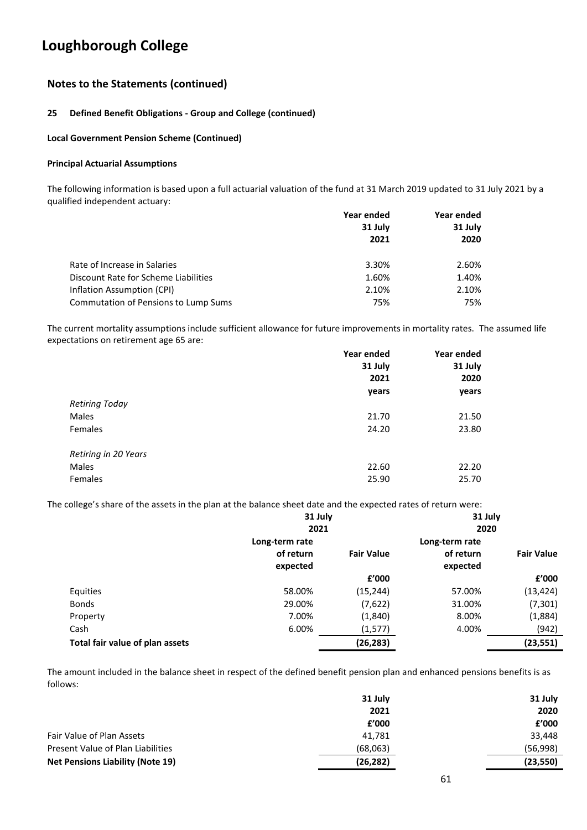## **Notes to the Statements (continued)**

### **25 Defined Benefit Obligations - Group and College (continued)**

### **Local Government Pension Scheme (Continued)**

#### **Principal Actuarial Assumptions**

The following information is based upon a full actuarial valuation of the fund at 31 March 2019 updated to 31 July 2021 by a qualified independent actuary:

|                                             | Year ended | Year ended |  |
|---------------------------------------------|------------|------------|--|
|                                             | 31 July    | 31 July    |  |
|                                             | 2021       | 2020       |  |
| Rate of Increase in Salaries                | 3.30%      | 2.60%      |  |
| Discount Rate for Scheme Liabilities        | 1.60%      | 1.40%      |  |
| Inflation Assumption (CPI)                  | 2.10%      | 2.10%      |  |
| <b>Commutation of Pensions to Lump Sums</b> | 75%        | 75%        |  |

The current mortality assumptions include sufficient allowance for future improvements in mortality rates. The assumed life expectations on retirement age 65 are:

|                      | Year ended | Year ended |  |
|----------------------|------------|------------|--|
|                      | 31 July    | 31 July    |  |
|                      | 2021       | 2020       |  |
|                      | years      | years      |  |
| Retiring Today       |            |            |  |
| Males                | 21.70      | 21.50      |  |
| Females              | 24.20      | 23.80      |  |
| Retiring in 20 Years |            |            |  |
| Males                | 22.60      | 22.20      |  |
| Females              | 25.90      | 25.70      |  |

The college's share of the assets in the plan at the balance sheet date and the expected rates of return were:

|                                 | 31 July        |                   | 31 July        |                   |
|---------------------------------|----------------|-------------------|----------------|-------------------|
|                                 | 2021           |                   | 2020           |                   |
|                                 | Long-term rate |                   | Long-term rate |                   |
|                                 | of return      | <b>Fair Value</b> | of return      | <b>Fair Value</b> |
|                                 | expected       |                   | expected       |                   |
|                                 |                | £'000             |                | £'000             |
| Equities                        | 58.00%         | (15, 244)         | 57.00%         | (13, 424)         |
| <b>Bonds</b>                    | 29.00%         | (7,622)           | 31.00%         | (7, 301)          |
| Property                        | 7.00%          | (1,840)           | 8.00%          | (1,884)           |
| Cash                            | 6.00%          | (1, 577)          | 4.00%          | (942)             |
| Total fair value of plan assets |                | (26, 283)         |                | (23, 551)         |

The amount included in the balance sheet in respect of the defined benefit pension plan and enhanced pensions benefits is as follows:

|                                         | 31 July   | 31 July   |
|-----------------------------------------|-----------|-----------|
|                                         | 2021      | 2020      |
|                                         | f'000     | f'000     |
| Fair Value of Plan Assets               | 41.781    | 33,448    |
| Present Value of Plan Liabilities       | (68,063)  | (56,998)  |
| <b>Net Pensions Liability (Note 19)</b> | (26, 282) | (23, 550) |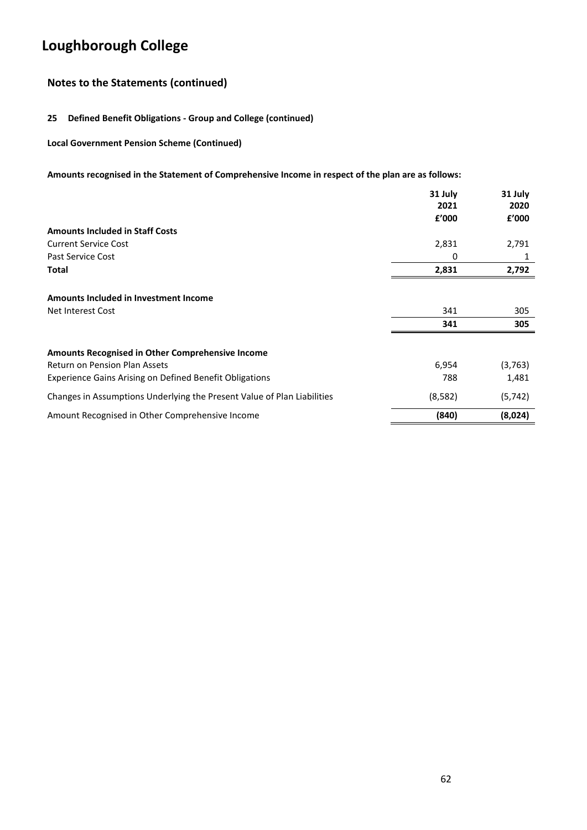## **Notes to the Statements (continued)**

### **25 Defined Benefit Obligations - Group and College (continued)**

**Local Government Pension Scheme (Continued)**

### **Amounts recognised in the Statement of Comprehensive Income in respect of the plan are as follows:**

|                                                                         | 31 July | 31 July  |
|-------------------------------------------------------------------------|---------|----------|
|                                                                         | 2021    | 2020     |
|                                                                         | f'000   | f'000    |
| <b>Amounts Included in Staff Costs</b>                                  |         |          |
| <b>Current Service Cost</b>                                             | 2,831   | 2,791    |
| Past Service Cost                                                       | 0       | 1        |
| <b>Total</b>                                                            | 2,831   | 2,792    |
| Amounts Included in Investment Income                                   |         |          |
|                                                                         |         |          |
| Net Interest Cost                                                       | 341     | 305      |
|                                                                         | 341     | 305      |
| <b>Amounts Recognised in Other Comprehensive Income</b>                 |         |          |
| <b>Return on Pension Plan Assets</b>                                    | 6,954   | (3,763)  |
| Experience Gains Arising on Defined Benefit Obligations                 | 788     | 1,481    |
| Changes in Assumptions Underlying the Present Value of Plan Liabilities | (8,582) | (5, 742) |
| Amount Recognised in Other Comprehensive Income                         | (840)   | (8,024)  |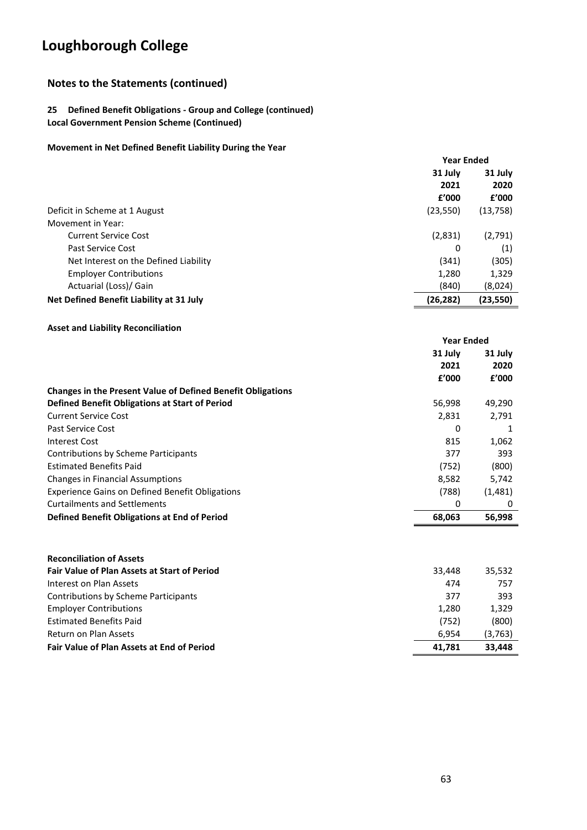## **Notes to the Statements (continued)**

### **25 Defined Benefit Obligations - Group and College (continued) Local Government Pension Scheme (Continued)**

### **Movement in Net Defined Benefit Liability During the Year**

|                                           | <b>Year Ended</b> |           |
|-------------------------------------------|-------------------|-----------|
|                                           | 31 July           | 31 July   |
|                                           | 2021              | 2020      |
|                                           | f'000             | f'000     |
| Deficit in Scheme at 1 August             | (23, 550)         | (13, 758) |
| Movement in Year:                         |                   |           |
| <b>Current Service Cost</b>               | (2,831)           | (2,791)   |
| Past Service Cost                         | 0                 | (1)       |
| Net Interest on the Defined Liability     | (341)             | (305)     |
| <b>Employer Contributions</b>             | 1,280             | 1,329     |
| Actuarial (Loss)/ Gain                    | (840)             | (8,024)   |
| Net Defined Benefit Liability at 31 July  | (26, 282)         | (23,550)  |
| <b>Asset and Liability Reconciliation</b> |                   |           |
|                                           | <b>Year Ended</b> |           |

| 31 July<br>31 July<br>2021<br>2020<br>f'000<br>f'000<br>56,998<br>49,290<br>2,831<br>2,791<br>0<br>815<br>1,062<br>377<br>393<br>(800)<br>(752)<br>8,582<br>5,742<br>(788)<br>(1,481)<br>0<br>0<br>56,998<br>68,063 |                                                                    |  |  |
|---------------------------------------------------------------------------------------------------------------------------------------------------------------------------------------------------------------------|--------------------------------------------------------------------|--|--|
|                                                                                                                                                                                                                     |                                                                    |  |  |
|                                                                                                                                                                                                                     |                                                                    |  |  |
|                                                                                                                                                                                                                     |                                                                    |  |  |
|                                                                                                                                                                                                                     | <b>Changes in the Present Value of Defined Benefit Obligations</b> |  |  |
|                                                                                                                                                                                                                     | Defined Benefit Obligations at Start of Period                     |  |  |
|                                                                                                                                                                                                                     | <b>Current Service Cost</b>                                        |  |  |
|                                                                                                                                                                                                                     | Past Service Cost                                                  |  |  |
|                                                                                                                                                                                                                     | Interest Cost                                                      |  |  |
|                                                                                                                                                                                                                     | Contributions by Scheme Participants                               |  |  |
|                                                                                                                                                                                                                     | <b>Estimated Benefits Paid</b>                                     |  |  |
|                                                                                                                                                                                                                     | <b>Changes in Financial Assumptions</b>                            |  |  |
|                                                                                                                                                                                                                     | <b>Experience Gains on Defined Benefit Obligations</b>             |  |  |
|                                                                                                                                                                                                                     | <b>Curtailments and Settlements</b>                                |  |  |
|                                                                                                                                                                                                                     | Defined Benefit Obligations at End of Period                       |  |  |

| <b>Reconciliation of Assets</b>                     |        |         |
|-----------------------------------------------------|--------|---------|
| <b>Fair Value of Plan Assets at Start of Period</b> | 33.448 | 35,532  |
| Interest on Plan Assets                             | 474    | 757     |
| Contributions by Scheme Participants                | 377    | 393     |
| <b>Employer Contributions</b>                       | 1,280  | 1,329   |
| <b>Estimated Benefits Paid</b>                      | (752)  | (800)   |
| Return on Plan Assets                               | 6.954  | (3,763) |
| <b>Fair Value of Plan Assets at End of Period</b>   | 41,781 | 33,448  |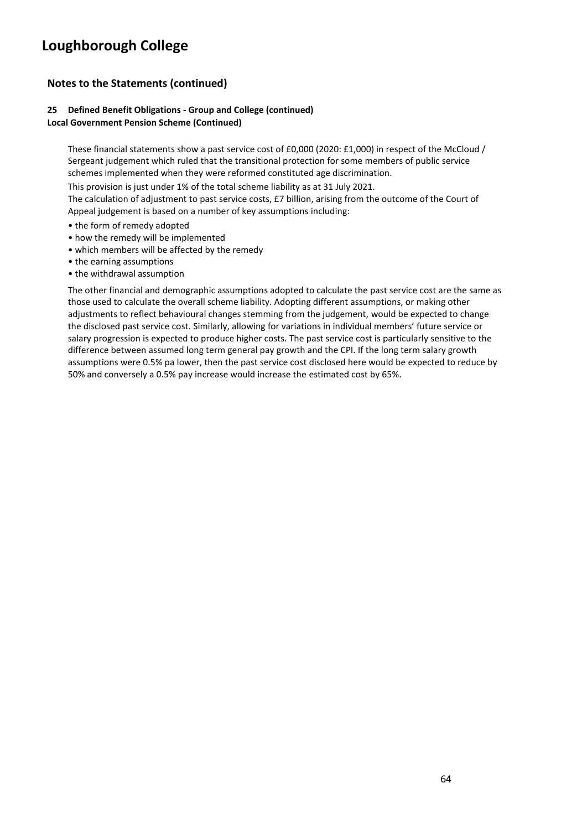## **Notes to the Statements (continued)**

#### **25 Defined Benefit Obligations - Group and College (continued) Local Government Pension Scheme (Continued)**

These financial statements show a past service cost of £0,000 (2020: £1,000) in respect of the McCloud / Sergeant judgement which ruled that the transitional protection for some members of public service schemes implemented when they were reformed constituted age discrimination.

This provision is just under 1% of the total scheme liability as at 31 July 2021.

The calculation of adjustment to past service costs, £7 billion, arising from the outcome of the Court of Appeal judgement is based on a number of key assumptions including:

- the form of remedy adopted
- how the remedy will be implemented
- which members will be affected by the remedy
- the earning assumptions
- the withdrawal assumption

The other financial and demographic assumptions adopted to calculate the past service cost are the same as those used to calculate the overall scheme liability. Adopting different assumptions, or making other adjustments to reflect behavioural changes stemming from the judgement, would be expected to change the disclosed past service cost. Similarly, allowing for variations in individual members' future service or salary progression is expected to produce higher costs. The past service cost is particularly sensitive to the difference between assumed long term general pay growth and the CPI. If the long term salary growth assumptions were 0.5% pa lower, then the past service cost disclosed here would be expected to reduce by 50% and conversely a 0.5% pay increase would increase the estimated cost by 65%.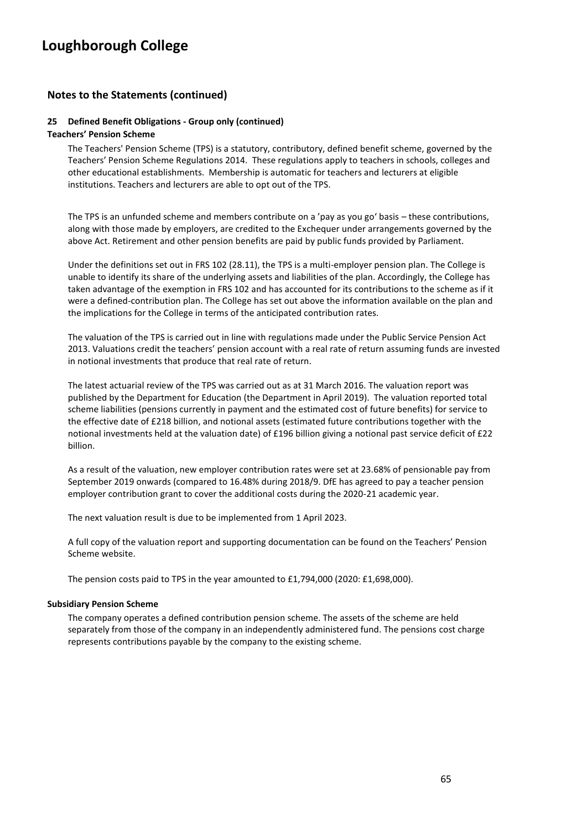### **Notes to the Statements (continued)**

#### **25 Defined Benefit Obligations - Group only (continued)**

#### **Teachers' Pension Scheme**

The Teachers' Pension Scheme (TPS) is a statutory, contributory, defined benefit scheme, governed by the Teachers' Pension Scheme Regulations 2014. These regulations apply to teachers in schools, colleges and other educational establishments. Membership is automatic for teachers and lecturers at eligible institutions. Teachers and lecturers are able to opt out of the TPS.

The TPS is an unfunded scheme and members contribute on a 'pay as you go' basis – these contributions, along with those made by employers, are credited to the Exchequer under arrangements governed by the above Act. Retirement and other pension benefits are paid by public funds provided by Parliament.

Under the definitions set out in FRS 102 (28.11), the TPS is a multi-employer pension plan. The College is unable to identify its share of the underlying assets and liabilities of the plan. Accordingly, the College has taken advantage of the exemption in FRS 102 and has accounted for its contributions to the scheme as if it were a defined-contribution plan. The College has set out above the information available on the plan and the implications for the College in terms of the anticipated contribution rates.

The valuation of the TPS is carried out in line with regulations made under the Public Service Pension Act 2013. Valuations credit the teachers' pension account with a real rate of return assuming funds are invested in notional investments that produce that real rate of return.

The latest actuarial review of the TPS was carried out as at 31 March 2016. The valuation report was published by the Department for Education (the Department in April 2019). The valuation reported total scheme liabilities (pensions currently in payment and the estimated cost of future benefits) for service to the effective date of £218 billion, and notional assets (estimated future contributions together with the notional investments held at the valuation date) of £196 billion giving a notional past service deficit of £22 billion.

As a result of the valuation, new employer contribution rates were set at 23.68% of pensionable pay from September 2019 onwards (compared to 16.48% during 2018/9. DfE has agreed to pay a teacher pension employer contribution grant to cover the additional costs during the 2020-21 academic year.

The next valuation result is due to be implemented from 1 April 2023.

A full copy of the valuation report and supporting documentation can be found on the Teachers' Pension Scheme website.

The pension costs paid to TPS in the year amounted to £1,794,000 (2020: £1,698,000).

#### **Subsidiary Pension Scheme**

The company operates a defined contribution pension scheme. The assets of the scheme are held separately from those of the company in an independently administered fund. The pensions cost charge represents contributions payable by the company to the existing scheme.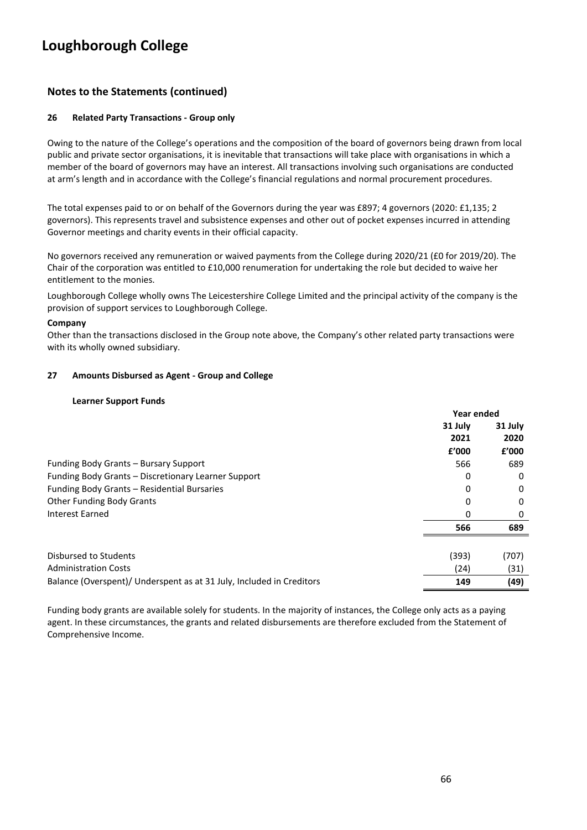## **Notes to the Statements (continued)**

#### **26 Related Party Transactions - Group only**

Owing to the nature of the College's operations and the composition of the board of governors being drawn from local public and private sector organisations, it is inevitable that transactions will take place with organisations in which a member of the board of governors may have an interest. All transactions involving such organisations are conducted at arm's length and in accordance with the College's financial regulations and normal procurement procedures.

The total expenses paid to or on behalf of the Governors during the year was £897; 4 governors (2020: £1,135; 2 governors). This represents travel and subsistence expenses and other out of pocket expenses incurred in attending Governor meetings and charity events in their official capacity.

No governors received any remuneration or waived payments from the College during 2020/21 (£0 for 2019/20). The Chair of the corporation was entitled to £10,000 renumeration for undertaking the role but decided to waive her entitlement to the monies.

Loughborough College wholly owns The Leicestershire College Limited and the principal activity of the company is the provision of support services to Loughborough College.

#### **Company**

Other than the transactions disclosed in the Group note above, the Company's other related party transactions were with its wholly owned subsidiary.

#### **27 Amounts Disbursed as Agent - Group and College**

#### **Learner Support Funds**

|                                                                      | Year ended |          |
|----------------------------------------------------------------------|------------|----------|
|                                                                      | 31 July    | 31 July  |
|                                                                      | 2021       | 2020     |
|                                                                      | f'000      | £'000    |
| Funding Body Grants – Bursary Support                                | 566        | 689      |
| Funding Body Grants - Discretionary Learner Support                  | 0          | 0        |
| Funding Body Grants - Residential Bursaries                          | 0          | $\Omega$ |
| <b>Other Funding Body Grants</b>                                     | 0          | 0        |
| Interest Earned                                                      | 0          | 0        |
|                                                                      | 566        | 689      |
|                                                                      |            |          |
| Disbursed to Students                                                | (393)      | (707)    |
| <b>Administration Costs</b>                                          | (24)       | (31)     |
| Balance (Overspent)/ Underspent as at 31 July, Included in Creditors | 149        | (49)     |

Funding body grants are available solely for students. In the majority of instances, the College only acts as a paying agent. In these circumstances, the grants and related disbursements are therefore excluded from the Statement of Comprehensive Income.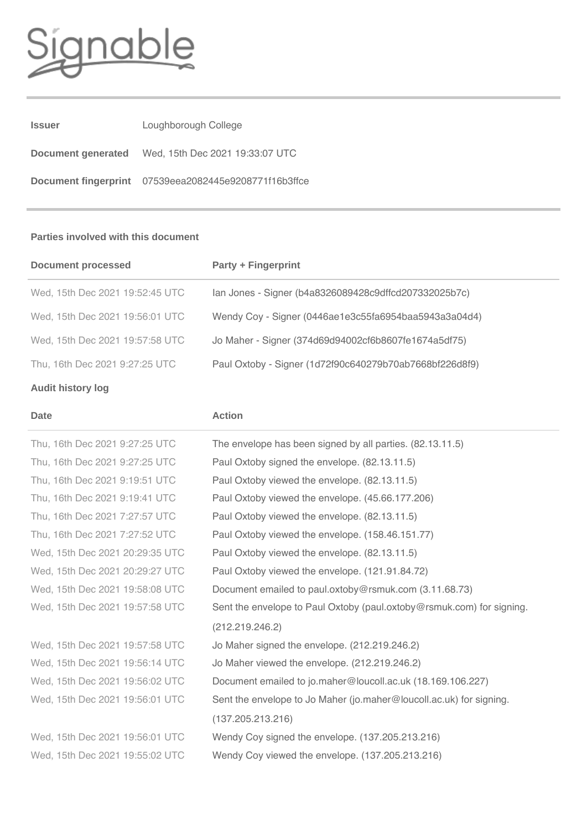

| <b>Issuer</b>      | Loughborough College                                  |
|--------------------|-------------------------------------------------------|
| Document generated | Wed, 15th Dec 2021 19:33:07 UTC                       |
|                    | Document fingerprint 07539eea2082445e9208771f16b3ffce |

### **Parties involved with this document**

| <b>Document processed</b>       | <b>Party + Fingerprint</b>                              |
|---------------------------------|---------------------------------------------------------|
| Wed, 15th Dec 2021 19:52:45 UTC | lan Jones - Signer (b4a8326089428c9dffcd207332025b7c)   |
| Wed, 15th Dec 2021 19:56:01 UTC | Wendy Coy - Signer (0446ae1e3c55fa6954baa5943a3a04d4)   |
| Wed, 15th Dec 2021 19:57:58 UTC | Jo Maher - Signer (374d69d94002cf6b8607fe1674a5df75)    |
| Thu, 16th Dec 2021 9:27:25 UTC  | Paul Oxtoby - Signer (1d72f90c640279b70ab7668bf226d8f9) |
|                                 |                                                         |

# **Audit history log**

| <b>Date</b>                     | <b>Action</b>                                                         |
|---------------------------------|-----------------------------------------------------------------------|
| Thu, 16th Dec 2021 9:27:25 UTC  | The envelope has been signed by all parties. (82.13.11.5)             |
| Thu, 16th Dec 2021 9:27:25 UTC  | Paul Oxtoby signed the envelope. (82.13.11.5)                         |
| Thu, 16th Dec 2021 9:19:51 UTC  | Paul Oxtoby viewed the envelope. (82.13.11.5)                         |
| Thu, 16th Dec 2021 9:19:41 UTC  | Paul Oxtoby viewed the envelope. (45.66.177.206)                      |
| Thu, 16th Dec 2021 7:27:57 UTC  | Paul Oxtoby viewed the envelope. (82.13.11.5)                         |
| Thu, 16th Dec 2021 7:27:52 UTC  | Paul Oxtoby viewed the envelope. (158.46.151.77)                      |
| Wed, 15th Dec 2021 20:29:35 UTC | Paul Oxtoby viewed the envelope. (82.13.11.5)                         |
| Wed, 15th Dec 2021 20:29:27 UTC | Paul Oxtoby viewed the envelope. (121.91.84.72)                       |
| Wed, 15th Dec 2021 19:58:08 UTC | Document emailed to paul.oxtoby@rsmuk.com (3.11.68.73)                |
| Wed, 15th Dec 2021 19:57:58 UTC | Sent the envelope to Paul Oxtoby (paul.oxtoby@rsmuk.com) for signing. |
|                                 | (212.219.246.2)                                                       |
| Wed, 15th Dec 2021 19:57:58 UTC | Jo Maher signed the envelope. (212.219.246.2)                         |
| Wed, 15th Dec 2021 19:56:14 UTC | Jo Maher viewed the envelope. (212.219.246.2)                         |
| Wed, 15th Dec 2021 19:56:02 UTC | Document emailed to jo.maher@loucoll.ac.uk (18.169.106.227)           |
| Wed, 15th Dec 2021 19:56:01 UTC | Sent the envelope to Jo Maher (jo.maher@loucoll.ac.uk) for signing.   |
|                                 | (137.205.213.216)                                                     |
| Wed, 15th Dec 2021 19:56:01 UTC | Wendy Coy signed the envelope. (137.205.213.216)                      |
| Wed, 15th Dec 2021 19:55:02 UTC | Wendy Coy viewed the envelope. (137.205.213.216)                      |
|                                 |                                                                       |